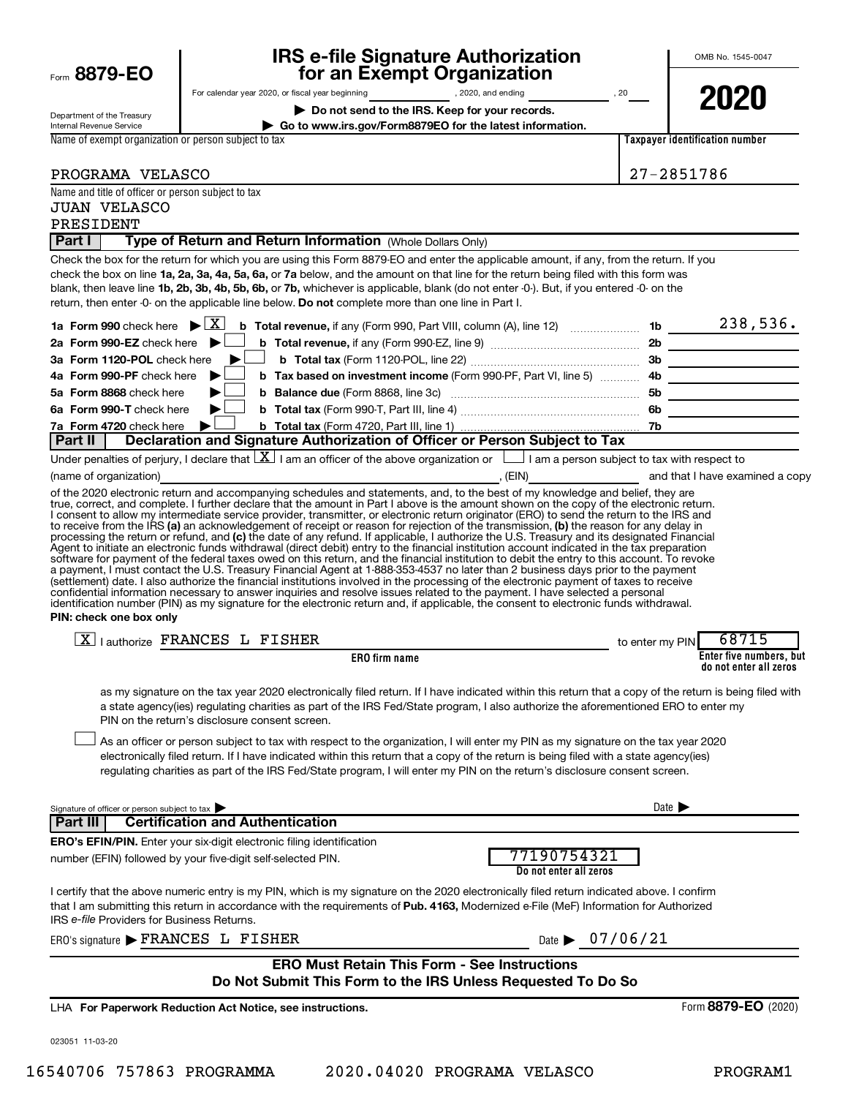| Form 8879-EO |  |  |
|--------------|--|--|
|              |  |  |

# **IRS e-file Signature Authorization for an Exempt Organization**

OMB No. 1545-0047

Department of the Treasury Internal Revenue Service

For calendar year 2020, or fiscal year beginning , 2020, and ending , 2020, and ending , 20 **| Do not send to the IRS. Keep for your records.**

**| Go to www.irs.gov/Form8879EO for the latest information.**

**Taxpayer identification number 2020**

Name of exempt organization or person subject to tax

| PROGRAMA VELASCO | 27-2851786 |
|------------------|------------|

| Name and title of officer or person subject to tax<br><b>JUAN VELASCO</b>                                                                                                                                                                                                                                                                                                                                                                                                                                                                                                                                                                                                                                                                                                                                                                                                                                                                                                                                                                                                                                                                                                                                                                                                                                                                                                                                                                                                                                                                                                                                                                                                                                                                                                                  |                                         |                                                   |
|--------------------------------------------------------------------------------------------------------------------------------------------------------------------------------------------------------------------------------------------------------------------------------------------------------------------------------------------------------------------------------------------------------------------------------------------------------------------------------------------------------------------------------------------------------------------------------------------------------------------------------------------------------------------------------------------------------------------------------------------------------------------------------------------------------------------------------------------------------------------------------------------------------------------------------------------------------------------------------------------------------------------------------------------------------------------------------------------------------------------------------------------------------------------------------------------------------------------------------------------------------------------------------------------------------------------------------------------------------------------------------------------------------------------------------------------------------------------------------------------------------------------------------------------------------------------------------------------------------------------------------------------------------------------------------------------------------------------------------------------------------------------------------------------|-----------------------------------------|---------------------------------------------------|
| PRESIDENT                                                                                                                                                                                                                                                                                                                                                                                                                                                                                                                                                                                                                                                                                                                                                                                                                                                                                                                                                                                                                                                                                                                                                                                                                                                                                                                                                                                                                                                                                                                                                                                                                                                                                                                                                                                  |                                         |                                                   |
| <b>Part I</b><br>Type of Return and Return Information (Whole Dollars Only)                                                                                                                                                                                                                                                                                                                                                                                                                                                                                                                                                                                                                                                                                                                                                                                                                                                                                                                                                                                                                                                                                                                                                                                                                                                                                                                                                                                                                                                                                                                                                                                                                                                                                                                |                                         |                                                   |
| Check the box for the return for which you are using this Form 8879-EO and enter the applicable amount, if any, from the return. If you<br>check the box on line 1a, 2a, 3a, 4a, 5a, 6a, or 7a below, and the amount on that line for the return being filed with this form was<br>blank, then leave line 1b, 2b, 3b, 4b, 5b, 6b, or 7b, whichever is applicable, blank (do not enter -0-). But, if you entered -0- on the<br>return, then enter -0- on the applicable line below. Do not complete more than one line in Part I.                                                                                                                                                                                                                                                                                                                                                                                                                                                                                                                                                                                                                                                                                                                                                                                                                                                                                                                                                                                                                                                                                                                                                                                                                                                           |                                         |                                                   |
| 1a Form 990 check here $\blacktriangleright \boxed{X}$<br><b>b</b> Total revenue, if any (Form 990, Part VIII, column (A), line 12) $\ldots$ 1b $\ldots$ 1b 238, 536.<br>2a Form 990-EZ check here<br>3a Form 1120-POL check here<br>4a Form 990-PF check here<br>5a Form 8868 check here<br>6a Form 990-T check here<br>7a Form 4720 check here<br>Declaration and Signature Authorization of Officer or Person Subject to Tax<br>  Part II  <br>Under penalties of perjury, I declare that $ \mathbf{X} $ I am an officer of the above organization or $\Box$ I am a person subject to tax with respect to<br>(name of organization)<br>of the 2020 electronic return and accompanying schedules and statements, and, to the best of my knowledge and belief, they are<br>true, correct, and complete. I further declare that the amount in Part I above is the amount shown on the copy of the electronic return.<br>I consent to allow my intermediate service provider, transmitter, or electronic return originator (ERO) to send the return to the IRS and<br>to receive from the IRS (a) an acknowledgement of receipt or reason for rejection of the transmission, (b) the reason for any delay in<br>processing the return or refund, and (c) the date of any refund. If applicable, I authorize the U.S. Treasury and its designated Financial<br>Agent to initiate an electronic funds withdrawal (direct debit) entry to the financial institution account indicated in the tax preparation<br>software for payment of the federal taxes owed on this return, and the financial institution to debit the entry to this account. To revoke<br>a payment, I must contact the U.S. Treasury Financial Agent at 1-888-353-4537 no later than 2 business days prior to the payment | The same of that I have examined a copy |                                                   |
| (settlement) date. I also authorize the financial institutions involved in the processing of the electronic payment of taxes to receive<br>confidential information necessary to answer inquiries and resolve issues related to the payment. I have selected a personal<br>identification number (PIN) as my signature for the electronic return and, if applicable, the consent to electronic funds withdrawal.<br>PIN: check one box only                                                                                                                                                                                                                                                                                                                                                                                                                                                                                                                                                                                                                                                                                                                                                                                                                                                                                                                                                                                                                                                                                                                                                                                                                                                                                                                                                |                                         |                                                   |
| $\boxed{\text{X}}$   authorize FRANCES L FISHER                                                                                                                                                                                                                                                                                                                                                                                                                                                                                                                                                                                                                                                                                                                                                                                                                                                                                                                                                                                                                                                                                                                                                                                                                                                                                                                                                                                                                                                                                                                                                                                                                                                                                                                                            |                                         | 68715<br>to enter my PIN                          |
| <b>ERO</b> firm name                                                                                                                                                                                                                                                                                                                                                                                                                                                                                                                                                                                                                                                                                                                                                                                                                                                                                                                                                                                                                                                                                                                                                                                                                                                                                                                                                                                                                                                                                                                                                                                                                                                                                                                                                                       |                                         | Enter five numbers, but<br>do not enter all zeros |
| as my signature on the tax year 2020 electronically filed return. If I have indicated within this return that a copy of the return is being filed with<br>a state agency(ies) regulating charities as part of the IRS Fed/State program, I also authorize the aforementioned ERO to enter my<br>PIN on the return's disclosure consent screen.                                                                                                                                                                                                                                                                                                                                                                                                                                                                                                                                                                                                                                                                                                                                                                                                                                                                                                                                                                                                                                                                                                                                                                                                                                                                                                                                                                                                                                             |                                         |                                                   |
| As an officer or person subject to tax with respect to the organization, I will enter my PIN as my signature on the tax year 2020<br>electronically filed return. If I have indicated within this return that a copy of the return is being filed with a state agency(ies)<br>regulating charities as part of the IRS Fed/State program, I will enter my PIN on the return's disclosure consent screen.                                                                                                                                                                                                                                                                                                                                                                                                                                                                                                                                                                                                                                                                                                                                                                                                                                                                                                                                                                                                                                                                                                                                                                                                                                                                                                                                                                                    |                                         |                                                   |
| Signature of officer or person subject to tax                                                                                                                                                                                                                                                                                                                                                                                                                                                                                                                                                                                                                                                                                                                                                                                                                                                                                                                                                                                                                                                                                                                                                                                                                                                                                                                                                                                                                                                                                                                                                                                                                                                                                                                                              |                                         | Date $\blacktriangleright$                        |
| Part III<br><b>Certification and Authentication</b>                                                                                                                                                                                                                                                                                                                                                                                                                                                                                                                                                                                                                                                                                                                                                                                                                                                                                                                                                                                                                                                                                                                                                                                                                                                                                                                                                                                                                                                                                                                                                                                                                                                                                                                                        |                                         |                                                   |
| <b>ERO's EFIN/PIN.</b> Enter your six-digit electronic filing identification<br>number (EFIN) followed by your five-digit self-selected PIN.                                                                                                                                                                                                                                                                                                                                                                                                                                                                                                                                                                                                                                                                                                                                                                                                                                                                                                                                                                                                                                                                                                                                                                                                                                                                                                                                                                                                                                                                                                                                                                                                                                               | 77190754321<br>Do not enter all zeros   |                                                   |
| I certify that the above numeric entry is my PIN, which is my signature on the 2020 electronically filed return indicated above. I confirm<br>that I am submitting this return in accordance with the requirements of Pub. 4163, Modernized e-File (MeF) Information for Authorized<br>IRS e-file Providers for Business Returns.                                                                                                                                                                                                                                                                                                                                                                                                                                                                                                                                                                                                                                                                                                                                                                                                                                                                                                                                                                                                                                                                                                                                                                                                                                                                                                                                                                                                                                                          |                                         |                                                   |
| ERO's signature FRANCES L FISHER                                                                                                                                                                                                                                                                                                                                                                                                                                                                                                                                                                                                                                                                                                                                                                                                                                                                                                                                                                                                                                                                                                                                                                                                                                                                                                                                                                                                                                                                                                                                                                                                                                                                                                                                                           | Date $\triangleright$ 07/06/21          |                                                   |
| <b>ERO Must Retain This Form - See Instructions</b><br>Do Not Submit This Form to the IRS Unless Requested To Do So                                                                                                                                                                                                                                                                                                                                                                                                                                                                                                                                                                                                                                                                                                                                                                                                                                                                                                                                                                                                                                                                                                                                                                                                                                                                                                                                                                                                                                                                                                                                                                                                                                                                        |                                         |                                                   |
| LHA For Paperwork Reduction Act Notice, see instructions.                                                                                                                                                                                                                                                                                                                                                                                                                                                                                                                                                                                                                                                                                                                                                                                                                                                                                                                                                                                                                                                                                                                                                                                                                                                                                                                                                                                                                                                                                                                                                                                                                                                                                                                                  |                                         | Form 8879-EO (2020)                               |

023051 11-03-20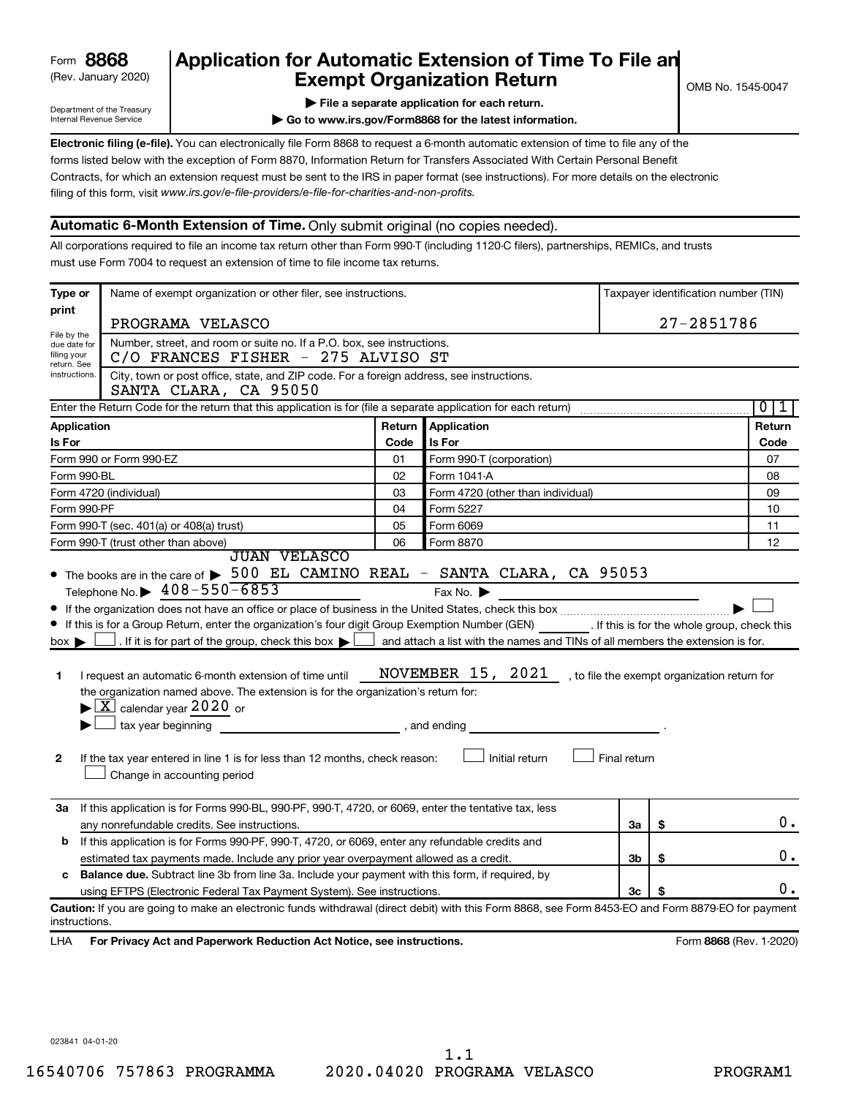| 8868<br>Form |  |
|--------------|--|
|--------------|--|

## (Rev. January 2020) **Cxempt Organization Return** Manuary 2020) and the settern **Canadian Exempt Organization Return Form 8868 Application for Automatic Extension of Time To File an**<br>**Exempt Organization Beturn**

Department of the Treasury Internal Revenue Service

|  |  |  |  | File a separate application for each return. |  |
|--|--|--|--|----------------------------------------------|--|
|  |  |  |  |                                              |  |

**| Go to www.irs.gov/Form8868 for the latest information.**

**Electronic filing (e-file).** You can electronically file Form 8868 to request a 6-month automatic extension of time to file any of the filing of this form, visit www.irs.gov/e-file-providers/e-file-for-charities-and-non-profits. forms listed below with the exception of Form 8870, Information Return for Transfers Associated With Certain Personal Benefit Contracts, for which an extension request must be sent to the IRS in paper format (see instructions). For more details on the electronic

### **Automatic 6-Month Extension of Time.** Only submit original (no copies needed).

All corporations required to file an income tax return other than Form 990-T (including 1120-C filers), partnerships, REMICs, and trusts must use Form 7004 to request an extension of time to file income tax returns.

| Type or                                    | Name of exempt organization or other filer, see instructions.                                                                                                                                                                                                                                                                                                                                                                                                                                                                                                                                                                                                                                                    |        |                                                                                      |              |            | Taxpayer identification number (TIN)            |
|--------------------------------------------|------------------------------------------------------------------------------------------------------------------------------------------------------------------------------------------------------------------------------------------------------------------------------------------------------------------------------------------------------------------------------------------------------------------------------------------------------------------------------------------------------------------------------------------------------------------------------------------------------------------------------------------------------------------------------------------------------------------|--------|--------------------------------------------------------------------------------------|--------------|------------|-------------------------------------------------|
| print                                      |                                                                                                                                                                                                                                                                                                                                                                                                                                                                                                                                                                                                                                                                                                                  |        |                                                                                      |              |            |                                                 |
| File by the                                | PROGRAMA VELASCO                                                                                                                                                                                                                                                                                                                                                                                                                                                                                                                                                                                                                                                                                                 |        |                                                                                      |              | 27-2851786 |                                                 |
| due date for<br>filing your<br>return. See | Number, street, and room or suite no. If a P.O. box, see instructions.<br>C/O FRANCES FISHER - 275 ALVISO ST                                                                                                                                                                                                                                                                                                                                                                                                                                                                                                                                                                                                     |        |                                                                                      |              |            |                                                 |
| instructions.                              | City, town or post office, state, and ZIP code. For a foreign address, see instructions.<br>SANTA CLARA, CA 95050                                                                                                                                                                                                                                                                                                                                                                                                                                                                                                                                                                                                |        |                                                                                      |              |            |                                                 |
|                                            | Enter the Return Code for the return that this application is for (file a separate application for each return)                                                                                                                                                                                                                                                                                                                                                                                                                                                                                                                                                                                                  |        |                                                                                      |              |            | $\overline{0}$<br>1                             |
| Application                                |                                                                                                                                                                                                                                                                                                                                                                                                                                                                                                                                                                                                                                                                                                                  | Return | Application                                                                          |              |            | Return                                          |
| Is For                                     |                                                                                                                                                                                                                                                                                                                                                                                                                                                                                                                                                                                                                                                                                                                  | Code   | <b>Is For</b>                                                                        |              |            | Code                                            |
|                                            | Form 990 or Form 990-EZ                                                                                                                                                                                                                                                                                                                                                                                                                                                                                                                                                                                                                                                                                          | 01     | Form 990-T (corporation)                                                             |              |            | 07                                              |
| Form 990-BL                                |                                                                                                                                                                                                                                                                                                                                                                                                                                                                                                                                                                                                                                                                                                                  | 02     | Form 1041-A                                                                          |              |            | 08                                              |
|                                            | Form 4720 (individual)                                                                                                                                                                                                                                                                                                                                                                                                                                                                                                                                                                                                                                                                                           | 03     | Form 4720 (other than individual)                                                    |              |            | 09                                              |
| Form 990-PF                                |                                                                                                                                                                                                                                                                                                                                                                                                                                                                                                                                                                                                                                                                                                                  | 04     | Form 5227                                                                            |              |            | 10                                              |
|                                            | Form 990-T (sec. 401(a) or 408(a) trust)                                                                                                                                                                                                                                                                                                                                                                                                                                                                                                                                                                                                                                                                         | 05     | Form 6069                                                                            |              |            | 11                                              |
|                                            | Form 990-T (trust other than above)<br><b>JUAN VELASCO</b>                                                                                                                                                                                                                                                                                                                                                                                                                                                                                                                                                                                                                                                       | 06     | Form 8870                                                                            |              |            | 12                                              |
| $box \blacktriangleright$<br>1<br>2        | Telephone No. $\triangleright$ 408-550-6853<br>If this is for a Group Return, enter the organization's four digit Group Exemption Number (GEN) [If this is for the whole group, check this<br>If it is for part of the group, check this box $\blacktriangleright$ and attach a list with the names and TINs of all members the extension is for.<br>I request an automatic 6-month extension of time until<br>the organization named above. The extension is for the organization's return for:<br>$\blacktriangleright$ $\lfloor$ X $\rfloor$ calendar year 2020 or<br>$\Box$ tax year beginning<br>If the tax year entered in line 1 is for less than 12 months, check reason:<br>Change in accounting period |        | Fax No. $\blacktriangleright$<br>NOVEMBER 15, 2021<br>, and ending<br>Initial return | Final return |            | , to file the exempt organization return for    |
| За                                         | If this application is for Forms 990-BL, 990-PF, 990-T, 4720, or 6069, enter the tentative tax, less<br>any nonrefundable credits. See instructions.                                                                                                                                                                                                                                                                                                                                                                                                                                                                                                                                                             |        |                                                                                      | За           | \$         | 0.                                              |
| b                                          | If this application is for Forms 990-PF, 990-T, 4720, or 6069, enter any refundable credits and                                                                                                                                                                                                                                                                                                                                                                                                                                                                                                                                                                                                                  |        |                                                                                      |              |            |                                                 |
|                                            | estimated tax payments made. Include any prior year overpayment allowed as a credit.                                                                                                                                                                                                                                                                                                                                                                                                                                                                                                                                                                                                                             |        |                                                                                      | 3b           | \$         | 0.                                              |
| с                                          | <b>Balance due.</b> Subtract line 3b from line 3a. Include your payment with this form, if required, by                                                                                                                                                                                                                                                                                                                                                                                                                                                                                                                                                                                                          |        |                                                                                      |              |            |                                                 |
|                                            | using EFTPS (Electronic Federal Tax Payment System). See instructions.                                                                                                                                                                                                                                                                                                                                                                                                                                                                                                                                                                                                                                           |        |                                                                                      | 3c           |            | О.                                              |
| instructions.                              | Caution: If you are going to make an electronic funds withdrawal (direct debit) with this Form 8868, see Form 8453-EO and Form 8879-EO for payment                                                                                                                                                                                                                                                                                                                                                                                                                                                                                                                                                               |        |                                                                                      |              |            |                                                 |
| $\overline{111}$                           | Fee Drivesy Ast and Denominals Deduction Ast Nation and instructions                                                                                                                                                                                                                                                                                                                                                                                                                                                                                                                                                                                                                                             |        |                                                                                      |              |            | $T_{\text{num}}$ 0000 $(D_{\text{out}} + 2000)$ |

LHA For Privacy Act and Paperwork Reduction Act Notice, see instructions. **8868** CREV. 1-2020)

023841 04-01-20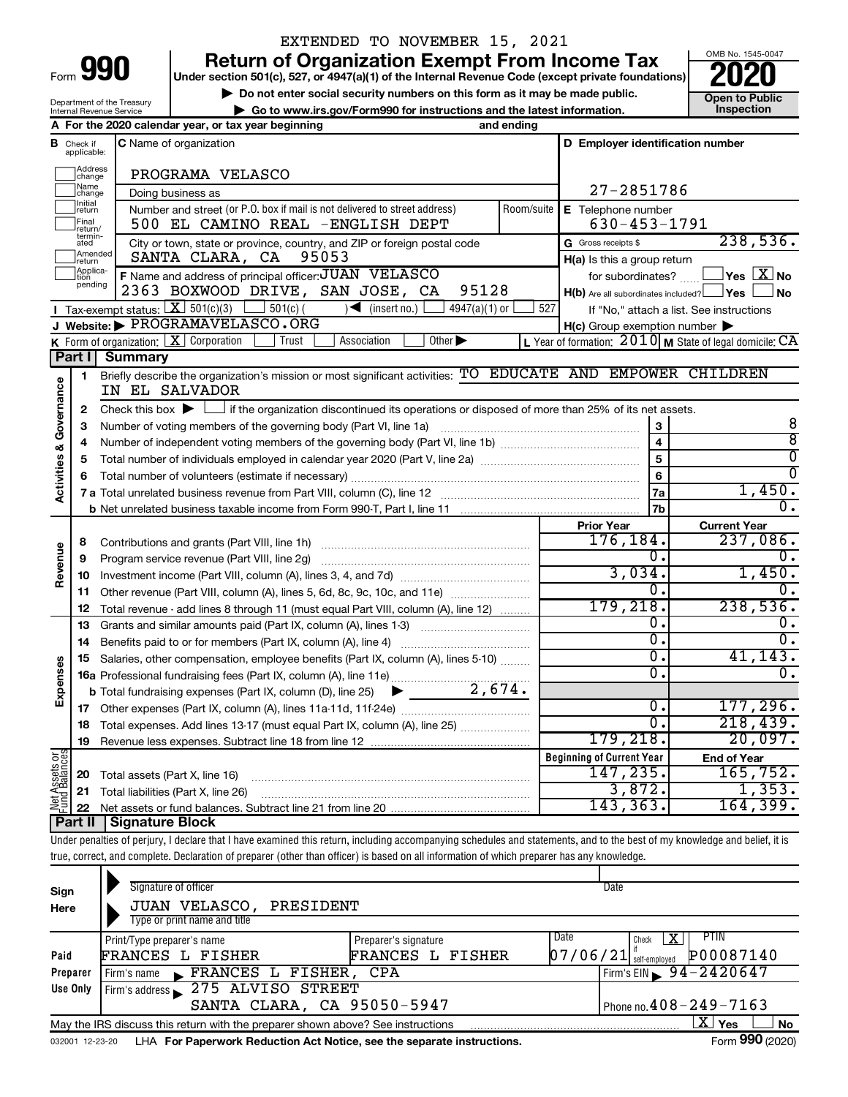# EXTENDED TO NOVEMBER 15, 2021

**990** Return of Organization Exempt From Income Tax <br>
Under section 501(c), 527, or 4947(a)(1) of the Internal Revenue Code (except private foundations)<br> **PO20** 

▶ Do not enter social security numbers on this form as it may be made public. **Dependent Open to Public Dependent Open to Public and the latest information.** Inspection **| Go to www.irs.gov/Form990 for instructions and the latest information. Inspection**



Department of the Treasury Internal Revenue Service

|                         |                               | A For the 2020 calendar year, or tax year beginning                                                                                                                        | and ending |                                                     |                                                           |
|-------------------------|-------------------------------|----------------------------------------------------------------------------------------------------------------------------------------------------------------------------|------------|-----------------------------------------------------|-----------------------------------------------------------|
|                         | <b>B</b> Check if applicable: | <b>C</b> Name of organization                                                                                                                                              |            | D Employer identification number                    |                                                           |
|                         |                               |                                                                                                                                                                            |            |                                                     |                                                           |
|                         | ]Address<br>]change           | PROGRAMA VELASCO                                                                                                                                                           |            |                                                     |                                                           |
|                         | Name<br>change                | Doing business as                                                                                                                                                          |            | 27-2851786                                          |                                                           |
|                         | Initial<br>return             | Number and street (or P.O. box if mail is not delivered to street address)                                                                                                 | Room/suite | E Telephone number                                  |                                                           |
|                         | Final<br>return/              | 500 EL CAMINO REAL -ENGLISH DEPT                                                                                                                                           |            | $630 - 453 - 1791$                                  |                                                           |
|                         | termin-<br>ated               | City or town, state or province, country, and ZIP or foreign postal code                                                                                                   |            | G Gross receipts \$                                 | 238,536.                                                  |
|                         | Amended<br>return             | SANTA CLARA, CA<br>95053                                                                                                                                                   |            | H(a) Is this a group return                         |                                                           |
|                         | Applica-<br>tion<br>pending   | F Name and address of principal officer: JUAN VELASCO                                                                                                                      |            | for subordinates?                                   | $\exists$ Yes $\boxed{\text{X}}$ No                       |
|                         |                               | 2363 BOXWOOD DRIVE, SAN JOSE, CA<br>95128                                                                                                                                  |            | H(b) Are all subordinates included? Ves             | ⊿ No                                                      |
|                         |                               | <b>I</b> Tax-exempt status: $X \ 501(c)(3)$ $1 \ 501(c)$<br>$\sqrt{\frac{1}{1}}$ (insert no.)<br>$4947(a)(1)$ or                                                           |            | 527                                                 | If "No," attach a list. See instructions                  |
|                         |                               | J Website: PROGRAMAVELASCO.ORG                                                                                                                                             |            | $H(c)$ Group exemption number $\blacktriangleright$ |                                                           |
|                         |                               | <b>K</b> Form of organization: $\boxed{\mathbf{X}}$ Corporation<br>Trust<br>Other $\blacktriangleright$<br>Association                                                     |            |                                                     | L Year of formation: $2010$ M State of legal domicile: CA |
|                         | Part I                        | <b>Summary</b>                                                                                                                                                             |            |                                                     |                                                           |
| Governance              | 1                             | Briefly describe the organization's mission or most significant activities: TO EDUCATE AND EMPOWER CHILDREN<br>IN EL SALVADOR                                              |            |                                                     |                                                           |
|                         | 2                             | Check this box $\blacktriangleright$ $\Box$ if the organization discontinued its operations or disposed of more than 25% of its net assets.                                |            |                                                     |                                                           |
|                         | 3                             |                                                                                                                                                                            |            | 3                                                   | 8                                                         |
|                         | 4                             |                                                                                                                                                                            |            | $\overline{4}$                                      | $\overline{8}$                                            |
| <b>Activities &amp;</b> | 5                             | Total number of individuals employed in calendar year 2020 (Part V, line 2a) manufacture controller to intervent                                                           |            | $\overline{5}$                                      | $\overline{\mathfrak{o}}$                                 |
|                         | 6                             |                                                                                                                                                                            |            | 6                                                   | $\overline{0}$                                            |
|                         |                               |                                                                                                                                                                            |            | 7a                                                  | 1,450.                                                    |
|                         |                               |                                                                                                                                                                            |            | 7b                                                  | $0$ .                                                     |
|                         |                               |                                                                                                                                                                            |            | <b>Prior Year</b>                                   | <b>Current Year</b>                                       |
|                         | 8                             |                                                                                                                                                                            |            | 176,184.                                            | 237,086.                                                  |
| Revenue                 | 9                             | Program service revenue (Part VIII, line 2g)                                                                                                                               |            | 0.                                                  | 0.                                                        |
|                         | 10                            |                                                                                                                                                                            |            | 3,034.<br>0.                                        | 1,450.<br>$\mathbf{0}$ .                                  |
|                         | 11                            | Other revenue (Part VIII, column (A), lines 5, 6d, 8c, 9c, 10c, and 11e)                                                                                                   |            | 179,218.                                            | 238,536.                                                  |
|                         | 12                            | Total revenue - add lines 8 through 11 (must equal Part VIII, column (A), line 12)                                                                                         |            | 0.                                                  | $\overline{0}$ .                                          |
|                         | 13                            | Grants and similar amounts paid (Part IX, column (A), lines 1-3) <i>manoronononononon</i>                                                                                  |            | $\overline{0}$ .                                    | $\overline{0}$ .                                          |
|                         | 14                            |                                                                                                                                                                            |            | $\overline{0}$ .                                    | 41, 143.                                                  |
| Expenses                | 15                            | Salaries, other compensation, employee benefits (Part IX, column (A), lines 5-10)                                                                                          |            | σ.                                                  | $\overline{0}$ .                                          |
|                         |                               |                                                                                                                                                                            |            |                                                     |                                                           |
|                         |                               |                                                                                                                                                                            |            | $\overline{0}$ .                                    | 177, 296.                                                 |
|                         |                               | 18 Total expenses. Add lines 13-17 (must equal Part IX, column (A), line 25)                                                                                               |            | $\overline{0}$ .                                    | 218,439.                                                  |
|                         | 19                            | Revenue less expenses. Subtract line 18 from line 12                                                                                                                       |            | 179, 218.                                           | 20,097.                                                   |
|                         |                               |                                                                                                                                                                            |            | <b>Beginning of Current Year</b>                    | <b>End of Year</b>                                        |
|                         | 20                            | Total assets (Part X, line 16)                                                                                                                                             |            | 147,235.                                            | 165,752.                                                  |
|                         | 21                            | Total liabilities (Part X, line 26)                                                                                                                                        |            | 3,872.                                              | 1,353.                                                    |
| Net Assets or           | 22                            |                                                                                                                                                                            |            | 143,363.                                            | 164, 399.                                                 |
|                         | Part II                       | <b>Signature Block</b>                                                                                                                                                     |            |                                                     |                                                           |
|                         |                               | Under penalties of perjury, I declare that I have examined this return, including accompanying schedules and statements, and to the best of my knowledge and belief, it is |            |                                                     |                                                           |
|                         |                               | true, correct, and complete. Declaration of preparer (other than officer) is based on all information of which preparer has any knowledge.                                 |            |                                                     |                                                           |
|                         |                               |                                                                                                                                                                            |            |                                                     |                                                           |
| Sign                    |                               | Signature of officer                                                                                                                                                       |            | Date                                                |                                                           |
| Here                    |                               | JUAN VELASCO,<br>PRESIDENT                                                                                                                                                 |            |                                                     |                                                           |
|                         |                               | Type or print name and title                                                                                                                                               |            |                                                     |                                                           |
|                         |                               | Preparer's signature<br>Print/Type preparer's name                                                                                                                         |            | Date<br>Check                                       | PTIN<br>  X                                               |
| Paid                    |                               | FRANCES L FISHER<br>FRANCES L FISHER                                                                                                                                       |            | 07/06/21<br>self-employed                           | P00087140                                                 |

|                 |             |                                                                                 | , ovn vinpro fou                   |
|-----------------|-------------|---------------------------------------------------------------------------------|------------------------------------|
| Preparer        | Firm's name | FRANCES L FISHER, CPA                                                           | $\sqrt{5}$ Firm's EIN 94 - 2420647 |
| Use Only        |             | Firm's address 275 ALVISO STREET                                                |                                    |
|                 |             | SANTA CLARA, CA 95050-5947                                                      | I Phone no. $408 - 249 - 7163$     |
|                 |             | May the IRS discuss this return with the preparer shown above? See instructions | $X \mid Y$ es<br>∣No               |
| 032001 12-23-20 |             | LHA For Paperwork Reduction Act Notice, see the separate instructions.          | Form 990 (2020)                    |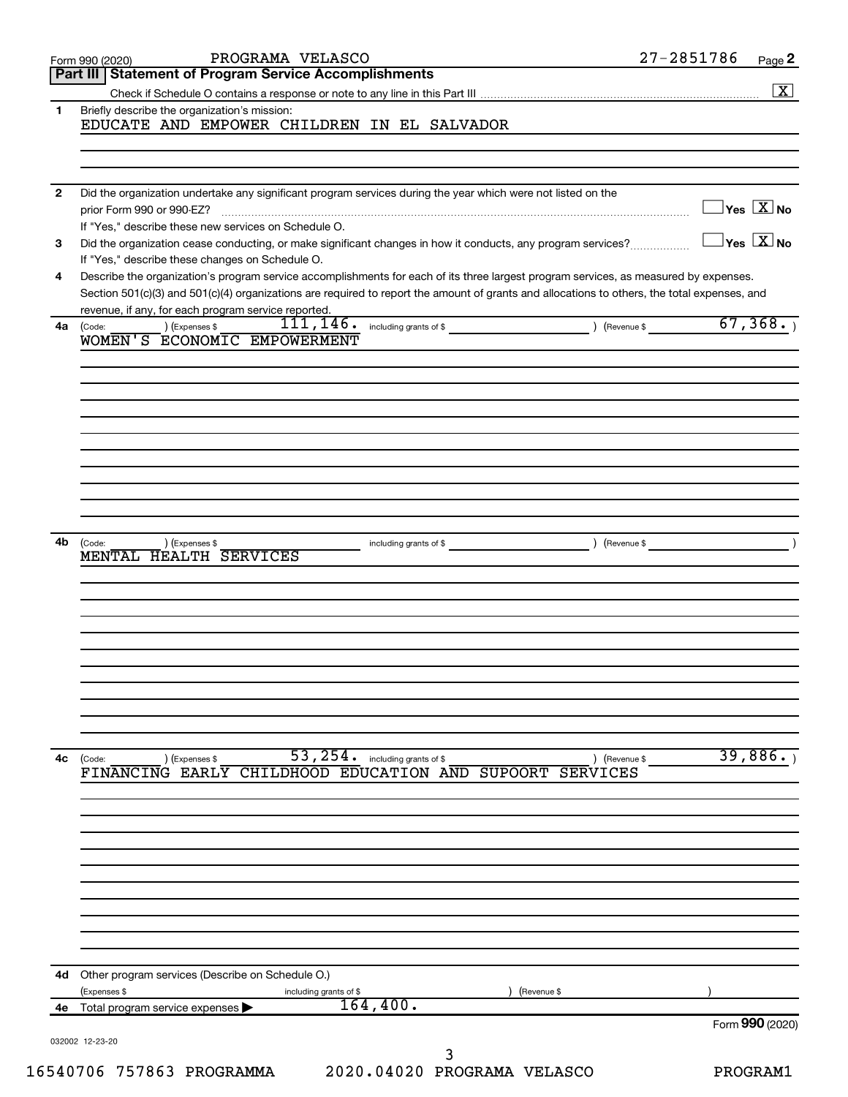|              | PROGRAMA VELASCO<br>Form 990 (2020)                                                                                                          | 27-2851786                              | Page 2               |
|--------------|----------------------------------------------------------------------------------------------------------------------------------------------|-----------------------------------------|----------------------|
|              | Part III   Statement of Program Service Accomplishments                                                                                      |                                         | $\boxed{\textbf{X}}$ |
| 1            | Briefly describe the organization's mission:                                                                                                 |                                         |                      |
|              | EDUCATE AND EMPOWER CHILDREN IN EL SALVADOR                                                                                                  |                                         |                      |
|              |                                                                                                                                              |                                         |                      |
|              |                                                                                                                                              |                                         |                      |
|              |                                                                                                                                              |                                         |                      |
| $\mathbf{2}$ | Did the organization undertake any significant program services during the year which were not listed on the                                 | $\Box$ Yes $[\overline{\mathrm{X}}]$ No |                      |
|              | prior Form 990 or 990-EZ?<br>If "Yes," describe these new services on Schedule O.                                                            |                                         |                      |
| 3            | Did the organization cease conducting, or make significant changes in how it conducts, any program services?                                 | $\exists$ Yes $\boxed{\text{X}}$ No     |                      |
|              | If "Yes," describe these changes on Schedule O.                                                                                              |                                         |                      |
| 4            | Describe the organization's program service accomplishments for each of its three largest program services, as measured by expenses.         |                                         |                      |
|              | Section 501(c)(3) and 501(c)(4) organizations are required to report the amount of grants and allocations to others, the total expenses, and |                                         |                      |
|              | revenue, if any, for each program service reported.                                                                                          |                                         |                      |
| 4a           | 111, 146.<br>including grants of \$<br>) (Revenue \$<br>(Expenses \$<br>(Code:<br>WOMEN'S ECONOMIC EMPOWERMENT                               | 67,368.                                 |                      |
|              |                                                                                                                                              |                                         |                      |
|              |                                                                                                                                              |                                         |                      |
|              |                                                                                                                                              |                                         |                      |
|              |                                                                                                                                              |                                         |                      |
|              |                                                                                                                                              |                                         |                      |
|              |                                                                                                                                              |                                         |                      |
|              |                                                                                                                                              |                                         |                      |
|              |                                                                                                                                              |                                         |                      |
|              |                                                                                                                                              |                                         |                      |
|              |                                                                                                                                              |                                         |                      |
| 4b           | ) (Revenue \$<br>(Code:                                                                                                                      |                                         |                      |
|              | (Expenses \$<br>including grants of \$<br>MENTAL HEALTH SERVICES                                                                             |                                         |                      |
|              |                                                                                                                                              |                                         |                      |
|              |                                                                                                                                              |                                         |                      |
|              |                                                                                                                                              |                                         |                      |
|              |                                                                                                                                              |                                         |                      |
|              |                                                                                                                                              |                                         |                      |
|              |                                                                                                                                              |                                         |                      |
|              |                                                                                                                                              |                                         |                      |
|              |                                                                                                                                              |                                         |                      |
|              |                                                                                                                                              |                                         |                      |
|              |                                                                                                                                              |                                         |                      |
| 4c           | $53, 254$ . including grants of \$<br>(Code:<br>(Expenses \$<br>) (Revenue \$                                                                | 39,886.                                 |                      |
|              | FINANCING EARLY CHILDHOOD EDUCATION AND SUPOORT<br><b>SERVICES</b>                                                                           |                                         |                      |
|              |                                                                                                                                              |                                         |                      |
|              |                                                                                                                                              |                                         |                      |
|              |                                                                                                                                              |                                         |                      |
|              |                                                                                                                                              |                                         |                      |
|              |                                                                                                                                              |                                         |                      |
|              |                                                                                                                                              |                                         |                      |
|              |                                                                                                                                              |                                         |                      |
|              |                                                                                                                                              |                                         |                      |
|              |                                                                                                                                              |                                         |                      |
|              |                                                                                                                                              |                                         |                      |
| 4d           | Other program services (Describe on Schedule O.)                                                                                             |                                         |                      |
|              | (Expenses \$<br>(Revenue \$<br>including grants of \$                                                                                        |                                         |                      |
| 4е           | 164,400.<br>Total program service expenses                                                                                                   |                                         |                      |
|              |                                                                                                                                              | Form 990 (2020)                         |                      |
|              | 032002 12-23-20<br>3                                                                                                                         |                                         |                      |
|              | 2020.04020 PROGRAMA VELASCO<br>16540706 757863 PROGRAMMA                                                                                     | PROGRAM1                                |                      |
|              |                                                                                                                                              |                                         |                      |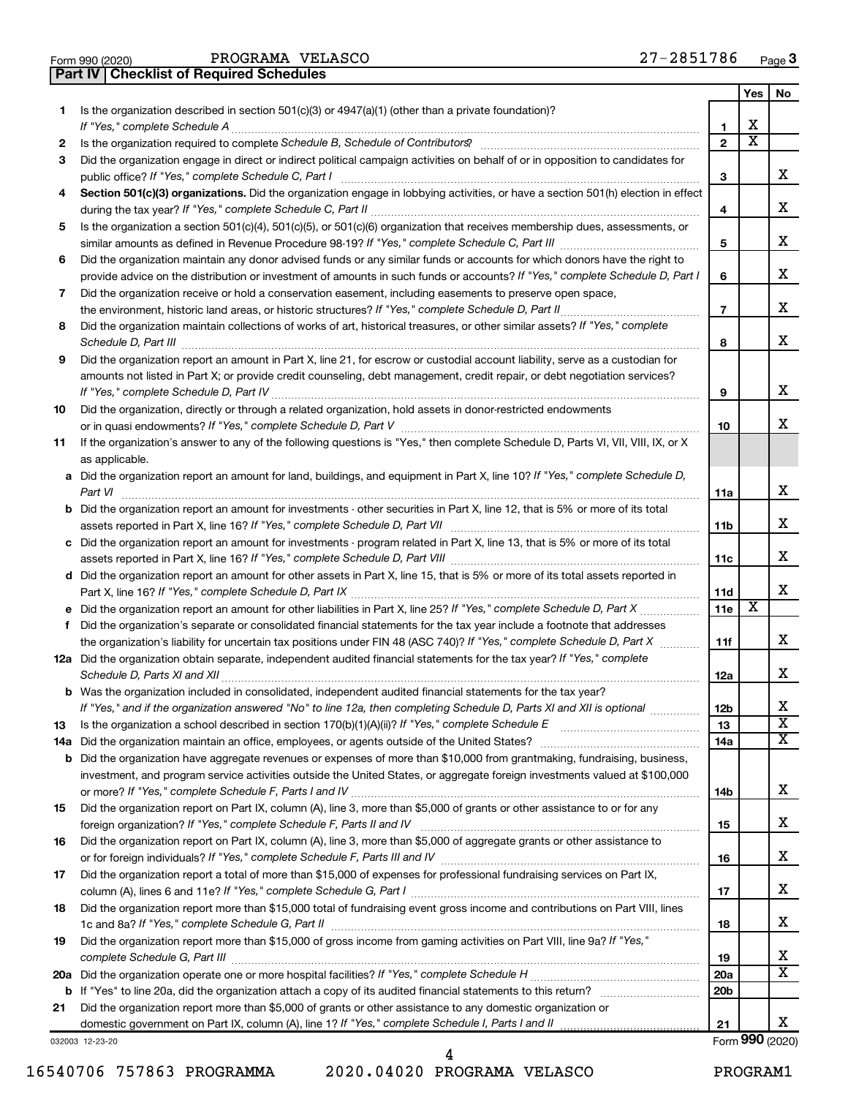|  | Form 990 (2020) |
|--|-----------------|

**Part IV Checklist of Required Schedules**

|     |                                                                                                                                       |                 | Yes                   | No                      |
|-----|---------------------------------------------------------------------------------------------------------------------------------------|-----------------|-----------------------|-------------------------|
| 1.  | Is the organization described in section 501(c)(3) or 4947(a)(1) (other than a private foundation)?                                   |                 |                       |                         |
|     | If "Yes," complete Schedule A                                                                                                         | 1               | х                     |                         |
| 2   |                                                                                                                                       | $\overline{2}$  | $\overline{\text{x}}$ |                         |
| З   | Did the organization engage in direct or indirect political campaign activities on behalf of or in opposition to candidates for       |                 |                       |                         |
|     | public office? If "Yes," complete Schedule C, Part I                                                                                  | 3               |                       | x                       |
| 4   | Section 501(c)(3) organizations. Did the organization engage in lobbying activities, or have a section 501(h) election in effect      |                 |                       |                         |
|     |                                                                                                                                       | 4               |                       | x                       |
| 5   | Is the organization a section 501(c)(4), 501(c)(5), or 501(c)(6) organization that receives membership dues, assessments, or          |                 |                       |                         |
|     |                                                                                                                                       | 5               |                       | x                       |
| 6   | Did the organization maintain any donor advised funds or any similar funds or accounts for which donors have the right to             |                 |                       | x                       |
|     | provide advice on the distribution or investment of amounts in such funds or accounts? If "Yes," complete Schedule D, Part I          | 6               |                       |                         |
| 7   | Did the organization receive or hold a conservation easement, including easements to preserve open space,                             |                 |                       | x                       |
|     | Did the organization maintain collections of works of art, historical treasures, or other similar assets? If "Yes," complete          | $\overline{7}$  |                       |                         |
| 8   |                                                                                                                                       | 8               |                       | x                       |
| 9   | Did the organization report an amount in Part X, line 21, for escrow or custodial account liability, serve as a custodian for         |                 |                       |                         |
|     | amounts not listed in Part X; or provide credit counseling, debt management, credit repair, or debt negotiation services?             |                 |                       |                         |
|     |                                                                                                                                       | 9               |                       | x                       |
| 10  | Did the organization, directly or through a related organization, hold assets in donor-restricted endowments                          |                 |                       |                         |
|     |                                                                                                                                       | 10              |                       | x                       |
| 11  | If the organization's answer to any of the following questions is "Yes," then complete Schedule D, Parts VI, VII, VIII, IX, or X      |                 |                       |                         |
|     | as applicable.                                                                                                                        |                 |                       |                         |
|     | a Did the organization report an amount for land, buildings, and equipment in Part X, line 10? If "Yes," complete Schedule D,         |                 |                       |                         |
|     |                                                                                                                                       | 11a             |                       | x                       |
|     | <b>b</b> Did the organization report an amount for investments - other securities in Part X, line 12, that is 5% or more of its total |                 |                       |                         |
|     |                                                                                                                                       | 11 <sub>b</sub> |                       | x                       |
|     | c Did the organization report an amount for investments - program related in Part X, line 13, that is 5% or more of its total         |                 |                       |                         |
|     |                                                                                                                                       | 11c             |                       | x                       |
|     | d Did the organization report an amount for other assets in Part X, line 15, that is 5% or more of its total assets reported in       |                 |                       |                         |
|     |                                                                                                                                       | 11d             |                       | X                       |
|     |                                                                                                                                       | 11e             | х                     |                         |
| f   | Did the organization's separate or consolidated financial statements for the tax year include a footnote that addresses               |                 |                       |                         |
|     | the organization's liability for uncertain tax positions under FIN 48 (ASC 740)? If "Yes," complete Schedule D, Part X                | 11f             |                       | x                       |
|     | 12a Did the organization obtain separate, independent audited financial statements for the tax year? If "Yes," complete               |                 |                       |                         |
|     |                                                                                                                                       | 12a             |                       | x                       |
|     | b Was the organization included in consolidated, independent audited financial statements for the tax year?                           |                 |                       |                         |
|     | If "Yes," and if the organization answered "No" to line 12a, then completing Schedule D, Parts XI and XII is optional                 | 12 <sub>b</sub> |                       | х                       |
| 13  |                                                                                                                                       | 13              |                       | $\overline{\textbf{x}}$ |
| 14a |                                                                                                                                       | 14a             |                       | $\overline{\mathbf{X}}$ |
|     | <b>b</b> Did the organization have aggregate revenues or expenses of more than \$10,000 from grantmaking, fundraising, business,      |                 |                       |                         |
|     | investment, and program service activities outside the United States, or aggregate foreign investments valued at \$100,000            |                 |                       |                         |
|     |                                                                                                                                       | 14b             |                       | x                       |
| 15  | Did the organization report on Part IX, column (A), line 3, more than \$5,000 of grants or other assistance to or for any             |                 |                       |                         |
|     |                                                                                                                                       | 15              |                       | x                       |
| 16  | Did the organization report on Part IX, column (A), line 3, more than \$5,000 of aggregate grants or other assistance to              |                 |                       |                         |
|     |                                                                                                                                       | 16              |                       | x                       |
| 17  | Did the organization report a total of more than \$15,000 of expenses for professional fundraising services on Part IX,               |                 |                       | x                       |
|     |                                                                                                                                       | 17              |                       |                         |
| 18  | Did the organization report more than \$15,000 total of fundraising event gross income and contributions on Part VIII, lines          |                 |                       | x                       |
|     | Did the organization report more than \$15,000 of gross income from gaming activities on Part VIII, line 9a? If "Yes,"                | 18              |                       |                         |
| 19  |                                                                                                                                       | 19              |                       | x                       |
|     |                                                                                                                                       | 20a             |                       | $\overline{\textbf{X}}$ |
|     |                                                                                                                                       | 20 <sub>b</sub> |                       |                         |
| 21  | Did the organization report more than \$5,000 of grants or other assistance to any domestic organization or                           |                 |                       |                         |
|     |                                                                                                                                       | 21              |                       | x                       |
|     | 032003 12-23-20                                                                                                                       |                 |                       | Form 990 (2020)         |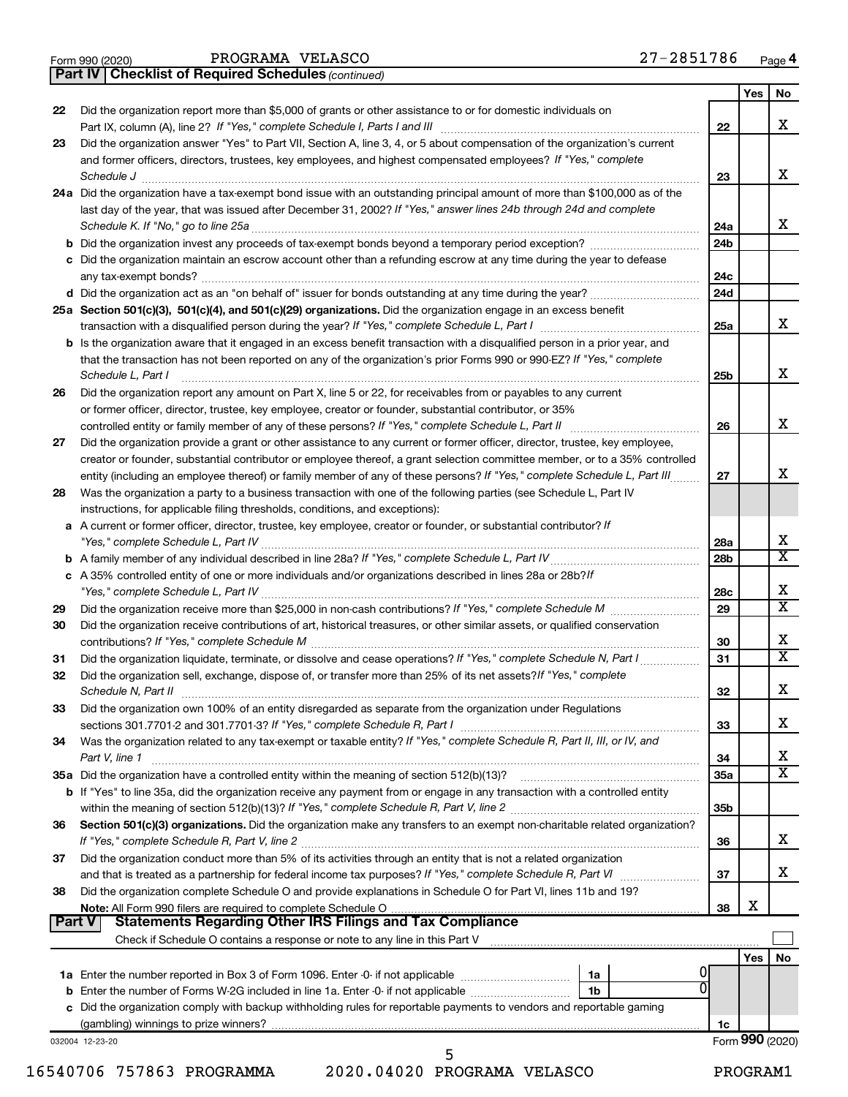|  | Form 990 (2020) |
|--|-----------------|
|  |                 |

*(continued)* **Part IV Checklist of Required Schedules**

|               |                                                                                                                                                                                                                                                                             |                 | Yes             | No                           |
|---------------|-----------------------------------------------------------------------------------------------------------------------------------------------------------------------------------------------------------------------------------------------------------------------------|-----------------|-----------------|------------------------------|
| 22            | Did the organization report more than \$5,000 of grants or other assistance to or for domestic individuals on<br>Part IX, column (A), line 2? If "Yes," complete Schedule I, Parts I and III [11] [12] [12] [12] [12] [12] [12]                                             | 22              |                 | x                            |
| 23            | Did the organization answer "Yes" to Part VII, Section A, line 3, 4, or 5 about compensation of the organization's current                                                                                                                                                  |                 |                 |                              |
|               | and former officers, directors, trustees, key employees, and highest compensated employees? If "Yes," complete<br>Schedule J                                                                                                                                                | 23              |                 | x                            |
|               | 24a Did the organization have a tax-exempt bond issue with an outstanding principal amount of more than \$100,000 as of the                                                                                                                                                 |                 |                 |                              |
|               | last day of the year, that was issued after December 31, 2002? If "Yes," answer lines 24b through 24d and complete                                                                                                                                                          |                 |                 |                              |
|               |                                                                                                                                                                                                                                                                             | 24a             |                 | x                            |
|               |                                                                                                                                                                                                                                                                             | 24 <sub>b</sub> |                 |                              |
|               | c Did the organization maintain an escrow account other than a refunding escrow at any time during the year to defease                                                                                                                                                      |                 |                 |                              |
|               |                                                                                                                                                                                                                                                                             | 24c             |                 |                              |
|               |                                                                                                                                                                                                                                                                             | 24d             |                 |                              |
|               | 25a Section 501(c)(3), 501(c)(4), and 501(c)(29) organizations. Did the organization engage in an excess benefit                                                                                                                                                            |                 |                 |                              |
|               |                                                                                                                                                                                                                                                                             | 25a             |                 | x                            |
|               | b Is the organization aware that it engaged in an excess benefit transaction with a disqualified person in a prior year, and<br>that the transaction has not been reported on any of the organization's prior Forms 990 or 990-EZ? If "Yes," complete<br>Schedule L, Part I | 25b             |                 | х                            |
| 26            | Did the organization report any amount on Part X, line 5 or 22, for receivables from or payables to any current                                                                                                                                                             |                 |                 |                              |
|               | or former officer, director, trustee, key employee, creator or founder, substantial contributor, or 35%                                                                                                                                                                     |                 |                 |                              |
|               |                                                                                                                                                                                                                                                                             | 26              |                 | х                            |
| 27            | Did the organization provide a grant or other assistance to any current or former officer, director, trustee, key employee,<br>creator or founder, substantial contributor or employee thereof, a grant selection committee member, or to a 35% controlled                  |                 |                 |                              |
|               | entity (including an employee thereof) or family member of any of these persons? If "Yes," complete Schedule L, Part III                                                                                                                                                    | 27              |                 | х                            |
| 28            | Was the organization a party to a business transaction with one of the following parties (see Schedule L, Part IV                                                                                                                                                           |                 |                 |                              |
|               | instructions, for applicable filing thresholds, conditions, and exceptions):                                                                                                                                                                                                |                 |                 |                              |
|               | a A current or former officer, director, trustee, key employee, creator or founder, or substantial contributor? If                                                                                                                                                          |                 |                 |                              |
|               |                                                                                                                                                                                                                                                                             | 28a             |                 | х                            |
|               |                                                                                                                                                                                                                                                                             | 28 <sub>b</sub> |                 | X                            |
|               | c A 35% controlled entity of one or more individuals and/or organizations described in lines 28a or 28b?If                                                                                                                                                                  |                 |                 |                              |
|               |                                                                                                                                                                                                                                                                             | 28c             |                 | х<br>$\overline{\textbf{x}}$ |
| 29            |                                                                                                                                                                                                                                                                             | 29              |                 |                              |
| 30            | Did the organization receive contributions of art, historical treasures, or other similar assets, or qualified conservation                                                                                                                                                 | 30              |                 | x                            |
| 31            | Did the organization liquidate, terminate, or dissolve and cease operations? If "Yes," complete Schedule N, Part I                                                                                                                                                          | 31              |                 | $\overline{\mathbf{X}}$      |
| 32            | Did the organization sell, exchange, dispose of, or transfer more than 25% of its net assets? If "Yes," complete<br>Schedule N, Part II                                                                                                                                     | 32              |                 | х                            |
| 33            | Did the organization own 100% of an entity disregarded as separate from the organization under Regulations                                                                                                                                                                  |                 |                 |                              |
|               |                                                                                                                                                                                                                                                                             | 33              |                 | х                            |
| 34            | Was the organization related to any tax-exempt or taxable entity? If "Yes," complete Schedule R, Part II, III, or IV, and                                                                                                                                                   |                 |                 |                              |
|               | Part V, line 1                                                                                                                                                                                                                                                              | 34              |                 | х                            |
|               |                                                                                                                                                                                                                                                                             | 35a             |                 | $\overline{\mathbf{X}}$      |
|               | b If "Yes" to line 35a, did the organization receive any payment from or engage in any transaction with a controlled entity                                                                                                                                                 |                 |                 |                              |
|               |                                                                                                                                                                                                                                                                             | 35b             |                 |                              |
| 36            | Section 501(c)(3) organizations. Did the organization make any transfers to an exempt non-charitable related organization?                                                                                                                                                  |                 |                 |                              |
|               |                                                                                                                                                                                                                                                                             | 36              |                 | x                            |
| 37            | Did the organization conduct more than 5% of its activities through an entity that is not a related organization                                                                                                                                                            |                 |                 |                              |
|               |                                                                                                                                                                                                                                                                             | 37              |                 | x                            |
| 38            | Did the organization complete Schedule O and provide explanations in Schedule O for Part VI, lines 11b and 19?                                                                                                                                                              |                 |                 |                              |
| <b>Part V</b> | <b>Statements Regarding Other IRS Filings and Tax Compliance</b>                                                                                                                                                                                                            | 38              | X               |                              |
|               |                                                                                                                                                                                                                                                                             |                 |                 |                              |
|               |                                                                                                                                                                                                                                                                             |                 |                 | No                           |
|               | 1a                                                                                                                                                                                                                                                                          |                 | Yes             |                              |
|               | $\Omega$<br>1b                                                                                                                                                                                                                                                              |                 |                 |                              |
|               | c Did the organization comply with backup withholding rules for reportable payments to vendors and reportable gaming                                                                                                                                                        |                 |                 |                              |
|               |                                                                                                                                                                                                                                                                             | 1c              |                 |                              |
|               | 032004 12-23-20                                                                                                                                                                                                                                                             |                 | Form 990 (2020) |                              |
|               | 5                                                                                                                                                                                                                                                                           |                 |                 |                              |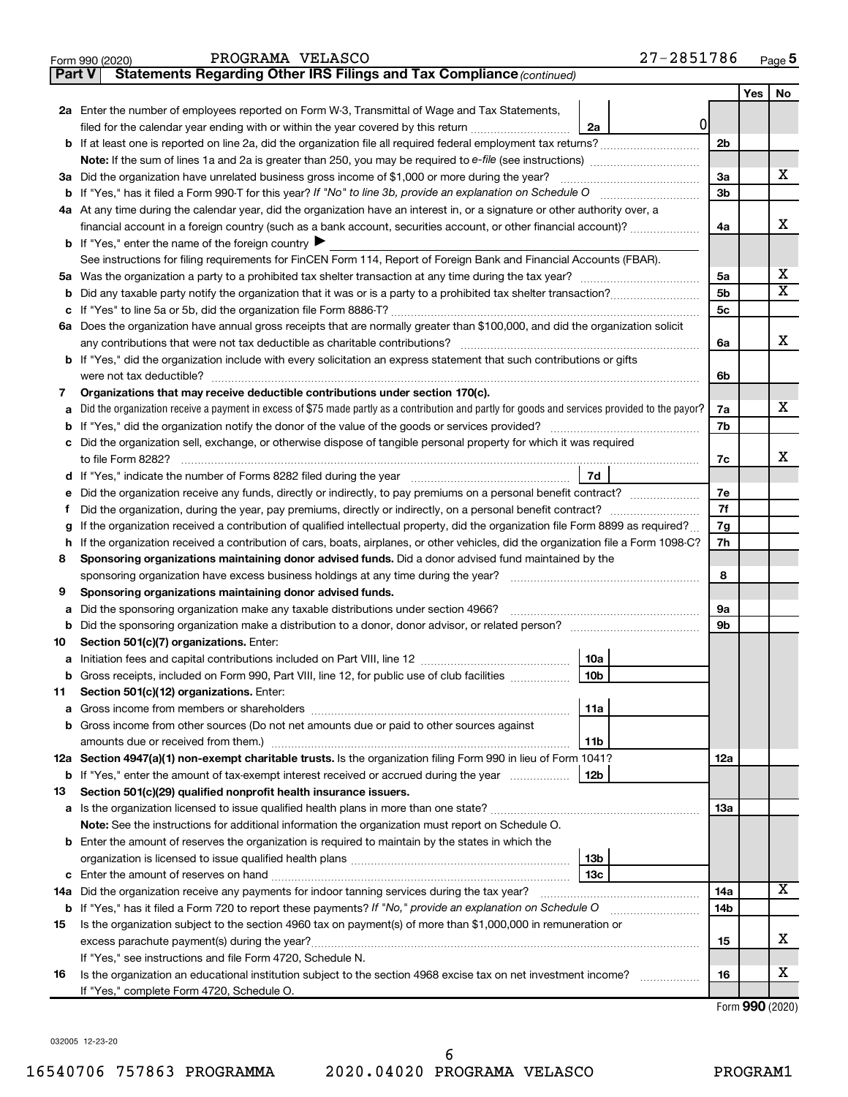|    |                                                                                                                                                 |    |                | Yes | No                           |  |  |  |
|----|-------------------------------------------------------------------------------------------------------------------------------------------------|----|----------------|-----|------------------------------|--|--|--|
|    | 2a Enter the number of employees reported on Form W-3, Transmittal of Wage and Tax Statements,                                                  |    |                |     |                              |  |  |  |
|    | filed for the calendar year ending with or within the year covered by this return <i>[[[[[[[[[[[[[[]]]</i> ]]]<br>2a                            | 01 |                |     |                              |  |  |  |
|    | b If at least one is reported on line 2a, did the organization file all required federal employment tax returns?                                |    | 2 <sub>b</sub> |     |                              |  |  |  |
|    |                                                                                                                                                 |    |                |     |                              |  |  |  |
|    | 3a Did the organization have unrelated business gross income of \$1,000 or more during the year?                                                |    | За             |     | х                            |  |  |  |
|    |                                                                                                                                                 |    | 3b             |     |                              |  |  |  |
|    | 4a At any time during the calendar year, did the organization have an interest in, or a signature or other authority over, a                    |    |                |     |                              |  |  |  |
|    | financial account in a foreign country (such as a bank account, securities account, or other financial account)?                                |    | 4a             |     | x                            |  |  |  |
|    | <b>b</b> If "Yes," enter the name of the foreign country $\blacktriangleright$                                                                  |    |                |     |                              |  |  |  |
|    | See instructions for filing requirements for FinCEN Form 114, Report of Foreign Bank and Financial Accounts (FBAR).                             |    |                |     |                              |  |  |  |
| 5а |                                                                                                                                                 |    | 5a             |     | х<br>$\overline{\texttt{x}}$ |  |  |  |
| b  |                                                                                                                                                 |    | 5b             |     |                              |  |  |  |
| c  |                                                                                                                                                 |    | 5c             |     |                              |  |  |  |
|    | 6a Does the organization have annual gross receipts that are normally greater than \$100,000, and did the organization solicit                  |    |                |     | x                            |  |  |  |
|    | <b>b</b> If "Yes," did the organization include with every solicitation an express statement that such contributions or gifts                   |    | 6a             |     |                              |  |  |  |
|    |                                                                                                                                                 |    | 6b             |     |                              |  |  |  |
| 7  | Organizations that may receive deductible contributions under section 170(c).                                                                   |    |                |     |                              |  |  |  |
| a  | Did the organization receive a payment in excess of \$75 made partly as a contribution and partly for goods and services provided to the payor? |    | 7a             |     | x.                           |  |  |  |
| b  |                                                                                                                                                 |    | 7b             |     |                              |  |  |  |
|    | Did the organization sell, exchange, or otherwise dispose of tangible personal property for which it was required                               |    |                |     |                              |  |  |  |
|    | to file Form 8282?                                                                                                                              |    | 7c             |     | x.                           |  |  |  |
| d  | 7d                                                                                                                                              |    |                |     |                              |  |  |  |
| е  | Did the organization receive any funds, directly or indirectly, to pay premiums on a personal benefit contract?                                 |    | 7е             |     |                              |  |  |  |
| f  |                                                                                                                                                 |    | 7f             |     |                              |  |  |  |
| g  | If the organization received a contribution of qualified intellectual property, did the organization file Form 8899 as required?                |    |                |     |                              |  |  |  |
| h  | If the organization received a contribution of cars, boats, airplanes, or other vehicles, did the organization file a Form 1098-C?              |    |                |     |                              |  |  |  |
| 8  | Sponsoring organizations maintaining donor advised funds. Did a donor advised fund maintained by the                                            |    |                |     |                              |  |  |  |
|    |                                                                                                                                                 |    |                |     |                              |  |  |  |
| 9  | Sponsoring organizations maintaining donor advised funds.                                                                                       |    |                |     |                              |  |  |  |
| а  | Did the sponsoring organization make any taxable distributions under section 4966?                                                              |    | 9а             |     |                              |  |  |  |
| b  |                                                                                                                                                 |    | 9b             |     |                              |  |  |  |
| 10 | Section 501(c)(7) organizations. Enter:                                                                                                         |    |                |     |                              |  |  |  |
| а  | 10a                                                                                                                                             |    |                |     |                              |  |  |  |
| b  | 10 <sub>b</sub><br>Gross receipts, included on Form 990, Part VIII, line 12, for public use of club facilities                                  |    |                |     |                              |  |  |  |
| 11 | Section 501(c)(12) organizations. Enter:<br> 11a                                                                                                |    |                |     |                              |  |  |  |
|    |                                                                                                                                                 |    |                |     |                              |  |  |  |
|    | Gross income from other sources (Do not net amounts due or paid to other sources against<br>amounts due or received from them.)<br>11b          |    |                |     |                              |  |  |  |
|    | 12a Section 4947(a)(1) non-exempt charitable trusts. Is the organization filing Form 990 in lieu of Form 1041?                                  |    | 12a            |     |                              |  |  |  |
|    | 12b<br><b>b</b> If "Yes," enter the amount of tax-exempt interest received or accrued during the year                                           |    |                |     |                              |  |  |  |
| 13 | Section 501(c)(29) qualified nonprofit health insurance issuers.                                                                                |    |                |     |                              |  |  |  |
| а  | Is the organization licensed to issue qualified health plans in more than one state?                                                            |    | 1За            |     |                              |  |  |  |
|    | Note: See the instructions for additional information the organization must report on Schedule O.                                               |    |                |     |                              |  |  |  |
| b  | Enter the amount of reserves the organization is required to maintain by the states in which the                                                |    |                |     |                              |  |  |  |
|    | 13 <sub>b</sub>                                                                                                                                 |    |                |     |                              |  |  |  |
| с  | 13с                                                                                                                                             |    |                |     |                              |  |  |  |
|    | 14a Did the organization receive any payments for indoor tanning services during the tax year?                                                  |    | 14a            |     | х                            |  |  |  |
|    | <b>b</b> If "Yes," has it filed a Form 720 to report these payments? If "No," provide an explanation on Schedule O                              |    | 14b            |     |                              |  |  |  |
| 15 | Is the organization subject to the section 4960 tax on payment(s) of more than \$1,000,000 in remuneration or                                   |    |                |     |                              |  |  |  |
|    |                                                                                                                                                 |    | 15             |     | x                            |  |  |  |
|    | If "Yes," see instructions and file Form 4720, Schedule N.                                                                                      |    |                |     |                              |  |  |  |
| 16 | Is the organization an educational institution subject to the section 4968 excise tax on net investment income?                                 |    | 16             |     | x                            |  |  |  |
|    | If "Yes," complete Form 4720, Schedule O.                                                                                                       |    |                |     |                              |  |  |  |

Form (2020) **990**

032005 12-23-20

**Part V** Statements Regarding Other IRS Filings and Tax Compliance (continued)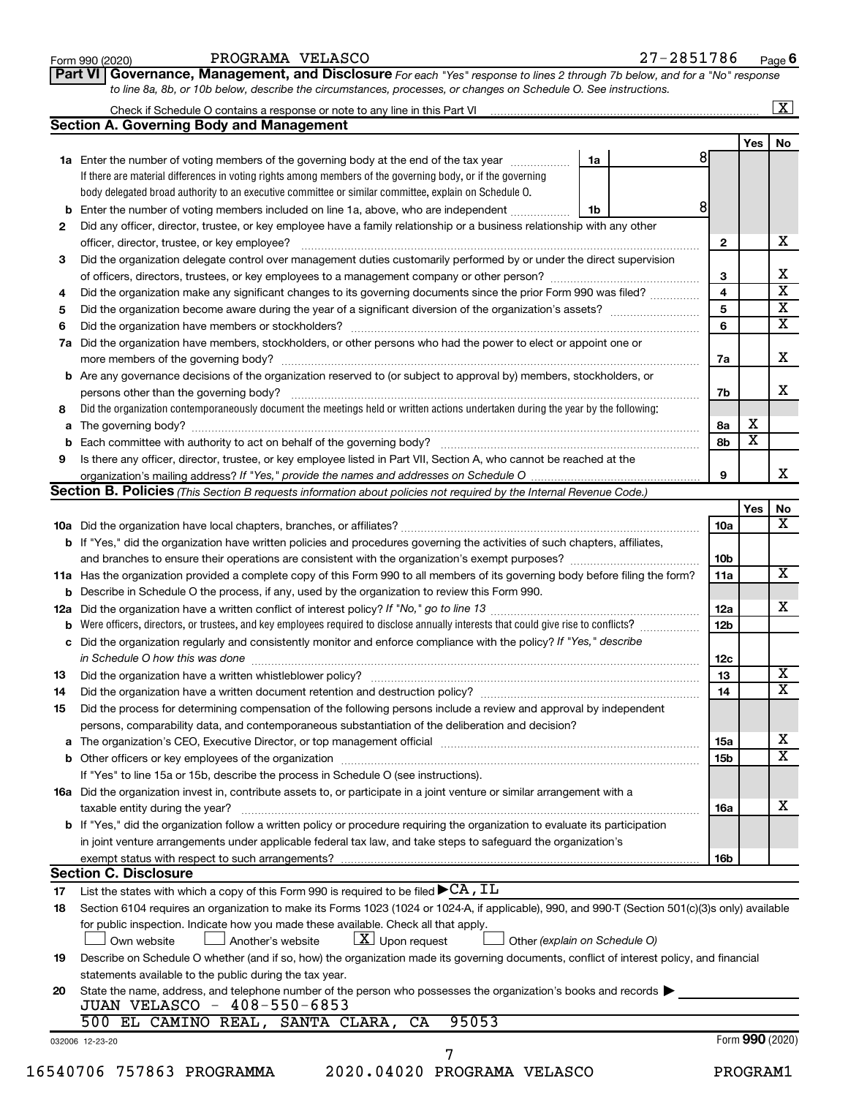|     |                                                                                                                                                                                                                         |    |                         |                         | $\boxed{\text{X}}$      |
|-----|-------------------------------------------------------------------------------------------------------------------------------------------------------------------------------------------------------------------------|----|-------------------------|-------------------------|-------------------------|
|     | <b>Section A. Governing Body and Management</b>                                                                                                                                                                         |    |                         |                         |                         |
|     |                                                                                                                                                                                                                         |    |                         | Yes                     | No                      |
|     | 1a Enter the number of voting members of the governing body at the end of the tax year manuscom                                                                                                                         | 1a |                         |                         |                         |
|     | If there are material differences in voting rights among members of the governing body, or if the governing                                                                                                             |    |                         |                         |                         |
|     | body delegated broad authority to an executive committee or similar committee, explain on Schedule O.                                                                                                                   |    |                         |                         |                         |
|     | <b>b</b> Enter the number of voting members included on line 1a, above, who are independent                                                                                                                             | 1b | 8                       |                         |                         |
| 2   | Did any officer, director, trustee, or key employee have a family relationship or a business relationship with any other<br>officer, director, trustee, or key employee?                                                |    | $\mathbf{2}$            |                         | х                       |
| 3   | Did the organization delegate control over management duties customarily performed by or under the direct supervision                                                                                                   |    | 3                       |                         | х                       |
| 4   | Did the organization make any significant changes to its governing documents since the prior Form 990 was filed?                                                                                                        |    | $\overline{\mathbf{4}}$ |                         | $\overline{\mathtt{x}}$ |
| 5   |                                                                                                                                                                                                                         |    | 5                       |                         | $\overline{\textbf{X}}$ |
| 6   |                                                                                                                                                                                                                         |    | 6                       |                         | $\overline{\mathtt{x}}$ |
| 7a  | Did the organization have members, stockholders, or other persons who had the power to elect or appoint one or                                                                                                          |    |                         |                         | X                       |
|     |                                                                                                                                                                                                                         |    | 7a                      |                         |                         |
|     | <b>b</b> Are any governance decisions of the organization reserved to (or subject to approval by) members, stockholders, or<br>persons other than the governing body?                                                   |    | 7b                      |                         | x                       |
| 8   | Did the organization contemporaneously document the meetings held or written actions undertaken during the year by the following:                                                                                       |    |                         |                         |                         |
| a   |                                                                                                                                                                                                                         |    | 8а                      | х                       |                         |
| b   |                                                                                                                                                                                                                         |    | 8b                      | $\overline{\textbf{x}}$ |                         |
| 9   | Is there any officer, director, trustee, or key employee listed in Part VII, Section A, who cannot be reached at the                                                                                                    |    | 9                       |                         | x                       |
|     | Section B. Policies (This Section B requests information about policies not required by the Internal Revenue Code.)                                                                                                     |    |                         |                         |                         |
|     |                                                                                                                                                                                                                         |    |                         |                         |                         |
|     |                                                                                                                                                                                                                         |    |                         | Yes                     | No<br>X                 |
|     |                                                                                                                                                                                                                         |    | 10a                     |                         |                         |
|     | b If "Yes," did the organization have written policies and procedures governing the activities of such chapters, affiliates,                                                                                            |    |                         |                         |                         |
|     |                                                                                                                                                                                                                         |    | 10b                     |                         |                         |
|     | 11a Has the organization provided a complete copy of this Form 990 to all members of its governing body before filing the form?                                                                                         |    | 11a                     |                         | $\overline{\mathbf{x}}$ |
|     | <b>b</b> Describe in Schedule O the process, if any, used by the organization to review this Form 990.                                                                                                                  |    |                         |                         |                         |
| 12a |                                                                                                                                                                                                                         |    | 12a                     |                         | x                       |
| b   | Were officers, directors, or trustees, and key employees required to disclose annually interests that could give rise to conflicts?                                                                                     |    | 12 <sub>b</sub>         |                         |                         |
|     | c Did the organization regularly and consistently monitor and enforce compliance with the policy? If "Yes," describe                                                                                                    |    | 12c                     |                         |                         |
| 13  |                                                                                                                                                                                                                         |    | 13                      |                         | $\overline{\text{X}}$   |
| 14  | Did the organization have a written document retention and destruction policy? [111] [12] manument contains an                                                                                                          |    | 14                      |                         | $\overline{\mathtt{x}}$ |
| 15  | Did the process for determining compensation of the following persons include a review and approval by independent<br>persons, comparability data, and contemporaneous substantiation of the deliberation and decision? |    |                         |                         |                         |
|     |                                                                                                                                                                                                                         |    |                         |                         | х                       |
| а   |                                                                                                                                                                                                                         |    | 15a                     |                         | $\overline{\mathtt{x}}$ |
|     |                                                                                                                                                                                                                         |    | <b>15b</b>              |                         |                         |
|     | If "Yes" to line 15a or 15b, describe the process in Schedule O (see instructions).                                                                                                                                     |    |                         |                         |                         |
|     | 16a Did the organization invest in, contribute assets to, or participate in a joint venture or similar arrangement with a                                                                                               |    |                         |                         |                         |
|     | taxable entity during the year?                                                                                                                                                                                         |    | 16a                     |                         | x                       |
|     | b If "Yes," did the organization follow a written policy or procedure requiring the organization to evaluate its participation                                                                                          |    |                         |                         |                         |
|     | in joint venture arrangements under applicable federal tax law, and take steps to safeguard the organization's                                                                                                          |    |                         |                         |                         |
|     | exempt status with respect to such arrangements?                                                                                                                                                                        |    | 16b                     |                         |                         |
|     | <b>Section C. Disclosure</b>                                                                                                                                                                                            |    |                         |                         |                         |
| 17  | List the states with which a copy of this Form 990 is required to be filed $\blacktriangleright$ CA, IL                                                                                                                 |    |                         |                         |                         |
| 18  | Section 6104 requires an organization to make its Forms 1023 (1024 or 1024-A, if applicable), 990, and 990-T (Section 501(c)(3)s only) available                                                                        |    |                         |                         |                         |
|     | for public inspection. Indicate how you made these available. Check all that apply.                                                                                                                                     |    |                         |                         |                         |
|     | $\lfloor x \rfloor$ Upon request<br>Own website<br>Another's website<br>Other (explain on Schedule O)                                                                                                                   |    |                         |                         |                         |
| 19  | Describe on Schedule O whether (and if so, how) the organization made its governing documents, conflict of interest policy, and financial                                                                               |    |                         |                         |                         |
|     | statements available to the public during the tax year.                                                                                                                                                                 |    |                         |                         |                         |
|     |                                                                                                                                                                                                                         |    |                         |                         |                         |
| 20  | State the name, address, and telephone number of the person who possesses the organization's books and records $\blacktriangleright$                                                                                    |    |                         |                         |                         |
|     | JUAN VELASCO - 408-550-6853                                                                                                                                                                                             |    |                         |                         |                         |
|     | 95053<br>500 EL CAMINO REAL, SANTA CLARA,<br>CA                                                                                                                                                                         |    |                         |                         |                         |
|     | 032006 12-23-20                                                                                                                                                                                                         |    |                         | Form 990 (2020)         |                         |
|     | 7<br>16540706 757863 PROGRAMMA<br>2020.04020 PROGRAMA VELASCO                                                                                                                                                           |    |                         | PROGRAM1                |                         |
|     |                                                                                                                                                                                                                         |    |                         |                         |                         |

Form 990 (2020) PROGRAMA VELASCO Page

PROGRAMA VELASCO 27-2851786

27-2851786 Page 6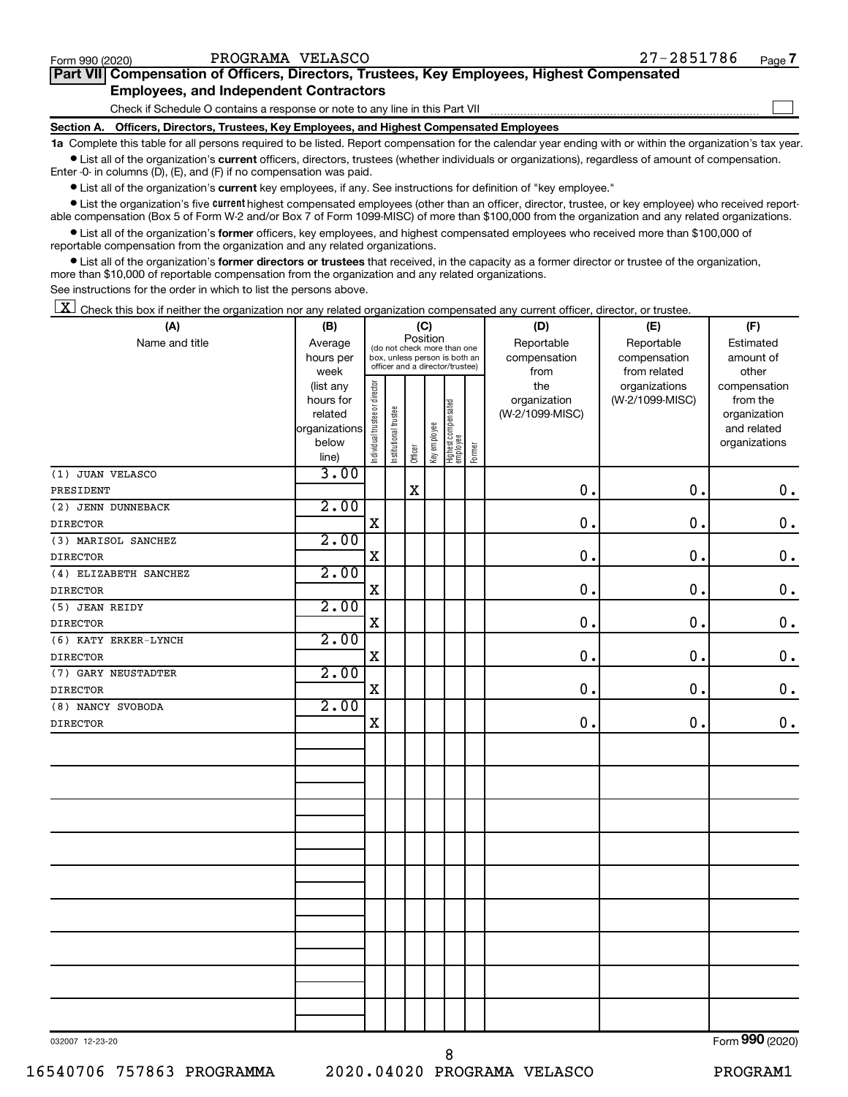$\Box$ 

| Part VII Compensation of Officers, Directors, Trustees, Key Employees, Highest Compensated |  |  |  |
|--------------------------------------------------------------------------------------------|--|--|--|
| <b>Employees, and Independent Contractors</b>                                              |  |  |  |

Check if Schedule O contains a response or note to any line in this Part VII

**Section A. Officers, Directors, Trustees, Key Employees, and Highest Compensated Employees**

**1a**  Complete this table for all persons required to be listed. Report compensation for the calendar year ending with or within the organization's tax year.  $\bullet$  List all of the organization's current officers, directors, trustees (whether individuals or organizations), regardless of amount of compensation.

Enter -0- in columns (D), (E), and (F) if no compensation was paid.

**•** List all of the organization's current key employees, if any. See instructions for definition of "key employee."

• List the organization's five *current* highest compensated employees (other than an officer, director, trustee, or key employee) who received reportable compensation (Box 5 of Form W-2 and/or Box 7 of Form 1099-MISC) of more than \$100,000 from the organization and any related organizations.

 $\bullet$  List all of the organization's former officers, key employees, and highest compensated employees who received more than \$100,000 of reportable compensation from the organization and any related organizations.

**•** List all of the organization's former directors or trustees that received, in the capacity as a former director or trustee of the organization, more than \$10,000 of reportable compensation from the organization and any related organizations.

See instructions for the order in which to list the persons above.

 $\boxed{\textbf{X}}$  Check this box if neither the organization nor any related organization compensated any current officer, director, or trustee.

| (A)                   | (B)           | (C)                                                              |                       |             |              |                                 |        | (D)             | (E)             | (F)             |
|-----------------------|---------------|------------------------------------------------------------------|-----------------------|-------------|--------------|---------------------------------|--------|-----------------|-----------------|-----------------|
| Name and title        | Average       | Position<br>(do not check more than one                          |                       |             |              |                                 |        | Reportable      | Reportable      | Estimated       |
|                       | hours per     | box, unless person is both an<br>officer and a director/trustee) |                       |             |              |                                 |        | compensation    | compensation    | amount of       |
|                       | week          |                                                                  |                       |             |              |                                 |        | from            | from related    | other           |
|                       | (list any     |                                                                  |                       |             |              |                                 |        | the             | organizations   | compensation    |
|                       | hours for     |                                                                  |                       |             |              |                                 |        | organization    | (W-2/1099-MISC) | from the        |
|                       | related       |                                                                  |                       |             |              |                                 |        | (W-2/1099-MISC) |                 | organization    |
|                       | organizations |                                                                  |                       |             |              |                                 |        |                 |                 | and related     |
|                       | below         | Individual trustee or director                                   | Institutional trustee | Officer     | Key employee | Highest compensated<br>employee | Former |                 |                 | organizations   |
|                       | line)         |                                                                  |                       |             |              |                                 |        |                 |                 |                 |
| (1) JUAN VELASCO      | 3.00          |                                                                  |                       |             |              |                                 |        |                 |                 |                 |
| PRESIDENT             |               |                                                                  |                       | $\mathbf X$ |              |                                 |        | $\mathbf 0$ .   | 0.              | $\mathbf 0$ .   |
| (2) JENN DUNNEBACK    | 2.00          |                                                                  |                       |             |              |                                 |        |                 |                 |                 |
| <b>DIRECTOR</b>       |               | $\mathbf X$                                                      |                       |             |              |                                 |        | $\mathbf 0$ .   | $\mathbf 0$ .   | $\mathbf 0$ .   |
| (3) MARISOL SANCHEZ   | 2.00          |                                                                  |                       |             |              |                                 |        |                 |                 |                 |
| <b>DIRECTOR</b>       |               | $\mathbf X$                                                      |                       |             |              |                                 |        | $\mathbf 0$ .   | 0.              | $\mathbf 0$ .   |
| (4) ELIZABETH SANCHEZ | 2.00          |                                                                  |                       |             |              |                                 |        |                 |                 |                 |
| <b>DIRECTOR</b>       |               | X                                                                |                       |             |              |                                 |        | 0.              | $\mathbf 0$ .   | $\mathbf 0$ .   |
| (5) JEAN REIDY        | 2.00          |                                                                  |                       |             |              |                                 |        |                 |                 |                 |
| <b>DIRECTOR</b>       |               | $\mathbf X$                                                      |                       |             |              |                                 |        | $\mathbf 0$ .   | $\mathbf 0$ .   | $\mathbf 0$ .   |
| (6) KATY ERKER-LYNCH  | 2.00          |                                                                  |                       |             |              |                                 |        |                 |                 |                 |
| <b>DIRECTOR</b>       |               | $\mathbf X$                                                      |                       |             |              |                                 |        | $\mathbf 0$ .   | $\mathbf 0$ .   | $\mathbf 0$ .   |
| (7) GARY NEUSTADTER   | 2.00          |                                                                  |                       |             |              |                                 |        |                 |                 |                 |
| <b>DIRECTOR</b>       |               | $\mathbf X$                                                      |                       |             |              |                                 |        | $\mathbf 0$ .   | $\mathbf 0$ .   | $\mathbf 0$ .   |
| (8) NANCY SVOBODA     | 2.00          |                                                                  |                       |             |              |                                 |        |                 |                 |                 |
| <b>DIRECTOR</b>       |               | X                                                                |                       |             |              |                                 |        | $\mathbf 0$ .   | 0.              | 0.              |
|                       |               |                                                                  |                       |             |              |                                 |        |                 |                 |                 |
|                       |               |                                                                  |                       |             |              |                                 |        |                 |                 |                 |
|                       |               |                                                                  |                       |             |              |                                 |        |                 |                 |                 |
|                       |               |                                                                  |                       |             |              |                                 |        |                 |                 |                 |
|                       |               |                                                                  |                       |             |              |                                 |        |                 |                 |                 |
|                       |               |                                                                  |                       |             |              |                                 |        |                 |                 |                 |
|                       |               |                                                                  |                       |             |              |                                 |        |                 |                 |                 |
|                       |               |                                                                  |                       |             |              |                                 |        |                 |                 |                 |
|                       |               |                                                                  |                       |             |              |                                 |        |                 |                 |                 |
|                       |               |                                                                  |                       |             |              |                                 |        |                 |                 |                 |
|                       |               |                                                                  |                       |             |              |                                 |        |                 |                 |                 |
|                       |               |                                                                  |                       |             |              |                                 |        |                 |                 |                 |
|                       |               |                                                                  |                       |             |              |                                 |        |                 |                 |                 |
|                       |               |                                                                  |                       |             |              |                                 |        |                 |                 |                 |
|                       |               |                                                                  |                       |             |              |                                 |        |                 |                 |                 |
|                       |               |                                                                  |                       |             |              |                                 |        |                 |                 |                 |
|                       |               |                                                                  |                       |             |              |                                 |        |                 |                 |                 |
|                       |               |                                                                  |                       |             |              |                                 |        |                 |                 |                 |
|                       |               |                                                                  |                       |             |              |                                 |        |                 |                 |                 |
| 032007 12-23-20       |               |                                                                  |                       |             |              |                                 |        |                 |                 | Form 990 (2020) |

032007 12-23-20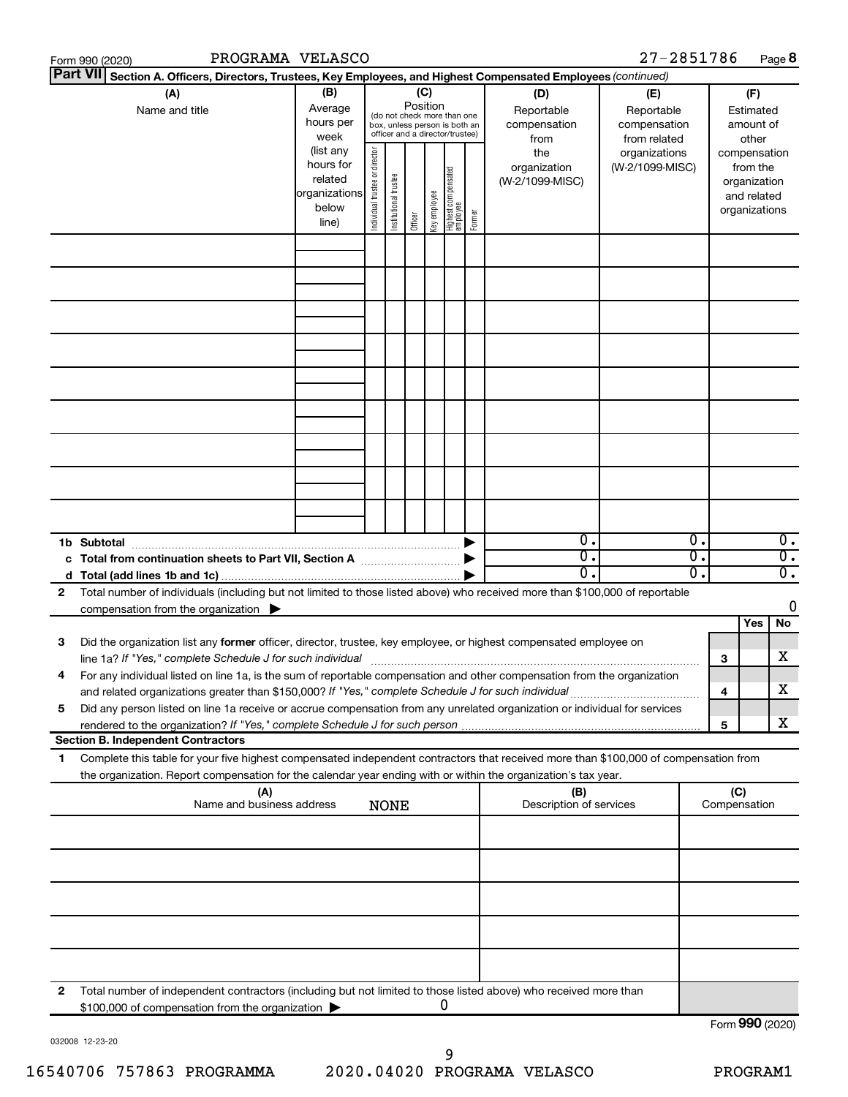|    | PROGRAMA VELASCO<br>Form 990 (2020)                                                                                                                                                                                                                                                                                                                           |                                                                      |                                                                                                                    |                       |         |              |                                   |                                           |                                                   | 27-2851786                       |          |     |                                                                          | Page 8                               |
|----|---------------------------------------------------------------------------------------------------------------------------------------------------------------------------------------------------------------------------------------------------------------------------------------------------------------------------------------------------------------|----------------------------------------------------------------------|--------------------------------------------------------------------------------------------------------------------|-----------------------|---------|--------------|-----------------------------------|-------------------------------------------|---------------------------------------------------|----------------------------------|----------|-----|--------------------------------------------------------------------------|--------------------------------------|
|    | <b>Part VII</b><br>Section A. Officers, Directors, Trustees, Key Employees, and Highest Compensated Employees (continued)                                                                                                                                                                                                                                     |                                                                      |                                                                                                                    |                       |         |              |                                   |                                           |                                                   |                                  |          |     |                                                                          |                                      |
|    | (A)<br>Name and title                                                                                                                                                                                                                                                                                                                                         | (B)<br>Average<br>hours per<br>week                                  | (C)<br>Position<br>(do not check more than one<br>box, unless person is both an<br>officer and a director/trustee) |                       |         |              |                                   | (D)<br>Reportable<br>compensation<br>from | (E)<br>Reportable<br>compensation<br>from related | Estimated<br>amount of<br>other  |          | (F) |                                                                          |                                      |
|    |                                                                                                                                                                                                                                                                                                                                                               | (list any<br>hours for<br>related<br>organizations<br>below<br>line) | Individual trustee or director                                                                                     | Institutional trustee | Officer | Key employee | Highest compensated<br>  employee | Former                                    | the<br>organization<br>(W-2/1099-MISC)            | organizations<br>(W-2/1099-MISC) |          |     | compensation<br>from the<br>organization<br>and related<br>organizations |                                      |
|    |                                                                                                                                                                                                                                                                                                                                                               |                                                                      |                                                                                                                    |                       |         |              |                                   |                                           |                                                   |                                  |          |     |                                                                          |                                      |
|    |                                                                                                                                                                                                                                                                                                                                                               |                                                                      |                                                                                                                    |                       |         |              |                                   |                                           |                                                   |                                  |          |     |                                                                          |                                      |
|    |                                                                                                                                                                                                                                                                                                                                                               |                                                                      |                                                                                                                    |                       |         |              |                                   |                                           |                                                   |                                  |          |     |                                                                          |                                      |
|    |                                                                                                                                                                                                                                                                                                                                                               |                                                                      |                                                                                                                    |                       |         |              |                                   |                                           |                                                   |                                  |          |     |                                                                          |                                      |
|    |                                                                                                                                                                                                                                                                                                                                                               |                                                                      |                                                                                                                    |                       |         |              |                                   |                                           |                                                   |                                  |          |     |                                                                          |                                      |
|    |                                                                                                                                                                                                                                                                                                                                                               |                                                                      |                                                                                                                    |                       |         |              |                                   |                                           |                                                   |                                  |          |     |                                                                          |                                      |
|    | 1b Subtotal                                                                                                                                                                                                                                                                                                                                                   |                                                                      |                                                                                                                    |                       |         |              |                                   |                                           | $0$ .                                             |                                  | 0.       |     |                                                                          | $\overline{0}$ .                     |
|    | c Total from continuation sheets to Part VII, Section A manufactured by                                                                                                                                                                                                                                                                                       |                                                                      |                                                                                                                    |                       |         |              |                                   |                                           | $\overline{0}$ .<br>$\overline{0}$ .              |                                  | σ.<br>О. |     |                                                                          | $\overline{0}$ .<br>$\overline{0}$ . |
| 2  | Total number of individuals (including but not limited to those listed above) who received more than \$100,000 of reportable<br>compensation from the organization $\blacktriangleright$                                                                                                                                                                      |                                                                      |                                                                                                                    |                       |         |              |                                   |                                           |                                                   |                                  |          |     | Yes                                                                      | 0<br>No                              |
| 3  | Did the organization list any former officer, director, trustee, key employee, or highest compensated employee on<br>line 1a? If "Yes," complete Schedule J for such individual manufactured content to the set of the set of the s                                                                                                                           |                                                                      |                                                                                                                    |                       |         |              |                                   |                                           |                                                   |                                  |          | 3   |                                                                          | х                                    |
| 5  | For any individual listed on line 1a, is the sum of reportable compensation and other compensation from the organization<br>and related organizations greater than \$150,000? If "Yes," complete Schedule J for such individual<br>Did any person listed on line 1a receive or accrue compensation from any unrelated organization or individual for services |                                                                      |                                                                                                                    |                       |         |              |                                   |                                           |                                                   |                                  |          | 4   |                                                                          | х                                    |
|    | <b>Section B. Independent Contractors</b>                                                                                                                                                                                                                                                                                                                     |                                                                      |                                                                                                                    |                       |         |              |                                   |                                           |                                                   |                                  |          | 5   |                                                                          | х                                    |
| 1. | Complete this table for your five highest compensated independent contractors that received more than \$100,000 of compensation from<br>the organization. Report compensation for the calendar year ending with or within the organization's tax year.                                                                                                        |                                                                      |                                                                                                                    |                       |         |              |                                   |                                           |                                                   |                                  |          |     |                                                                          |                                      |
|    | (A)<br>Name and business address                                                                                                                                                                                                                                                                                                                              |                                                                      |                                                                                                                    | <b>NONE</b>           |         |              |                                   |                                           | (B)<br>Description of services                    |                                  |          | (C) | Compensation                                                             |                                      |
|    |                                                                                                                                                                                                                                                                                                                                                               |                                                                      |                                                                                                                    |                       |         |              |                                   |                                           |                                                   |                                  |          |     |                                                                          |                                      |
|    |                                                                                                                                                                                                                                                                                                                                                               |                                                                      |                                                                                                                    |                       |         |              |                                   |                                           |                                                   |                                  |          |     |                                                                          |                                      |
|    |                                                                                                                                                                                                                                                                                                                                                               |                                                                      |                                                                                                                    |                       |         |              |                                   |                                           |                                                   |                                  |          |     |                                                                          |                                      |
|    |                                                                                                                                                                                                                                                                                                                                                               |                                                                      |                                                                                                                    |                       |         |              |                                   |                                           |                                                   |                                  |          |     |                                                                          |                                      |
| 2  | Total number of independent contractors (including but not limited to those listed above) who received more than<br>\$100,000 of compensation from the organization                                                                                                                                                                                           |                                                                      |                                                                                                                    |                       |         |              | U                                 |                                           |                                                   |                                  |          |     | $T_{\text{c}}$ 000 (2020)                                                |                                      |

032008 12-23-20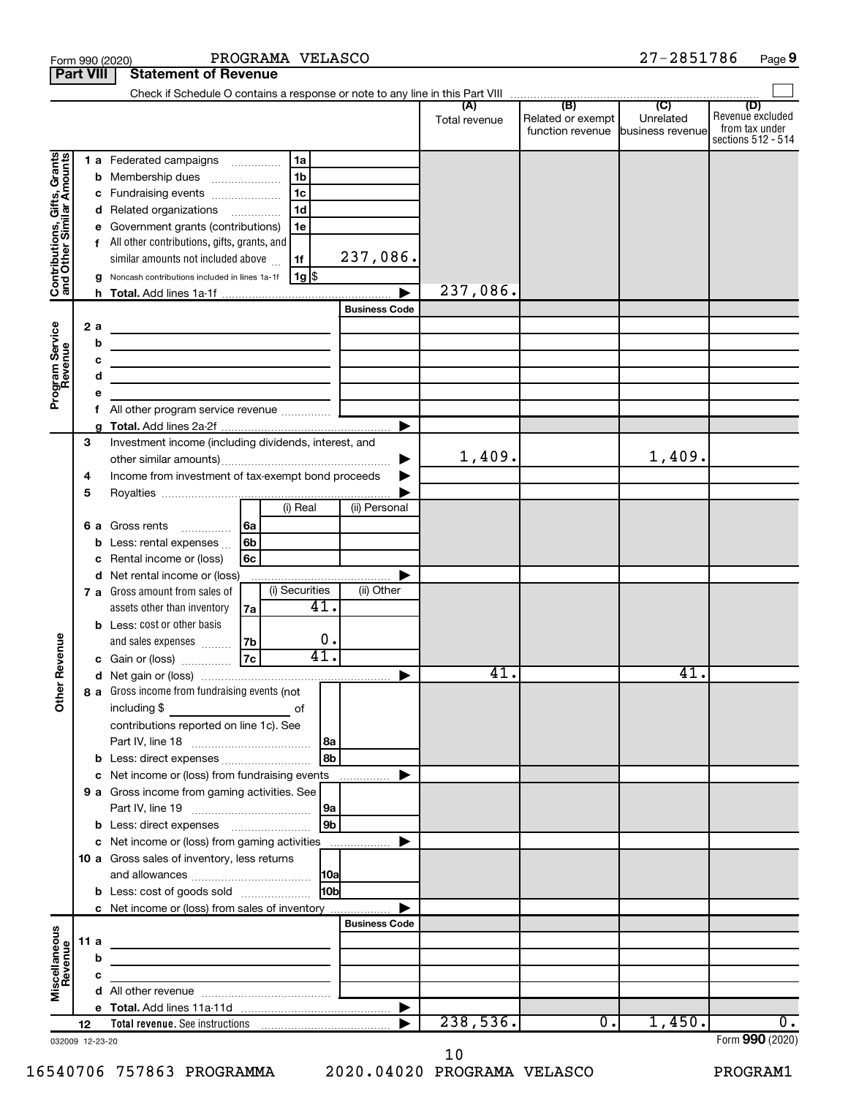|                                                           | <b>Part VIII</b> | <b>Statement of Revenue</b>                                                                                            |                 |                      |               |                                                        |           |                                           |
|-----------------------------------------------------------|------------------|------------------------------------------------------------------------------------------------------------------------|-----------------|----------------------|---------------|--------------------------------------------------------|-----------|-------------------------------------------|
|                                                           |                  |                                                                                                                        |                 |                      |               |                                                        |           |                                           |
|                                                           |                  |                                                                                                                        |                 |                      | Total revenue | Related or exempt<br>function revenue business revenue | Unrelated | (D)<br>Revenue excluded<br>from tax under |
|                                                           |                  |                                                                                                                        |                 |                      |               |                                                        |           | sections 512 - 514                        |
| Contributions, Gifts, Grants<br>and Other Similar Amounts |                  | 1 a Federated campaigns                                                                                                | 1a              |                      |               |                                                        |           |                                           |
|                                                           | b                | 1 <sub>b</sub><br>Membership dues<br>$\ldots \ldots \ldots \ldots \ldots$                                              |                 |                      |               |                                                        |           |                                           |
|                                                           | с                | 1 <sub>c</sub><br>Fundraising events                                                                                   |                 |                      |               |                                                        |           |                                           |
|                                                           |                  | 1 <sub>d</sub><br>d Related organizations                                                                              |                 |                      |               |                                                        |           |                                           |
|                                                           |                  | Government grants (contributions)                                                                                      | 1e              |                      |               |                                                        |           |                                           |
|                                                           |                  | All other contributions, gifts, grants, and                                                                            |                 |                      |               |                                                        |           |                                           |
|                                                           |                  | similar amounts not included above<br>1f                                                                               |                 | 237,086.             |               |                                                        |           |                                           |
|                                                           |                  | Noncash contributions included in lines 1a-1f                                                                          | ∣ 1g  \$        |                      | 237,086.      |                                                        |           |                                           |
|                                                           |                  |                                                                                                                        |                 |                      |               |                                                        |           |                                           |
|                                                           |                  |                                                                                                                        |                 | <b>Business Code</b> |               |                                                        |           |                                           |
|                                                           | 2a               | the control of the control of the control of the control of the control of                                             |                 |                      |               |                                                        |           |                                           |
|                                                           | b                | the control of the control of the control of the control of the control of                                             |                 |                      |               |                                                        |           |                                           |
|                                                           |                  | the control of the control of the control of the control of the control of                                             |                 |                      |               |                                                        |           |                                           |
|                                                           | d                | <u> 1989 - Johann Barbara, martin amerikan basar da</u>                                                                |                 |                      |               |                                                        |           |                                           |
| Program Service<br>Revenue                                |                  |                                                                                                                        |                 |                      |               |                                                        |           |                                           |
|                                                           | f                | All other program service revenue  ]                                                                                   |                 |                      |               |                                                        |           |                                           |
|                                                           | 3                | Investment income (including dividends, interest, and                                                                  |                 |                      |               |                                                        |           |                                           |
|                                                           |                  |                                                                                                                        |                 |                      | 1,409.        |                                                        | 1,409.    |                                           |
|                                                           | 4                | Income from investment of tax-exempt bond proceeds                                                                     |                 |                      |               |                                                        |           |                                           |
|                                                           | 5                |                                                                                                                        |                 |                      |               |                                                        |           |                                           |
|                                                           |                  |                                                                                                                        | (i) Real        | (ii) Personal        |               |                                                        |           |                                           |
|                                                           | 6а               | Gross rents<br> 6a                                                                                                     |                 |                      |               |                                                        |           |                                           |
|                                                           | b                | 6b<br>Less: rental expenses                                                                                            |                 |                      |               |                                                        |           |                                           |
|                                                           | с                | Rental income or (loss)<br>6с                                                                                          |                 |                      |               |                                                        |           |                                           |
|                                                           |                  | d Net rental income or (loss)                                                                                          |                 |                      |               |                                                        |           |                                           |
|                                                           |                  | 7 a Gross amount from sales of                                                                                         | (i) Securities  | (ii) Other           |               |                                                        |           |                                           |
|                                                           |                  | assets other than inventory<br>7a                                                                                      | 41.             |                      |               |                                                        |           |                                           |
|                                                           |                  | <b>b</b> Less: cost or other basis                                                                                     |                 |                      |               |                                                        |           |                                           |
|                                                           |                  | 7b<br>and sales expenses                                                                                               | 0.              |                      |               |                                                        |           |                                           |
| Revenue                                                   |                  | 7c<br>c Gain or (loss)                                                                                                 | 41.             |                      |               |                                                        |           |                                           |
|                                                           |                  |                                                                                                                        |                 | ▶                    | 41.           |                                                        | 41.       |                                           |
|                                                           |                  | 8 a Gross income from fundraising events (not                                                                          |                 |                      |               |                                                        |           |                                           |
| š                                                         |                  | including \$                                                                                                           | of              |                      |               |                                                        |           |                                           |
|                                                           |                  | contributions reported on line 1c). See                                                                                |                 |                      |               |                                                        |           |                                           |
|                                                           |                  |                                                                                                                        | l 8a            |                      |               |                                                        |           |                                           |
|                                                           |                  | <b>b</b> Less: direct expenses                                                                                         | 8b              |                      |               |                                                        |           |                                           |
|                                                           |                  | c Net income or (loss) from fundraising events                                                                         |                 |                      |               |                                                        |           |                                           |
|                                                           |                  | 9 a Gross income from gaming activities. See                                                                           |                 |                      |               |                                                        |           |                                           |
|                                                           |                  |                                                                                                                        | 9a              |                      |               |                                                        |           |                                           |
|                                                           |                  |                                                                                                                        | 9b              |                      |               |                                                        |           |                                           |
|                                                           |                  | c Net income or (loss) from gaming activities                                                                          |                 |                      |               |                                                        |           |                                           |
|                                                           |                  | 10 a Gross sales of inventory, less returns                                                                            |                 |                      |               |                                                        |           |                                           |
|                                                           |                  |                                                                                                                        |                 |                      |               |                                                        |           |                                           |
|                                                           |                  | <b>b</b> Less: cost of goods sold                                                                                      | 10 <sub>b</sub> |                      |               |                                                        |           |                                           |
|                                                           |                  | c Net income or (loss) from sales of inventory                                                                         |                 |                      |               |                                                        |           |                                           |
|                                                           |                  |                                                                                                                        |                 | <b>Business Code</b> |               |                                                        |           |                                           |
|                                                           | 11a              | <u> 1989 - Johann Barbara, martxa alemaniar a</u>                                                                      |                 |                      |               |                                                        |           |                                           |
|                                                           | b                | <u> 1980 - Johann Stein, marwolaethau a bhann an t-Albann an t-Albann an t-Albann an t-Albann an t-Albann an t-Alb</u> |                 |                      |               |                                                        |           |                                           |
| Miscellaneous<br>Revenue                                  |                  | <u> 1989 - Johann Barbara, martin a</u>                                                                                |                 |                      |               |                                                        |           |                                           |
|                                                           |                  |                                                                                                                        |                 |                      |               |                                                        |           |                                           |
|                                                           | 12               |                                                                                                                        |                 |                      | 238,536.      | 0.                                                     | 1,450.    | 0.                                        |
|                                                           | 032009 12-23-20  |                                                                                                                        |                 |                      |               |                                                        |           | Form 990 (2020)                           |

Form 990 (2020) PROGRAMA VELASCO 27-2851786 Page

16540706 757863 PROGRAMMA 2020.04020 PROGRAMA VELASCO PROGRAM1 10

**9**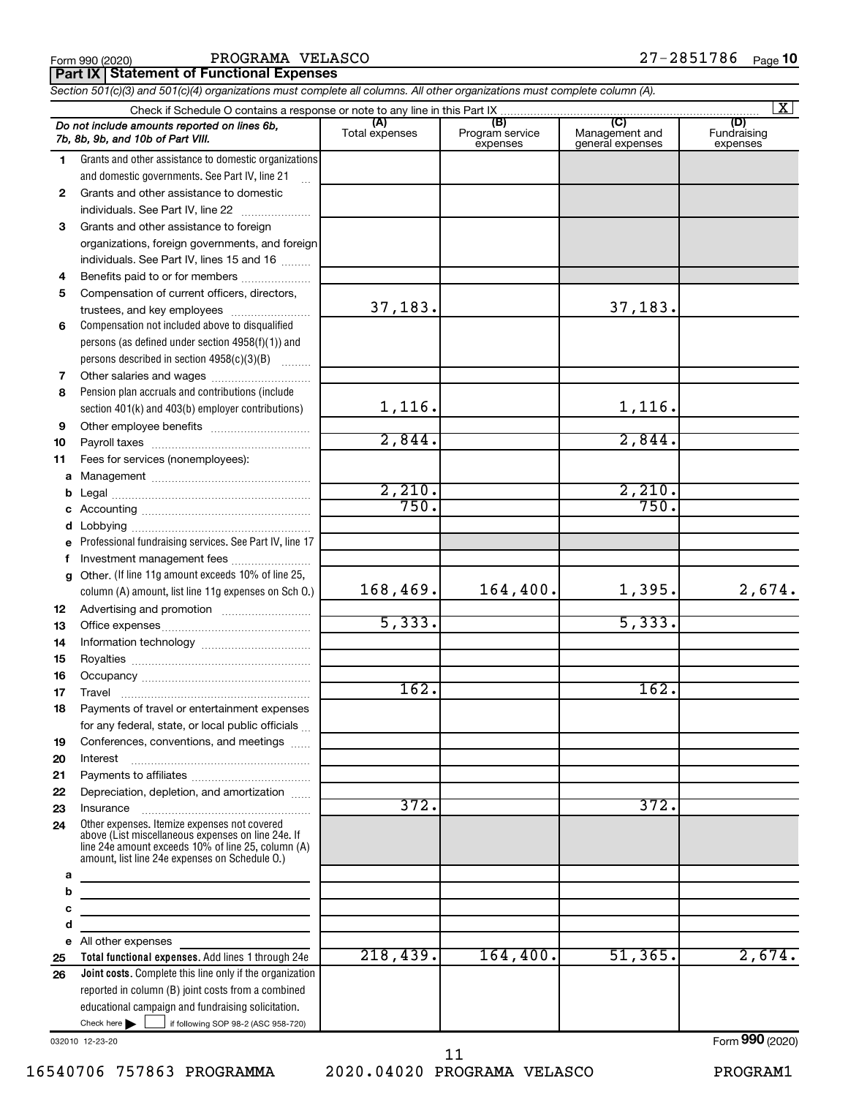| Form 990 (2020) |  |
|-----------------|--|
|-----------------|--|

**Part IX Statement of Functional Expenses**

|              | Section 501(c)(3) and 501(c)(4) organizations must complete all columns. All other organizations must complete column (A).                                                                                 |                       |                                    |                                           |                                |
|--------------|------------------------------------------------------------------------------------------------------------------------------------------------------------------------------------------------------------|-----------------------|------------------------------------|-------------------------------------------|--------------------------------|
|              | Check if Schedule O contains a response or note to any line in this Part IX                                                                                                                                |                       |                                    |                                           | $\mathbf{X}$                   |
|              | Do not include amounts reported on lines 6b,<br>7b, 8b, 9b, and 10b of Part VIII.                                                                                                                          | (A)<br>Total expenses | (B)<br>Program service<br>expenses | (C)<br>Management and<br>general expenses | (D)<br>Fundraising<br>expenses |
| 1.           | Grants and other assistance to domestic organizations                                                                                                                                                      |                       |                                    |                                           |                                |
|              | and domestic governments. See Part IV, line 21                                                                                                                                                             |                       |                                    |                                           |                                |
| $\mathbf{2}$ | Grants and other assistance to domestic                                                                                                                                                                    |                       |                                    |                                           |                                |
|              | individuals. See Part IV, line 22                                                                                                                                                                          |                       |                                    |                                           |                                |
| 3            | Grants and other assistance to foreign                                                                                                                                                                     |                       |                                    |                                           |                                |
|              | organizations, foreign governments, and foreign                                                                                                                                                            |                       |                                    |                                           |                                |
|              | individuals. See Part IV, lines 15 and 16                                                                                                                                                                  |                       |                                    |                                           |                                |
| 4            | Benefits paid to or for members                                                                                                                                                                            |                       |                                    |                                           |                                |
| 5            | Compensation of current officers, directors,                                                                                                                                                               |                       |                                    |                                           |                                |
|              | trustees, and key employees                                                                                                                                                                                | 37,183.               |                                    | 37,183.                                   |                                |
| 6            | Compensation not included above to disqualified                                                                                                                                                            |                       |                                    |                                           |                                |
|              | persons (as defined under section 4958(f)(1)) and                                                                                                                                                          |                       |                                    |                                           |                                |
|              | persons described in section 4958(c)(3)(B)                                                                                                                                                                 |                       |                                    |                                           |                                |
| 7            | Other salaries and wages                                                                                                                                                                                   |                       |                                    |                                           |                                |
| 8            | Pension plan accruals and contributions (include                                                                                                                                                           |                       |                                    |                                           |                                |
|              | section 401(k) and 403(b) employer contributions)                                                                                                                                                          | 1,116.                |                                    | 1,116.                                    |                                |
| 9            |                                                                                                                                                                                                            |                       |                                    |                                           |                                |
| 10           |                                                                                                                                                                                                            | 2,844.                |                                    | 2,844.                                    |                                |
| 11           | Fees for services (nonemployees):                                                                                                                                                                          |                       |                                    |                                           |                                |
|              |                                                                                                                                                                                                            |                       |                                    |                                           |                                |
| b            |                                                                                                                                                                                                            | 2,210.                |                                    | 2,210.                                    |                                |
|              |                                                                                                                                                                                                            | 750.                  |                                    | 750.                                      |                                |
|              |                                                                                                                                                                                                            |                       |                                    |                                           |                                |
| е            | Professional fundraising services. See Part IV, line 17                                                                                                                                                    |                       |                                    |                                           |                                |
| f            | Investment management fees                                                                                                                                                                                 |                       |                                    |                                           |                                |
| g            | Other. (If line 11g amount exceeds 10% of line 25,                                                                                                                                                         |                       |                                    |                                           |                                |
|              | column (A) amount, list line 11g expenses on Sch O.)                                                                                                                                                       | 168, 469.             | 164,400.                           | 1,395.                                    | 2,674.                         |
| 12           |                                                                                                                                                                                                            |                       |                                    |                                           |                                |
| 13           |                                                                                                                                                                                                            | 5,333.                |                                    | 5,333.                                    |                                |
| 14           |                                                                                                                                                                                                            |                       |                                    |                                           |                                |
| 15           |                                                                                                                                                                                                            |                       |                                    |                                           |                                |
| 16           |                                                                                                                                                                                                            |                       |                                    |                                           |                                |
| 17           |                                                                                                                                                                                                            | 162.                  |                                    | 162.                                      |                                |
| 18           | Payments of travel or entertainment expenses                                                                                                                                                               |                       |                                    |                                           |                                |
|              | for any federal, state, or local public officials                                                                                                                                                          |                       |                                    |                                           |                                |
| 19           | Conferences, conventions, and meetings                                                                                                                                                                     |                       |                                    |                                           |                                |
| 20           | Interest                                                                                                                                                                                                   |                       |                                    |                                           |                                |
| 21           |                                                                                                                                                                                                            |                       |                                    |                                           |                                |
| 22           | Depreciation, depletion, and amortization                                                                                                                                                                  |                       |                                    |                                           |                                |
| 23           | Insurance                                                                                                                                                                                                  | 372.                  |                                    | 372.                                      |                                |
| 24           | Other expenses. Itemize expenses not covered<br>above (List miscellaneous expenses on line 24e. If<br>line 24e amount exceeds 10% of line 25, column (A)<br>amount, list line 24e expenses on Schedule O.) |                       |                                    |                                           |                                |
| a            |                                                                                                                                                                                                            |                       |                                    |                                           |                                |
| b            | <u> 1980 - Jan Barristo, martin al II-lea (b. 1980)</u>                                                                                                                                                    |                       |                                    |                                           |                                |
| с            |                                                                                                                                                                                                            |                       |                                    |                                           |                                |
| d            |                                                                                                                                                                                                            |                       |                                    |                                           |                                |
|              | e All other expenses                                                                                                                                                                                       | 218,439.              | 164,400.                           | 51, 365.                                  | 2,674.                         |
| 25           | Total functional expenses. Add lines 1 through 24e                                                                                                                                                         |                       |                                    |                                           |                                |
| 26           | Joint costs. Complete this line only if the organization<br>reported in column (B) joint costs from a combined                                                                                             |                       |                                    |                                           |                                |
|              | educational campaign and fundraising solicitation.                                                                                                                                                         |                       |                                    |                                           |                                |
|              | Check here $\blacktriangleright$<br>if following SOP 98-2 (ASC 958-720)                                                                                                                                    |                       |                                    |                                           |                                |

032010 12-23-20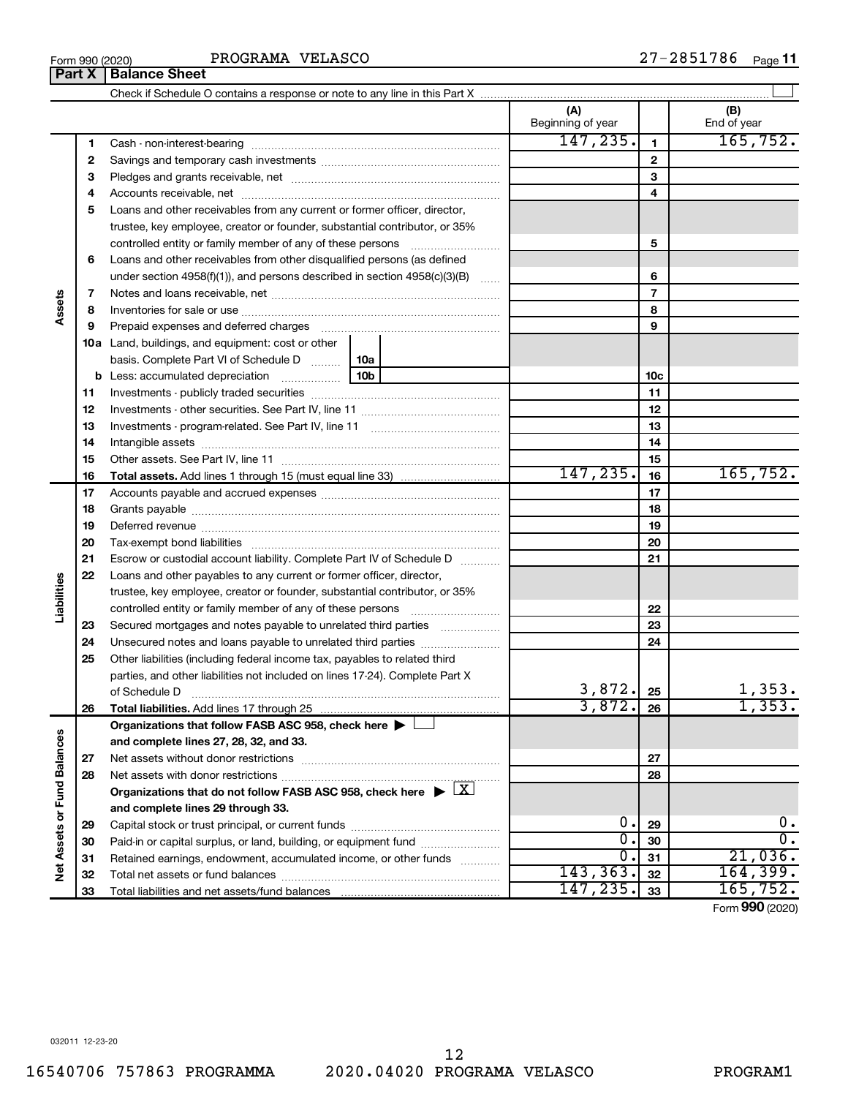12

|                             | 5  | Loans and other receivables from any current or former officer, director,                                       |  |                  |                 |                  |
|-----------------------------|----|-----------------------------------------------------------------------------------------------------------------|--|------------------|-----------------|------------------|
|                             |    | trustee, key employee, creator or founder, substantial contributor, or 35%                                      |  |                  |                 |                  |
|                             |    | controlled entity or family member of any of these persons                                                      |  |                  | 5               |                  |
|                             | 6  | Loans and other receivables from other disqualified persons (as defined                                         |  |                  |                 |                  |
|                             |    | under section $4958(f)(1)$ , and persons described in section $4958(c)(3)(B)$                                   |  |                  | 6               |                  |
|                             | 7  |                                                                                                                 |  |                  | $\overline{7}$  |                  |
| Assets                      | 8  |                                                                                                                 |  |                  | 8               |                  |
|                             | 9  | Prepaid expenses and deferred charges [11] [11] Prepaid expenses and deferred charges [11] [11] Arman materials |  |                  | 9               |                  |
|                             |    | <b>10a</b> Land, buildings, and equipment: cost or other                                                        |  |                  |                 |                  |
|                             |    | basis. Complete Part VI of Schedule D  10a                                                                      |  |                  |                 |                  |
|                             |    |                                                                                                                 |  |                  | 10 <sub>c</sub> |                  |
|                             | 11 |                                                                                                                 |  |                  | 11              |                  |
|                             | 12 |                                                                                                                 |  |                  | 12              |                  |
|                             | 13 |                                                                                                                 |  |                  | 13              |                  |
|                             | 14 |                                                                                                                 |  |                  | 14              |                  |
|                             | 15 |                                                                                                                 |  |                  | 15              |                  |
|                             | 16 |                                                                                                                 |  | 147, 235.        | 16              | 165, 752.        |
|                             | 17 |                                                                                                                 |  | 17               |                 |                  |
|                             | 18 |                                                                                                                 |  |                  | 18              |                  |
|                             | 19 |                                                                                                                 |  |                  | 19              |                  |
|                             | 20 |                                                                                                                 |  |                  | 20              |                  |
|                             | 21 | Escrow or custodial account liability. Complete Part IV of Schedule D                                           |  |                  | 21              |                  |
|                             | 22 | Loans and other payables to any current or former officer, director,                                            |  |                  |                 |                  |
| Liabilities                 |    | trustee, key employee, creator or founder, substantial contributor, or 35%                                      |  |                  |                 |                  |
|                             |    | controlled entity or family member of any of these persons [                                                    |  |                  | 22              |                  |
|                             | 23 | Secured mortgages and notes payable to unrelated third parties <i>manumum</i>                                   |  |                  | 23              |                  |
|                             | 24 | Unsecured notes and loans payable to unrelated third parties                                                    |  |                  | 24              |                  |
|                             | 25 | Other liabilities (including federal income tax, payables to related third                                      |  |                  |                 |                  |
|                             |    | parties, and other liabilities not included on lines 17-24). Complete Part X                                    |  |                  |                 |                  |
|                             |    |                                                                                                                 |  | 3,872.           | 25              | 1,353.           |
|                             | 26 |                                                                                                                 |  | 3,872.           | 26              | 1,353.           |
|                             |    | Organizations that follow FASB ASC 958, check here $\blacktriangleright \perp$                                  |  |                  |                 |                  |
|                             |    | and complete lines 27, 28, 32, and 33.                                                                          |  |                  |                 |                  |
|                             | 27 |                                                                                                                 |  |                  | 27              |                  |
|                             | 28 |                                                                                                                 |  |                  | 28              |                  |
|                             |    | Organizations that do not follow FASB ASC 958, check here $\blacktriangleright \lfloor X \rfloor$               |  |                  |                 |                  |
|                             |    | and complete lines 29 through 33.                                                                               |  |                  |                 |                  |
|                             | 29 |                                                                                                                 |  | 0.               | 29              | 0.               |
| Net Assets or Fund Balances | 30 | Paid-in or capital surplus, or land, building, or equipment fund <i>community examples</i>                      |  | σ.               | 30              | $\overline{0}$ . |
|                             | 31 | Retained earnings, endowment, accumulated income, or other funds                                                |  | $\overline{0}$ . | 31              | 21,036.          |
|                             | 32 |                                                                                                                 |  | 143, 363.        | 32              | 164, 399.        |
|                             | 33 | Total liabilities and net assets/fund balances                                                                  |  | 147, 235.        | 33              | 165,752.         |
|                             |    |                                                                                                                 |  |                  |                 | Form 990 (2020)  |

Check if Schedule O contains a response or note to any line in this Part X

**2** Savings and temporary cash investments ~~~~~~~~~~~~~~~~~~ **3** Pledges and grants receivable, net ~~~~~~~~~~~~~~~~~~~~~

Cash - non-interest-bearing ~~~~~~~~~~~~~~~~~~~~~~~~~

Accounts receivable, net ~~~~~~~~~~~~~~~~~~~~~~~~~~

 $\perp$ 

**(A) (B)**

Beginning of year  $\vert$  | End of year

 $147, 235.$  165,752.

**Part X** | Balance Sheet

**1**

**4**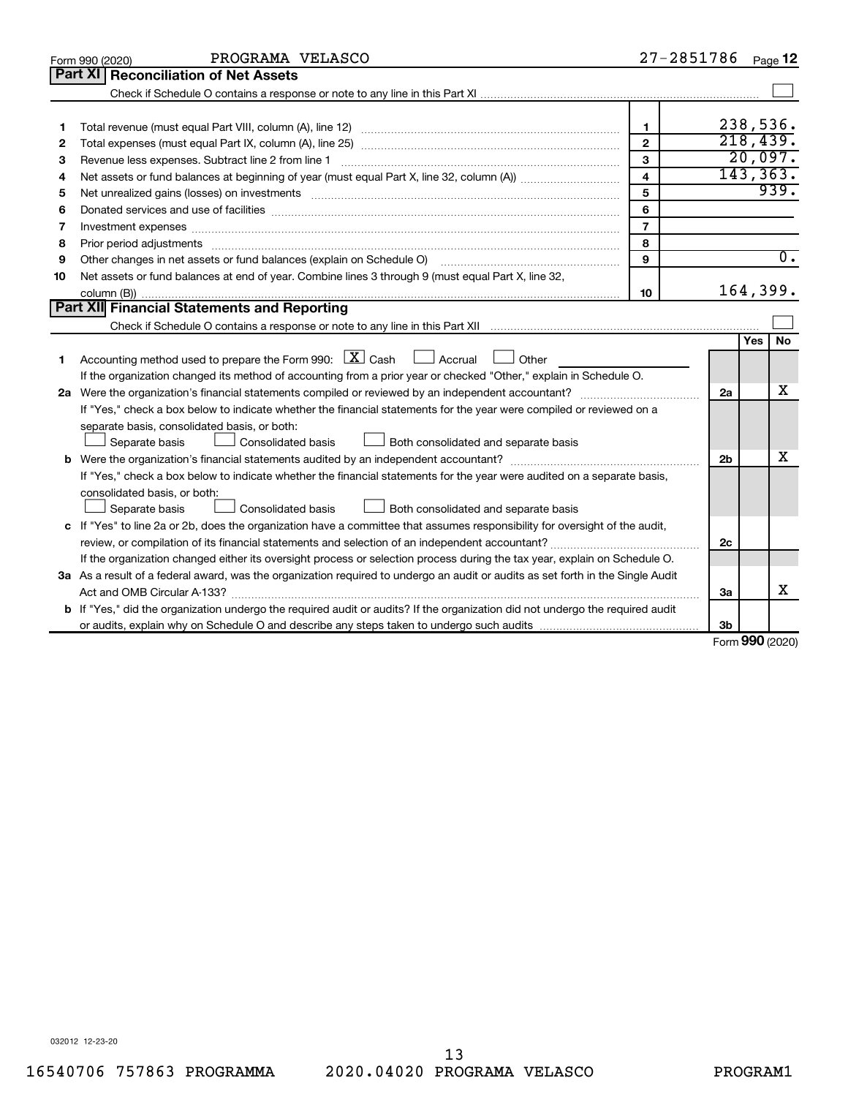|    | PROGRAMA VELASCO<br>Form 990 (2020)                                                                                                  | 27-2851786     |                |              | Page 12          |
|----|--------------------------------------------------------------------------------------------------------------------------------------|----------------|----------------|--------------|------------------|
|    | Part XI<br><b>Reconciliation of Net Assets</b>                                                                                       |                |                |              |                  |
|    |                                                                                                                                      |                |                |              |                  |
|    |                                                                                                                                      |                |                |              |                  |
| 1  |                                                                                                                                      | $\mathbf{1}$   |                |              | 238,536.         |
| 2  |                                                                                                                                      | $\overline{2}$ |                | 218,439.     |                  |
| з  | Revenue less expenses. Subtract line 2 from line 1                                                                                   | $\overline{3}$ |                |              | 20,097.          |
| 4  |                                                                                                                                      | 4              |                |              | 143, 363.        |
| 5  |                                                                                                                                      | 5              |                |              | 939.             |
| 6  |                                                                                                                                      | 6              |                |              |                  |
| 7  | Investment expenses www.communication.com/www.communication.com/www.communication.com/www.com                                        | $\overline{7}$ |                |              |                  |
| 8  |                                                                                                                                      | 8              |                |              |                  |
| 9  | Other changes in net assets or fund balances (explain on Schedule O)                                                                 | 9              |                |              | $\overline{0}$ . |
| 10 | Net assets or fund balances at end of year. Combine lines 3 through 9 (must equal Part X, line 32,                                   |                |                |              |                  |
|    |                                                                                                                                      | 10             |                |              | 164,399.         |
|    | Part XII Financial Statements and Reporting                                                                                          |                |                |              |                  |
|    |                                                                                                                                      |                |                |              |                  |
|    |                                                                                                                                      |                |                | Yes          | <b>No</b>        |
| 1  | Accounting method used to prepare the Form 990: $X \subset X$ Cash<br>Accrual U Other                                                |                |                |              |                  |
|    | If the organization changed its method of accounting from a prior year or checked "Other," explain in Schedule O.                    |                |                |              |                  |
|    |                                                                                                                                      |                | 2a             |              | x                |
|    | If "Yes," check a box below to indicate whether the financial statements for the year were compiled or reviewed on a                 |                |                |              |                  |
|    | separate basis, consolidated basis, or both:                                                                                         |                |                |              |                  |
|    | Both consolidated and separate basis<br>Separate basis<br>Consolidated basis                                                         |                |                |              |                  |
|    |                                                                                                                                      |                | 2 <sub>b</sub> |              | x                |
|    | If "Yes," check a box below to indicate whether the financial statements for the year were audited on a separate basis,              |                |                |              |                  |
|    | consolidated basis, or both:                                                                                                         |                |                |              |                  |
|    | <b>Consolidated basis</b><br>Separate basis<br>Both consolidated and separate basis                                                  |                |                |              |                  |
|    | c If "Yes" to line 2a or 2b, does the organization have a committee that assumes responsibility for oversight of the audit,          |                |                |              |                  |
|    | review, or compilation of its financial statements and selection of an independent accountant?                                       |                | 2c             |              |                  |
|    | If the organization changed either its oversight process or selection process during the tax year, explain on Schedule O.            |                |                |              |                  |
|    | 3a As a result of a federal award, was the organization required to undergo an audit or audits as set forth in the Single Audit      |                |                |              |                  |
|    |                                                                                                                                      |                | 3a             |              | x                |
|    | <b>b</b> If "Yes," did the organization undergo the required audit or audits? If the organization did not undergo the required audit |                |                |              |                  |
|    |                                                                                                                                      |                | Зb             | $000 \text{$ |                  |

Form (2020) **990**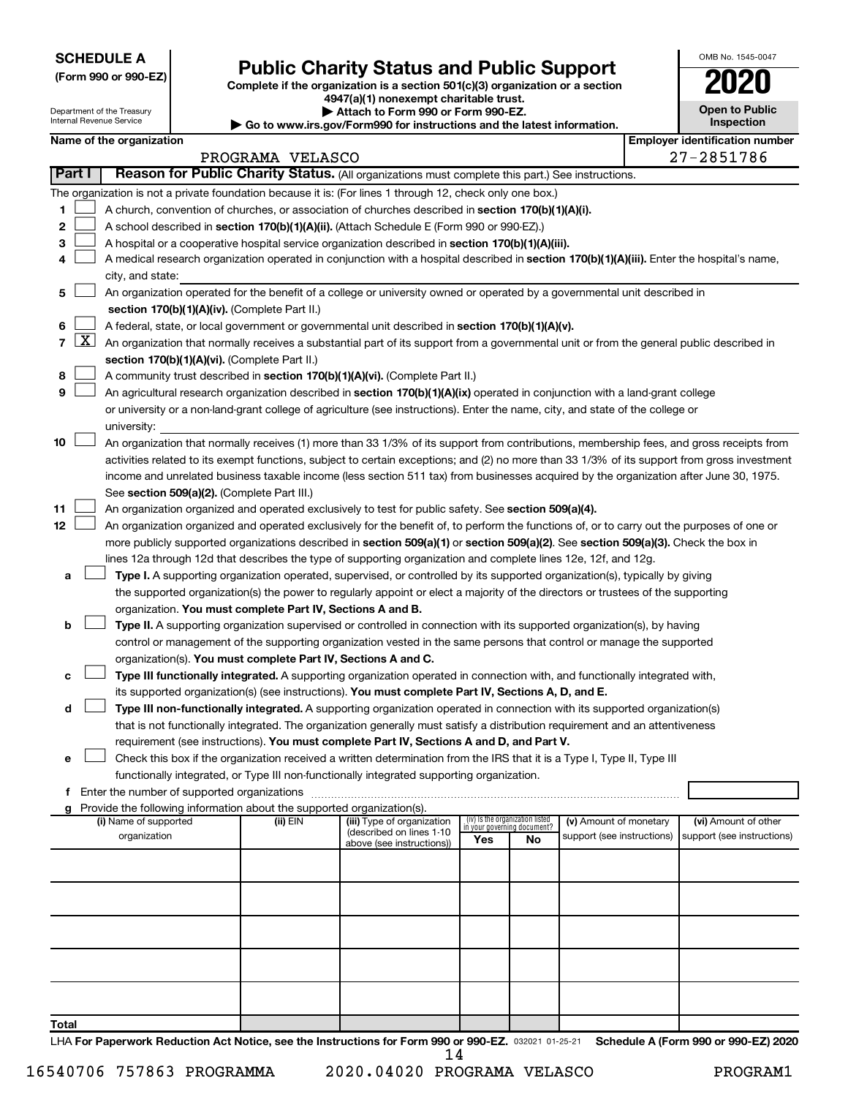**SCHEDULE A**

Department of the Treasury Internal Revenue Service

| (Form 990 or 990-EZ) |  |  |  |  |
|----------------------|--|--|--|--|
|----------------------|--|--|--|--|

# Form 990 or 990-EZ) **Public Charity Status and Public Support**<br>
Complete if the organization is a section 501(c)(3) organization or a section<br> **2020**

**4947(a)(1) nonexempt charitable trust. | Attach to Form 990 or Form 990-EZ.** 

**| Go to www.irs.gov/Form990 for instructions and the latest information.**

| <b>Open to Public</b><br>Inspection |
|-------------------------------------|
| ntification nu                      |

OMB No. 1545-0047

|  | Name of the organization |
|--|--------------------------|
|  |                          |

|        | <b>Employer identification number</b><br>Name of the organization |                                                                                                                                                   |                  |                            |                                    |                                 |                            |  |                            |
|--------|-------------------------------------------------------------------|---------------------------------------------------------------------------------------------------------------------------------------------------|------------------|----------------------------|------------------------------------|---------------------------------|----------------------------|--|----------------------------|
|        |                                                                   |                                                                                                                                                   | PROGRAMA VELASCO |                            |                                    |                                 |                            |  | 27-2851786                 |
| Part I |                                                                   | Reason for Public Charity Status. (All organizations must complete this part.) See instructions.                                                  |                  |                            |                                    |                                 |                            |  |                            |
|        |                                                                   | The organization is not a private foundation because it is: (For lines 1 through 12, check only one box.)                                         |                  |                            |                                    |                                 |                            |  |                            |
| 1.     |                                                                   | A church, convention of churches, or association of churches described in section 170(b)(1)(A)(i).                                                |                  |                            |                                    |                                 |                            |  |                            |
| 2      |                                                                   | A school described in section 170(b)(1)(A)(ii). (Attach Schedule E (Form 990 or 990-EZ).)                                                         |                  |                            |                                    |                                 |                            |  |                            |
| з      |                                                                   | A hospital or a cooperative hospital service organization described in section 170(b)(1)(A)(iii).                                                 |                  |                            |                                    |                                 |                            |  |                            |
| 4      |                                                                   | A medical research organization operated in conjunction with a hospital described in section 170(b)(1)(A)(iii). Enter the hospital's name,        |                  |                            |                                    |                                 |                            |  |                            |
|        | city, and state:                                                  |                                                                                                                                                   |                  |                            |                                    |                                 |                            |  |                            |
| 5      |                                                                   | An organization operated for the benefit of a college or university owned or operated by a governmental unit described in                         |                  |                            |                                    |                                 |                            |  |                            |
|        |                                                                   | section 170(b)(1)(A)(iv). (Complete Part II.)                                                                                                     |                  |                            |                                    |                                 |                            |  |                            |
| 6      |                                                                   | A federal, state, or local government or governmental unit described in section 170(b)(1)(A)(v).                                                  |                  |                            |                                    |                                 |                            |  |                            |
|        |                                                                   | 7 $ X $ An organization that normally receives a substantial part of its support from a governmental unit or from the general public described in |                  |                            |                                    |                                 |                            |  |                            |
|        |                                                                   | section 170(b)(1)(A)(vi). (Complete Part II.)                                                                                                     |                  |                            |                                    |                                 |                            |  |                            |
| 8      |                                                                   | A community trust described in section 170(b)(1)(A)(vi). (Complete Part II.)                                                                      |                  |                            |                                    |                                 |                            |  |                            |
| 9      |                                                                   | An agricultural research organization described in section 170(b)(1)(A)(ix) operated in conjunction with a land-grant college                     |                  |                            |                                    |                                 |                            |  |                            |
|        |                                                                   | or university or a non-land-grant college of agriculture (see instructions). Enter the name, city, and state of the college or                    |                  |                            |                                    |                                 |                            |  |                            |
|        |                                                                   | university:                                                                                                                                       |                  |                            |                                    |                                 |                            |  |                            |
| 10     |                                                                   | An organization that normally receives (1) more than 33 1/3% of its support from contributions, membership fees, and gross receipts from          |                  |                            |                                    |                                 |                            |  |                            |
|        |                                                                   | activities related to its exempt functions, subject to certain exceptions; and (2) no more than 33 1/3% of its support from gross investment      |                  |                            |                                    |                                 |                            |  |                            |
|        |                                                                   | income and unrelated business taxable income (less section 511 tax) from businesses acquired by the organization after June 30, 1975.             |                  |                            |                                    |                                 |                            |  |                            |
|        |                                                                   | See section 509(a)(2). (Complete Part III.)                                                                                                       |                  |                            |                                    |                                 |                            |  |                            |
| 11     |                                                                   | An organization organized and operated exclusively to test for public safety. See section 509(a)(4).                                              |                  |                            |                                    |                                 |                            |  |                            |
| 12     |                                                                   | An organization organized and operated exclusively for the benefit of, to perform the functions of, or to carry out the purposes of one or        |                  |                            |                                    |                                 |                            |  |                            |
|        |                                                                   | more publicly supported organizations described in section 509(a)(1) or section 509(a)(2). See section 509(a)(3). Check the box in                |                  |                            |                                    |                                 |                            |  |                            |
|        |                                                                   | lines 12a through 12d that describes the type of supporting organization and complete lines 12e, 12f, and 12g.                                    |                  |                            |                                    |                                 |                            |  |                            |
| а      |                                                                   | Type I. A supporting organization operated, supervised, or controlled by its supported organization(s), typically by giving                       |                  |                            |                                    |                                 |                            |  |                            |
|        |                                                                   | the supported organization(s) the power to regularly appoint or elect a majority of the directors or trustees of the supporting                   |                  |                            |                                    |                                 |                            |  |                            |
|        |                                                                   | organization. You must complete Part IV, Sections A and B.                                                                                        |                  |                            |                                    |                                 |                            |  |                            |
| b      |                                                                   | Type II. A supporting organization supervised or controlled in connection with its supported organization(s), by having                           |                  |                            |                                    |                                 |                            |  |                            |
|        |                                                                   | control or management of the supporting organization vested in the same persons that control or manage the supported                              |                  |                            |                                    |                                 |                            |  |                            |
|        |                                                                   | organization(s). You must complete Part IV, Sections A and C.                                                                                     |                  |                            |                                    |                                 |                            |  |                            |
| с      |                                                                   | Type III functionally integrated. A supporting organization operated in connection with, and functionally integrated with,                        |                  |                            |                                    |                                 |                            |  |                            |
|        |                                                                   | its supported organization(s) (see instructions). You must complete Part IV, Sections A, D, and E.                                                |                  |                            |                                    |                                 |                            |  |                            |
| d      |                                                                   | Type III non-functionally integrated. A supporting organization operated in connection with its supported organization(s)                         |                  |                            |                                    |                                 |                            |  |                            |
|        |                                                                   | that is not functionally integrated. The organization generally must satisfy a distribution requirement and an attentiveness                      |                  |                            |                                    |                                 |                            |  |                            |
|        |                                                                   | requirement (see instructions). You must complete Part IV, Sections A and D, and Part V.                                                          |                  |                            |                                    |                                 |                            |  |                            |
|        |                                                                   | Check this box if the organization received a written determination from the IRS that it is a Type I, Type II, Type III                           |                  |                            |                                    |                                 |                            |  |                            |
|        |                                                                   | functionally integrated, or Type III non-functionally integrated supporting organization.                                                         |                  |                            |                                    |                                 |                            |  |                            |
|        |                                                                   | g Provide the following information about the supported organization(s).                                                                          |                  |                            |                                    |                                 |                            |  |                            |
|        |                                                                   | (i) Name of supported                                                                                                                             | (ii) EIN         | (iii) Type of organization |                                    | (iv) Is the organization listed | (v) Amount of monetary     |  | (vi) Amount of other       |
|        |                                                                   | organization                                                                                                                                      |                  | (described on lines 1-10   | in your governing document?<br>Yes | No                              | support (see instructions) |  | support (see instructions) |
|        |                                                                   |                                                                                                                                                   |                  | above (see instructions))  |                                    |                                 |                            |  |                            |
|        |                                                                   |                                                                                                                                                   |                  |                            |                                    |                                 |                            |  |                            |
|        |                                                                   |                                                                                                                                                   |                  |                            |                                    |                                 |                            |  |                            |
|        |                                                                   |                                                                                                                                                   |                  |                            |                                    |                                 |                            |  |                            |
|        |                                                                   |                                                                                                                                                   |                  |                            |                                    |                                 |                            |  |                            |
|        |                                                                   |                                                                                                                                                   |                  |                            |                                    |                                 |                            |  |                            |
|        |                                                                   |                                                                                                                                                   |                  |                            |                                    |                                 |                            |  |                            |
|        |                                                                   |                                                                                                                                                   |                  |                            |                                    |                                 |                            |  |                            |
|        |                                                                   |                                                                                                                                                   |                  |                            |                                    |                                 |                            |  |                            |
|        |                                                                   |                                                                                                                                                   |                  |                            |                                    |                                 |                            |  |                            |
| Total  |                                                                   |                                                                                                                                                   |                  |                            |                                    |                                 |                            |  |                            |
|        |                                                                   |                                                                                                                                                   |                  |                            |                                    |                                 |                            |  |                            |

LHA For Paperwork Reduction Act Notice, see the Instructions for Form 990 or 990-EZ. 032021 01-25-21 Schedule A (Form 990 or 990-EZ) 2020 14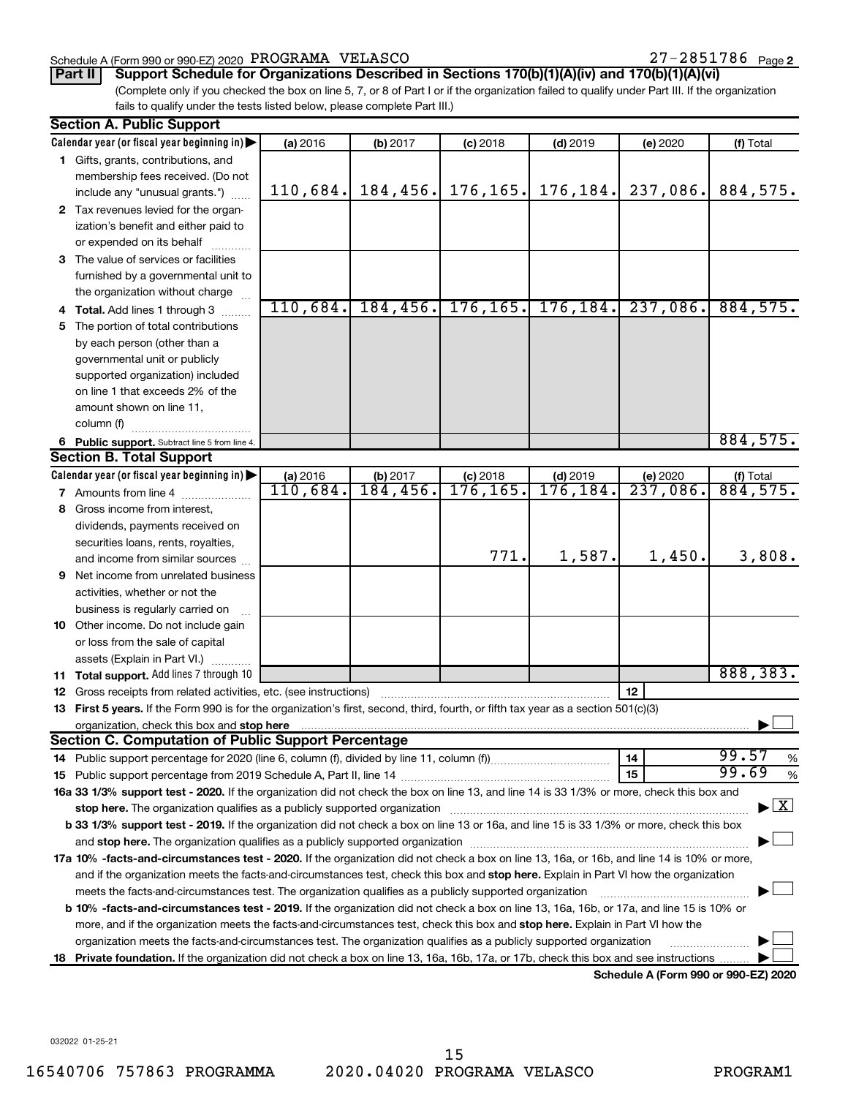### Schedule A (Form 990 or 990-EZ) 2020 Page PROGRAMA VELASCO 27-2851786

27-2851786 Page 2

(Complete only if you checked the box on line 5, 7, or 8 of Part I or if the organization failed to qualify under Part III. If the organization **Part II Support Schedule for Organizations Described in Sections 170(b)(1)(A)(iv) and 170(b)(1)(A)(vi)**

fails to qualify under the tests listed below, please complete Part III.)

|     | <b>Section A. Public Support</b>                                                                                                               |                      |                                  |                         |                                |                                      |                                          |
|-----|------------------------------------------------------------------------------------------------------------------------------------------------|----------------------|----------------------------------|-------------------------|--------------------------------|--------------------------------------|------------------------------------------|
|     | Calendar year (or fiscal year beginning in)                                                                                                    | (a) 2016             | (b) 2017                         | $(c)$ 2018              | $(d)$ 2019                     | (e) 2020                             | (f) Total                                |
|     | 1 Gifts, grants, contributions, and                                                                                                            |                      |                                  |                         |                                |                                      |                                          |
|     | membership fees received. (Do not                                                                                                              |                      |                                  |                         |                                |                                      |                                          |
|     | include any "unusual grants.")                                                                                                                 | 110,684.             | 184, 456.                        | 176, 165.               | 176, 184.                      | 237,086.                             | 884,575.                                 |
|     | 2 Tax revenues levied for the organ-                                                                                                           |                      |                                  |                         |                                |                                      |                                          |
|     | ization's benefit and either paid to                                                                                                           |                      |                                  |                         |                                |                                      |                                          |
|     | or expended on its behalf                                                                                                                      |                      |                                  |                         |                                |                                      |                                          |
|     | 3 The value of services or facilities                                                                                                          |                      |                                  |                         |                                |                                      |                                          |
|     | furnished by a governmental unit to                                                                                                            |                      |                                  |                         |                                |                                      |                                          |
|     | the organization without charge                                                                                                                |                      |                                  |                         |                                |                                      |                                          |
|     | <b>Total.</b> Add lines 1 through 3                                                                                                            | 110,684.             | 184, 456.                        | 176, 165.               | 176, 184.                      | 237,086.                             | 884,575.                                 |
| 5   | The portion of total contributions                                                                                                             |                      |                                  |                         |                                |                                      |                                          |
|     | by each person (other than a                                                                                                                   |                      |                                  |                         |                                |                                      |                                          |
|     | governmental unit or publicly                                                                                                                  |                      |                                  |                         |                                |                                      |                                          |
|     | supported organization) included                                                                                                               |                      |                                  |                         |                                |                                      |                                          |
|     | on line 1 that exceeds 2% of the                                                                                                               |                      |                                  |                         |                                |                                      |                                          |
|     | amount shown on line 11,                                                                                                                       |                      |                                  |                         |                                |                                      |                                          |
|     |                                                                                                                                                |                      |                                  |                         |                                |                                      |                                          |
|     | column (f)                                                                                                                                     |                      |                                  |                         |                                |                                      | 884,575.                                 |
|     | 6 Public support. Subtract line 5 from line 4.<br><b>Section B. Total Support</b>                                                              |                      |                                  |                         |                                |                                      |                                          |
|     |                                                                                                                                                |                      |                                  |                         |                                |                                      |                                          |
|     | Calendar year (or fiscal year beginning in)                                                                                                    | (a) 2016<br>110,684. | (b) 2017<br>$\overline{184,456}$ | $(c)$ 2018<br>176, 165. | $(d)$ 2019<br>176,184 <b>.</b> | (e) 2020<br>$\overline{237,086}$ .   | $( f )$ Total<br>884, 575.               |
|     | <b>7</b> Amounts from line 4                                                                                                                   |                      |                                  |                         |                                |                                      |                                          |
| 8   | Gross income from interest.                                                                                                                    |                      |                                  |                         |                                |                                      |                                          |
|     | dividends, payments received on                                                                                                                |                      |                                  |                         |                                |                                      |                                          |
|     | securities loans, rents, royalties,                                                                                                            |                      |                                  |                         |                                |                                      |                                          |
|     | and income from similar sources                                                                                                                |                      |                                  | 771.                    | 1,587.                         | 1,450.                               | 3,808.                                   |
| 9   | Net income from unrelated business                                                                                                             |                      |                                  |                         |                                |                                      |                                          |
|     | activities, whether or not the                                                                                                                 |                      |                                  |                         |                                |                                      |                                          |
|     | business is regularly carried on                                                                                                               |                      |                                  |                         |                                |                                      |                                          |
|     | 10 Other income. Do not include gain                                                                                                           |                      |                                  |                         |                                |                                      |                                          |
|     | or loss from the sale of capital                                                                                                               |                      |                                  |                         |                                |                                      |                                          |
|     | assets (Explain in Part VI.)                                                                                                                   |                      |                                  |                         |                                |                                      |                                          |
|     | 11 Total support. Add lines 7 through 10                                                                                                       |                      |                                  |                         |                                |                                      | 888,383.                                 |
|     | 12 Gross receipts from related activities, etc. (see instructions)                                                                             |                      |                                  |                         |                                | 12                                   |                                          |
|     | 13 First 5 years. If the Form 990 is for the organization's first, second, third, fourth, or fifth tax year as a section 501(c)(3)             |                      |                                  |                         |                                |                                      |                                          |
|     | organization, check this box and stop here                                                                                                     |                      |                                  |                         |                                |                                      |                                          |
|     | <b>Section C. Computation of Public Support Percentage</b>                                                                                     |                      |                                  |                         |                                |                                      |                                          |
|     |                                                                                                                                                |                      |                                  |                         |                                | 14                                   | 99.57<br>%                               |
|     |                                                                                                                                                |                      |                                  |                         |                                | 15                                   | 99.69<br>%                               |
|     | 16a 33 1/3% support test - 2020. If the organization did not check the box on line 13, and line 14 is 33 1/3% or more, check this box and      |                      |                                  |                         |                                |                                      |                                          |
|     | stop here. The organization qualifies as a publicly supported organization manufaction manufacture or the organization                         |                      |                                  |                         |                                |                                      | $\blacktriangleright$ $\boxed{\text{X}}$ |
|     | b 33 1/3% support test - 2019. If the organization did not check a box on line 13 or 16a, and line 15 is 33 1/3% or more, check this box       |                      |                                  |                         |                                |                                      |                                          |
|     |                                                                                                                                                |                      |                                  |                         |                                |                                      |                                          |
|     | 17a 10% -facts-and-circumstances test - 2020. If the organization did not check a box on line 13, 16a, or 16b, and line 14 is 10% or more,     |                      |                                  |                         |                                |                                      |                                          |
|     | and if the organization meets the facts-and-circumstances test, check this box and stop here. Explain in Part VI how the organization          |                      |                                  |                         |                                |                                      |                                          |
|     | meets the facts-and-circumstances test. The organization qualifies as a publicly supported organization                                        |                      |                                  |                         |                                |                                      |                                          |
|     | <b>b 10%</b> -facts-and-circumstances test - 2019. If the organization did not check a box on line 13, 16a, 16b, or 17a, and line 15 is 10% or |                      |                                  |                         |                                |                                      |                                          |
|     | more, and if the organization meets the facts-and-circumstances test, check this box and stop here. Explain in Part VI how the                 |                      |                                  |                         |                                |                                      |                                          |
|     | organization meets the facts-and-circumstances test. The organization qualifies as a publicly supported organization                           |                      |                                  |                         |                                |                                      |                                          |
|     | <b>Private foundation.</b> If the organization did not check a box on line 13, 16a, 16b, 17a, or 17b, check this box and see instructions      |                      |                                  |                         |                                |                                      |                                          |
| 18. |                                                                                                                                                |                      |                                  |                         |                                | Schodule A (Form 000 or 000 E7) 2020 |                                          |

**Schedule A (Form 990 or 990-EZ) 2020**

032022 01-25-21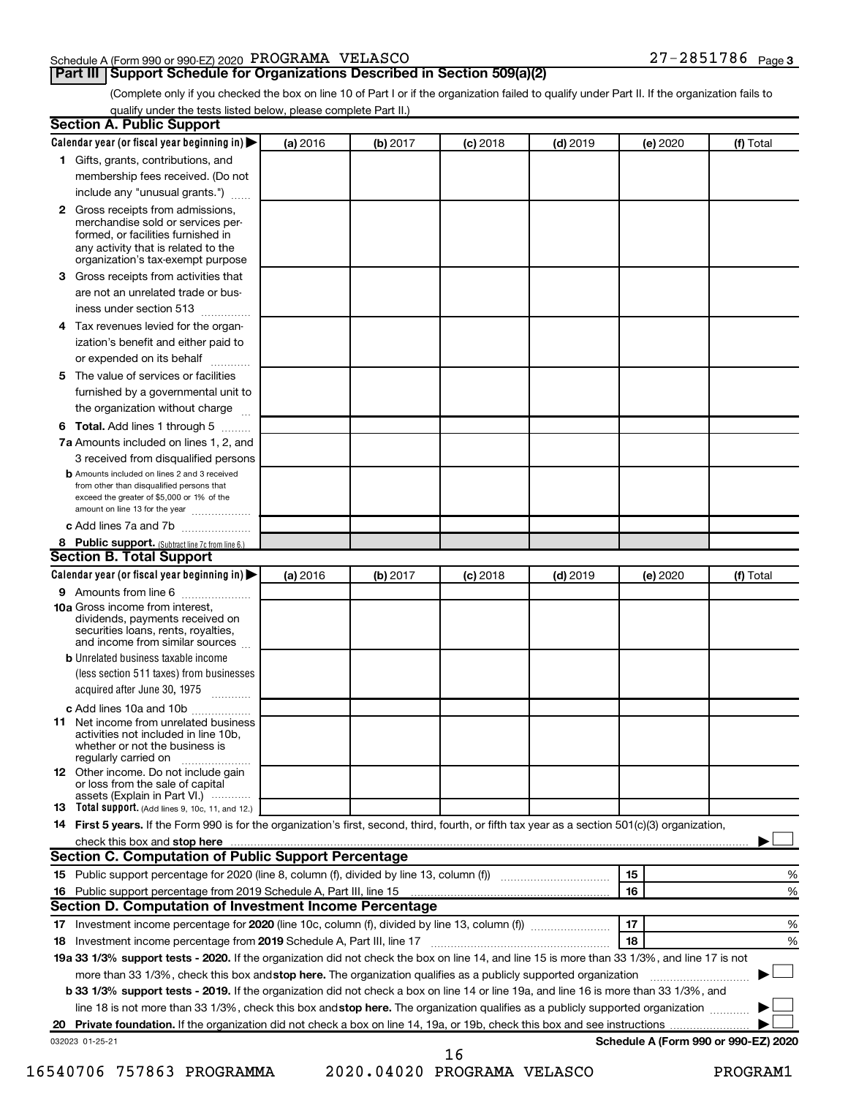### Schedule A (Form 990 or 990-EZ) 2020 Page PROGRAMA VELASCO 27-2851786

### **Part III Support Schedule for Organizations Described in Section 509(a)(2)**

27-2851786 Page 3

(Complete only if you checked the box on line 10 of Part I or if the organization failed to qualify under Part II. If the organization fails to qualify under the tests listed below, please complete Part II.)

| <b>Section A. Public Support</b>                                                                                                                                                         |          |          |            |            |          |                                      |
|------------------------------------------------------------------------------------------------------------------------------------------------------------------------------------------|----------|----------|------------|------------|----------|--------------------------------------|
| Calendar year (or fiscal year beginning in)                                                                                                                                              | (a) 2016 | (b) 2017 | $(c)$ 2018 | $(d)$ 2019 | (e) 2020 | (f) Total                            |
| 1 Gifts, grants, contributions, and                                                                                                                                                      |          |          |            |            |          |                                      |
| membership fees received. (Do not                                                                                                                                                        |          |          |            |            |          |                                      |
| include any "unusual grants.")                                                                                                                                                           |          |          |            |            |          |                                      |
| 2 Gross receipts from admissions,<br>merchandise sold or services per-<br>formed, or facilities furnished in<br>any activity that is related to the<br>organization's tax-exempt purpose |          |          |            |            |          |                                      |
| <b>3</b> Gross receipts from activities that<br>are not an unrelated trade or bus-                                                                                                       |          |          |            |            |          |                                      |
| iness under section 513                                                                                                                                                                  |          |          |            |            |          |                                      |
| 4 Tax revenues levied for the organ-                                                                                                                                                     |          |          |            |            |          |                                      |
| ization's benefit and either paid to<br>or expended on its behalf                                                                                                                        |          |          |            |            |          |                                      |
| 5 The value of services or facilities                                                                                                                                                    |          |          |            |            |          |                                      |
| furnished by a governmental unit to<br>the organization without charge                                                                                                                   |          |          |            |            |          |                                      |
| 6 Total. Add lines 1 through 5                                                                                                                                                           |          |          |            |            |          |                                      |
| 7a Amounts included on lines 1, 2, and                                                                                                                                                   |          |          |            |            |          |                                      |
| 3 received from disqualified persons                                                                                                                                                     |          |          |            |            |          |                                      |
| <b>b</b> Amounts included on lines 2 and 3 received<br>from other than disqualified persons that<br>exceed the greater of \$5,000 or 1% of the<br>amount on line 13 for the year         |          |          |            |            |          |                                      |
| c Add lines 7a and 7b                                                                                                                                                                    |          |          |            |            |          |                                      |
| 8 Public support. (Subtract line 7c from line 6.)<br><b>Section B. Total Support</b>                                                                                                     |          |          |            |            |          |                                      |
| Calendar year (or fiscal year beginning in)                                                                                                                                              | (a) 2016 | (b) 2017 | $(c)$ 2018 | $(d)$ 2019 | (e) 2020 | (f) Total                            |
| 9 Amounts from line 6                                                                                                                                                                    |          |          |            |            |          |                                      |
| <b>10a</b> Gross income from interest,<br>dividends, payments received on<br>securities loans, rents, royalties,<br>and income from similar sources                                      |          |          |            |            |          |                                      |
| <b>b</b> Unrelated business taxable income<br>(less section 511 taxes) from businesses<br>acquired after June 30, 1975                                                                   |          |          |            |            |          |                                      |
| c Add lines 10a and 10b                                                                                                                                                                  |          |          |            |            |          |                                      |
| <b>11</b> Net income from unrelated business<br>activities not included in line 10b.<br>whether or not the business is<br>regularly carried on                                           |          |          |            |            |          |                                      |
| <b>12</b> Other income. Do not include gain<br>or loss from the sale of capital<br>assets (Explain in Part VI.)                                                                          |          |          |            |            |          |                                      |
| <b>13</b> Total support. (Add lines 9, 10c, 11, and 12.)                                                                                                                                 |          |          |            |            |          |                                      |
| 14 First 5 years. If the Form 990 is for the organization's first, second, third, fourth, or fifth tax year as a section 501(c)(3) organization,                                         |          |          |            |            |          |                                      |
| check this box and stop here                                                                                                                                                             |          |          |            |            |          |                                      |
| Section C. Computation of Public Support Percentage                                                                                                                                      |          |          |            |            |          |                                      |
|                                                                                                                                                                                          |          |          |            |            | 15       | %                                    |
| 16 Public support percentage from 2019 Schedule A, Part III, line 15                                                                                                                     |          |          |            |            | 16       | %                                    |
| Section D. Computation of Investment Income Percentage                                                                                                                                   |          |          |            |            |          |                                      |
| 18 Investment income percentage from 2019 Schedule A, Part III, line 17                                                                                                                  |          |          |            |            | 17<br>18 | %<br>%                               |
| 19a 33 1/3% support tests - 2020. If the organization did not check the box on line 14, and line 15 is more than 33 1/3%, and line 17 is not                                             |          |          |            |            |          |                                      |
| more than 33 1/3%, check this box and stop here. The organization qualifies as a publicly supported organization                                                                         |          |          |            |            |          |                                      |
| b 33 1/3% support tests - 2019. If the organization did not check a box on line 14 or line 19a, and line 16 is more than 33 1/3%, and                                                    |          |          |            |            |          |                                      |
| line 18 is not more than 33 1/3%, check this box and stop here. The organization qualifies as a publicly supported organization                                                          |          |          |            |            |          |                                      |
|                                                                                                                                                                                          |          |          |            |            |          |                                      |
| 032023 01-25-21                                                                                                                                                                          |          |          |            |            |          | Schedule A (Form 990 or 990-EZ) 2020 |
|                                                                                                                                                                                          |          |          | 16         |            |          |                                      |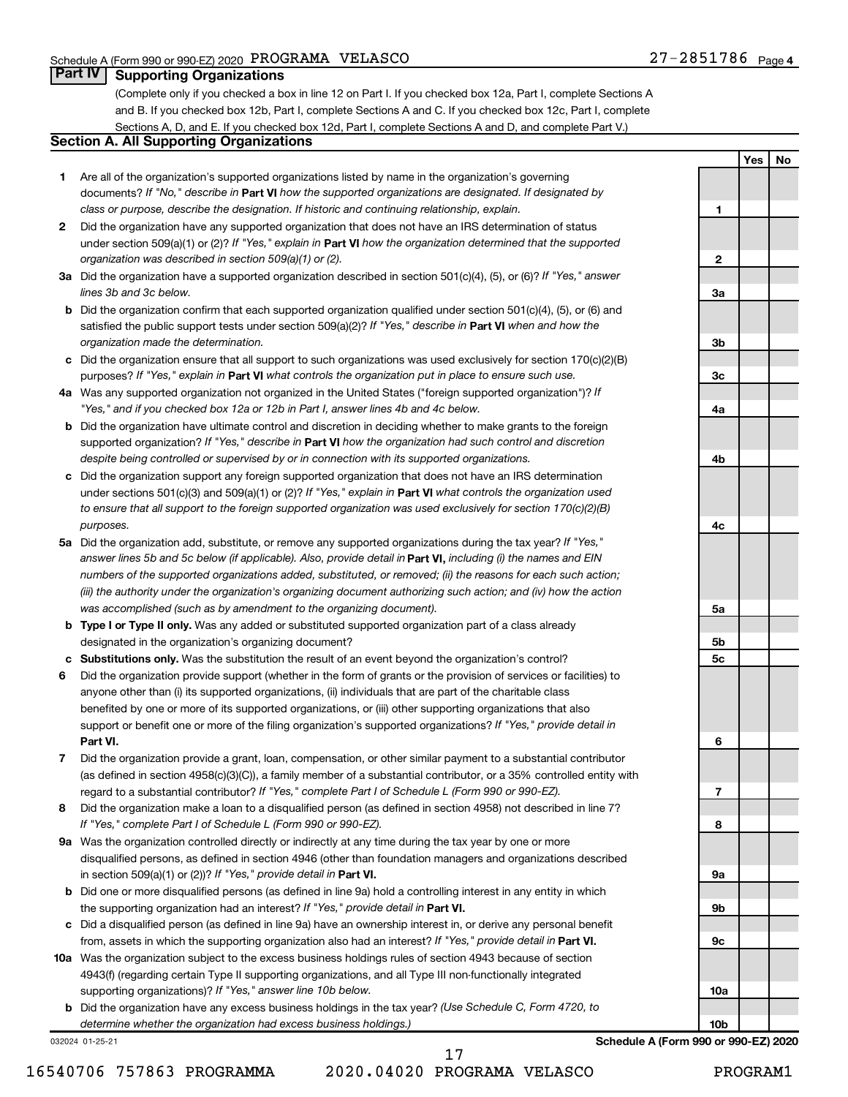**1**

**2**

**3a**

**3b**

**3c**

**4a**

**4b**

**4c**

**5a**

**5b 5c**

**6**

**7**

**8**

**9a**

**9b**

**9c**

**10a**

**10b**

**Yes No**

### **Part IV Supporting Organizations**

(Complete only if you checked a box in line 12 on Part I. If you checked box 12a, Part I, complete Sections A and B. If you checked box 12b, Part I, complete Sections A and C. If you checked box 12c, Part I, complete Sections A, D, and E. If you checked box 12d, Part I, complete Sections A and D, and complete Part V.)

### **Section A. All Supporting Organizations**

- **1** Are all of the organization's supported organizations listed by name in the organization's governing documents? If "No," describe in Part VI how the supported organizations are designated. If designated by *class or purpose, describe the designation. If historic and continuing relationship, explain.*
- **2** Did the organization have any supported organization that does not have an IRS determination of status under section 509(a)(1) or (2)? If "Yes," explain in Part **VI** how the organization determined that the supported *organization was described in section 509(a)(1) or (2).*
- **3a** Did the organization have a supported organization described in section 501(c)(4), (5), or (6)? If "Yes," answer *lines 3b and 3c below.*
- **b** Did the organization confirm that each supported organization qualified under section 501(c)(4), (5), or (6) and satisfied the public support tests under section 509(a)(2)? If "Yes," describe in Part VI when and how the *organization made the determination.*
- **c** Did the organization ensure that all support to such organizations was used exclusively for section 170(c)(2)(B) purposes? If "Yes," explain in Part VI what controls the organization put in place to ensure such use.
- **4 a** *If* Was any supported organization not organized in the United States ("foreign supported organization")? *"Yes," and if you checked box 12a or 12b in Part I, answer lines 4b and 4c below.*
- **b** Did the organization have ultimate control and discretion in deciding whether to make grants to the foreign supported organization? If "Yes," describe in Part VI how the organization had such control and discretion *despite being controlled or supervised by or in connection with its supported organizations.*
- **c** Did the organization support any foreign supported organization that does not have an IRS determination under sections 501(c)(3) and 509(a)(1) or (2)? If "Yes," explain in Part VI what controls the organization used *to ensure that all support to the foreign supported organization was used exclusively for section 170(c)(2)(B) purposes.*
- **5a** Did the organization add, substitute, or remove any supported organizations during the tax year? If "Yes," answer lines 5b and 5c below (if applicable). Also, provide detail in **Part VI,** including (i) the names and EIN *numbers of the supported organizations added, substituted, or removed; (ii) the reasons for each such action; (iii) the authority under the organization's organizing document authorizing such action; and (iv) how the action was accomplished (such as by amendment to the organizing document).*
- **b Type I or Type II only.** Was any added or substituted supported organization part of a class already designated in the organization's organizing document?
- **c Substitutions only.**  Was the substitution the result of an event beyond the organization's control?
- **6** Did the organization provide support (whether in the form of grants or the provision of services or facilities) to **Part VI.** support or benefit one or more of the filing organization's supported organizations? If "Yes," provide detail in anyone other than (i) its supported organizations, (ii) individuals that are part of the charitable class benefited by one or more of its supported organizations, or (iii) other supporting organizations that also
- **7** Did the organization provide a grant, loan, compensation, or other similar payment to a substantial contributor regard to a substantial contributor? If "Yes," complete Part I of Schedule L (Form 990 or 990-EZ). (as defined in section 4958(c)(3)(C)), a family member of a substantial contributor, or a 35% controlled entity with
- **8** Did the organization make a loan to a disqualified person (as defined in section 4958) not described in line 7? *If "Yes," complete Part I of Schedule L (Form 990 or 990-EZ).*
- **9 a** Was the organization controlled directly or indirectly at any time during the tax year by one or more in section 509(a)(1) or (2))? If "Yes," provide detail in **Part VI.** disqualified persons, as defined in section 4946 (other than foundation managers and organizations described
- **b** Did one or more disqualified persons (as defined in line 9a) hold a controlling interest in any entity in which the supporting organization had an interest? If "Yes," provide detail in Part VI.
- **c** Did a disqualified person (as defined in line 9a) have an ownership interest in, or derive any personal benefit from, assets in which the supporting organization also had an interest? If "Yes," provide detail in Part VI.
- **10 a** Was the organization subject to the excess business holdings rules of section 4943 because of section supporting organizations)? If "Yes," answer line 10b below. 4943(f) (regarding certain Type II supporting organizations, and all Type III non-functionally integrated
	- **b** Did the organization have any excess business holdings in the tax year? (Use Schedule C, Form 4720, to *determine whether the organization had excess business holdings.)*

032024 01-25-21

**Schedule A (Form 990 or 990-EZ) 2020**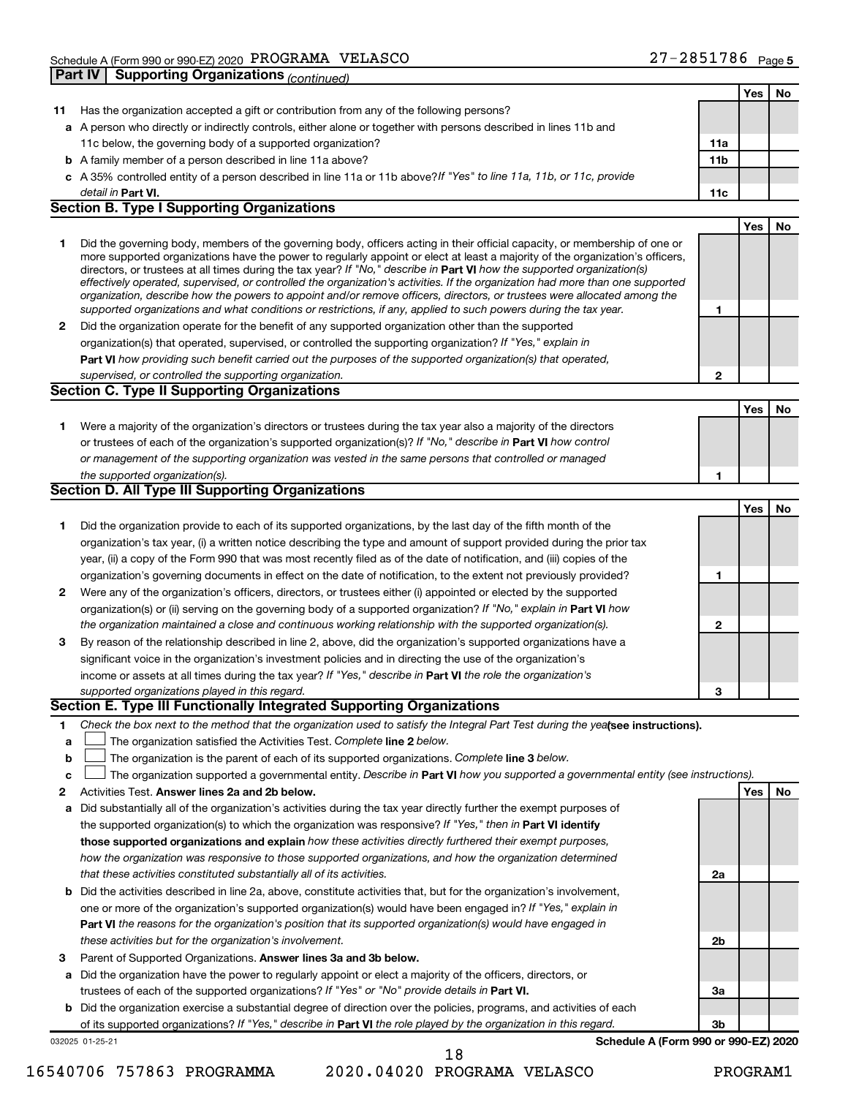|              |                                                                                                                                                                                                                                                            |                 | Yes | No |
|--------------|------------------------------------------------------------------------------------------------------------------------------------------------------------------------------------------------------------------------------------------------------------|-----------------|-----|----|
| 11           | Has the organization accepted a gift or contribution from any of the following persons?                                                                                                                                                                    |                 |     |    |
|              | a A person who directly or indirectly controls, either alone or together with persons described in lines 11b and                                                                                                                                           |                 |     |    |
|              | 11c below, the governing body of a supported organization?                                                                                                                                                                                                 | 11a             |     |    |
|              | <b>b</b> A family member of a person described in line 11a above?                                                                                                                                                                                          | 11 <sub>b</sub> |     |    |
|              | c A 35% controlled entity of a person described in line 11a or 11b above?If "Yes" to line 11a, 11b, or 11c, provide                                                                                                                                        |                 |     |    |
|              | detail in Part VI.                                                                                                                                                                                                                                         | 11c             |     |    |
|              | <b>Section B. Type I Supporting Organizations</b>                                                                                                                                                                                                          |                 |     |    |
|              |                                                                                                                                                                                                                                                            |                 | Yes | No |
| 1            | Did the governing body, members of the governing body, officers acting in their official capacity, or membership of one or                                                                                                                                 |                 |     |    |
|              | more supported organizations have the power to regularly appoint or elect at least a majority of the organization's officers,                                                                                                                              |                 |     |    |
|              | directors, or trustees at all times during the tax year? If "No," describe in Part VI how the supported organization(s)                                                                                                                                    |                 |     |    |
|              | effectively operated, supervised, or controlled the organization's activities. If the organization had more than one supported<br>organization, describe how the powers to appoint and/or remove officers, directors, or trustees were allocated among the |                 |     |    |
|              | supported organizations and what conditions or restrictions, if any, applied to such powers during the tax year.                                                                                                                                           | 1               |     |    |
| $\mathbf{2}$ | Did the organization operate for the benefit of any supported organization other than the supported                                                                                                                                                        |                 |     |    |
|              | organization(s) that operated, supervised, or controlled the supporting organization? If "Yes," explain in                                                                                                                                                 |                 |     |    |
|              | Part VI how providing such benefit carried out the purposes of the supported organization(s) that operated,                                                                                                                                                |                 |     |    |
|              | supervised, or controlled the supporting organization.                                                                                                                                                                                                     | $\mathbf{2}$    |     |    |
|              | <b>Section C. Type II Supporting Organizations</b>                                                                                                                                                                                                         |                 |     |    |
|              |                                                                                                                                                                                                                                                            |                 | Yes | No |
| 1.           | Were a majority of the organization's directors or trustees during the tax year also a majority of the directors                                                                                                                                           |                 |     |    |
|              | or trustees of each of the organization's supported organization(s)? If "No," describe in Part VI how control                                                                                                                                              |                 |     |    |
|              | or management of the supporting organization was vested in the same persons that controlled or managed                                                                                                                                                     |                 |     |    |
|              | the supported organization(s).                                                                                                                                                                                                                             | 1               |     |    |
|              | Section D. All Type III Supporting Organizations                                                                                                                                                                                                           |                 |     |    |
|              |                                                                                                                                                                                                                                                            |                 | Yes | No |
| 1            | Did the organization provide to each of its supported organizations, by the last day of the fifth month of the                                                                                                                                             |                 |     |    |
|              | organization's tax year, (i) a written notice describing the type and amount of support provided during the prior tax                                                                                                                                      |                 |     |    |
|              | year, (ii) a copy of the Form 990 that was most recently filed as of the date of notification, and (iii) copies of the                                                                                                                                     |                 |     |    |
|              | organization's governing documents in effect on the date of notification, to the extent not previously provided?                                                                                                                                           | 1               |     |    |
| $\mathbf{2}$ | Were any of the organization's officers, directors, or trustees either (i) appointed or elected by the supported                                                                                                                                           |                 |     |    |
|              | organization(s) or (ii) serving on the governing body of a supported organization? If "No," explain in Part VI how                                                                                                                                         |                 |     |    |
|              | the organization maintained a close and continuous working relationship with the supported organization(s).                                                                                                                                                | $\mathbf{2}$    |     |    |
| 3            | By reason of the relationship described in line 2, above, did the organization's supported organizations have a                                                                                                                                            |                 |     |    |
|              | significant voice in the organization's investment policies and in directing the use of the organization's                                                                                                                                                 |                 |     |    |
|              | income or assets at all times during the tax year? If "Yes," describe in Part VI the role the organization's                                                                                                                                               |                 |     |    |
|              | supported organizations played in this regard.                                                                                                                                                                                                             | 3               |     |    |
|              | Section E. Type III Functionally Integrated Supporting Organizations                                                                                                                                                                                       |                 |     |    |
| 1.           | Check the box next to the method that the organization used to satisfy the Integral Part Test during the yealsee instructions).                                                                                                                            |                 |     |    |
| a            | The organization satisfied the Activities Test. Complete line 2 below.                                                                                                                                                                                     |                 |     |    |
| $\mathbf b$  | The organization is the parent of each of its supported organizations. Complete line 3 below.                                                                                                                                                              |                 |     |    |
| c            | The organization supported a governmental entity. Describe in Part VI how you supported a governmental entity (see instructions).                                                                                                                          |                 |     |    |
| 2            | Activities Test. Answer lines 2a and 2b below.                                                                                                                                                                                                             |                 | Yes | No |
| а            | Did substantially all of the organization's activities during the tax year directly further the exempt purposes of                                                                                                                                         |                 |     |    |
|              | the supported organization(s) to which the organization was responsive? If "Yes," then in Part VI identify                                                                                                                                                 |                 |     |    |
|              | those supported organizations and explain how these activities directly furthered their exempt purposes,                                                                                                                                                   |                 |     |    |
|              | how the organization was responsive to those supported organizations, and how the organization determined                                                                                                                                                  |                 |     |    |
|              | that these activities constituted substantially all of its activities.                                                                                                                                                                                     | 2a              |     |    |
|              | <b>b</b> Did the activities described in line 2a, above, constitute activities that, but for the organization's involvement,                                                                                                                               |                 |     |    |
|              | one or more of the organization's supported organization(s) would have been engaged in? If "Yes," explain in                                                                                                                                               |                 |     |    |
|              |                                                                                                                                                                                                                                                            |                 |     |    |
|              | Part VI the reasons for the organization's position that its supported organization(s) would have engaged in<br>these activities but for the organization's involvement.                                                                                   | 2b              |     |    |
|              |                                                                                                                                                                                                                                                            |                 |     |    |
| 3            | Parent of Supported Organizations. Answer lines 3a and 3b below.                                                                                                                                                                                           |                 |     |    |
| а            | Did the organization have the power to regularly appoint or elect a majority of the officers, directors, or                                                                                                                                                |                 |     |    |
|              | trustees of each of the supported organizations? If "Yes" or "No" provide details in Part VI.                                                                                                                                                              | За              |     |    |
|              | <b>b</b> Did the organization exercise a substantial degree of direction over the policies, programs, and activities of each                                                                                                                               |                 |     |    |
|              | of its supported organizations? If "Yes," describe in Part VI the role played by the organization in this regard.                                                                                                                                          | 3b              |     |    |
|              | Schedule A (Form 990 or 990-EZ) 2020<br>032025 01-25-21                                                                                                                                                                                                    |                 |     |    |

**Schedule A (Form 990 or 990-EZ) 2020**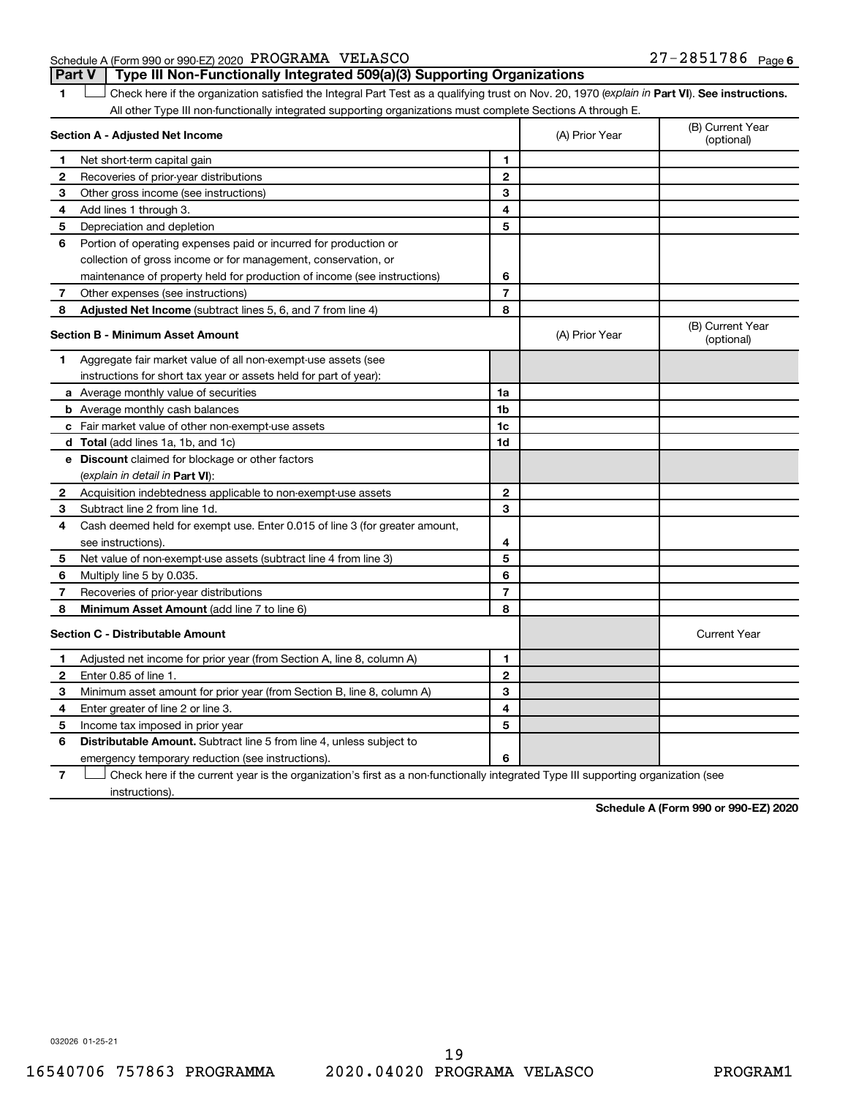Schedule A (Form 990 or 990-EZ) 2020 Page PROGRAMA VELASCO 27-2851786 **Part V Type III Non-Functionally Integrated 509(a)(3) Supporting Organizations** 

1 **Letter See instructions.** Check here if the organization satisfied the Integral Part Test as a qualifying trust on Nov. 20, 1970 (*explain in* Part **VI**). See instructions. All other Type III non-functionally integrated supporting organizations must complete Sections A through E.

| Section A - Adjusted Net Income |                                                                                                                                   |                | (A) Prior Year | (B) Current Year<br>(optional) |
|---------------------------------|-----------------------------------------------------------------------------------------------------------------------------------|----------------|----------------|--------------------------------|
| 1.                              | Net short-term capital gain                                                                                                       | 1              |                |                                |
| 2                               | Recoveries of prior-year distributions                                                                                            | $\mathbf{2}$   |                |                                |
| 3                               | Other gross income (see instructions)                                                                                             | 3              |                |                                |
| 4                               | Add lines 1 through 3.                                                                                                            | 4              |                |                                |
| 5                               | Depreciation and depletion                                                                                                        | 5              |                |                                |
| 6                               | Portion of operating expenses paid or incurred for production or                                                                  |                |                |                                |
|                                 | collection of gross income or for management, conservation, or                                                                    |                |                |                                |
|                                 | maintenance of property held for production of income (see instructions)                                                          | 6              |                |                                |
| 7                               | Other expenses (see instructions)                                                                                                 | $\overline{7}$ |                |                                |
| 8                               | Adjusted Net Income (subtract lines 5, 6, and 7 from line 4)                                                                      | 8              |                |                                |
|                                 | <b>Section B - Minimum Asset Amount</b>                                                                                           |                | (A) Prior Year | (B) Current Year<br>(optional) |
| 1                               | Aggregate fair market value of all non-exempt-use assets (see                                                                     |                |                |                                |
|                                 | instructions for short tax year or assets held for part of year):                                                                 |                |                |                                |
|                                 | <b>a</b> Average monthly value of securities                                                                                      | 1a             |                |                                |
|                                 | <b>b</b> Average monthly cash balances                                                                                            | 1 <sub>b</sub> |                |                                |
|                                 | <b>c</b> Fair market value of other non-exempt-use assets                                                                         | 1c             |                |                                |
|                                 | <b>d</b> Total (add lines 1a, 1b, and 1c)                                                                                         | 1d             |                |                                |
|                                 | e Discount claimed for blockage or other factors                                                                                  |                |                |                                |
|                                 | (explain in detail in <b>Part VI</b> ):                                                                                           |                |                |                                |
| 2                               | Acquisition indebtedness applicable to non-exempt-use assets                                                                      | $\mathbf{2}$   |                |                                |
| 3                               | Subtract line 2 from line 1d.                                                                                                     | 3              |                |                                |
| 4                               | Cash deemed held for exempt use. Enter 0.015 of line 3 (for greater amount,                                                       |                |                |                                |
|                                 | see instructions).                                                                                                                | 4              |                |                                |
| 5                               | Net value of non-exempt-use assets (subtract line 4 from line 3)                                                                  | 5              |                |                                |
| 6                               | Multiply line 5 by 0.035.                                                                                                         | 6              |                |                                |
| 7                               | Recoveries of prior-year distributions                                                                                            | $\overline{7}$ |                |                                |
| 8                               | Minimum Asset Amount (add line 7 to line 6)                                                                                       | 8              |                |                                |
|                                 | <b>Section C - Distributable Amount</b>                                                                                           |                |                | <b>Current Year</b>            |
| 1.                              | Adjusted net income for prior year (from Section A, line 8, column A)                                                             | 1              |                |                                |
| 2                               | Enter 0.85 of line 1.                                                                                                             | $\mathbf{2}$   |                |                                |
| 3                               | Minimum asset amount for prior year (from Section B, line 8, column A)                                                            | 3              |                |                                |
| 4                               | Enter greater of line 2 or line 3.                                                                                                | 4              |                |                                |
| 5                               | Income tax imposed in prior year                                                                                                  | 5              |                |                                |
| 6                               | <b>Distributable Amount.</b> Subtract line 5 from line 4, unless subject to                                                       |                |                |                                |
|                                 | emergency temporary reduction (see instructions).                                                                                 | 6              |                |                                |
| 7                               | Check here if the current year is the organization's first as a non-functionally integrated Type III supporting organization (see |                |                |                                |

instructions).

**Schedule A (Form 990 or 990-EZ) 2020**

032026 01-25-21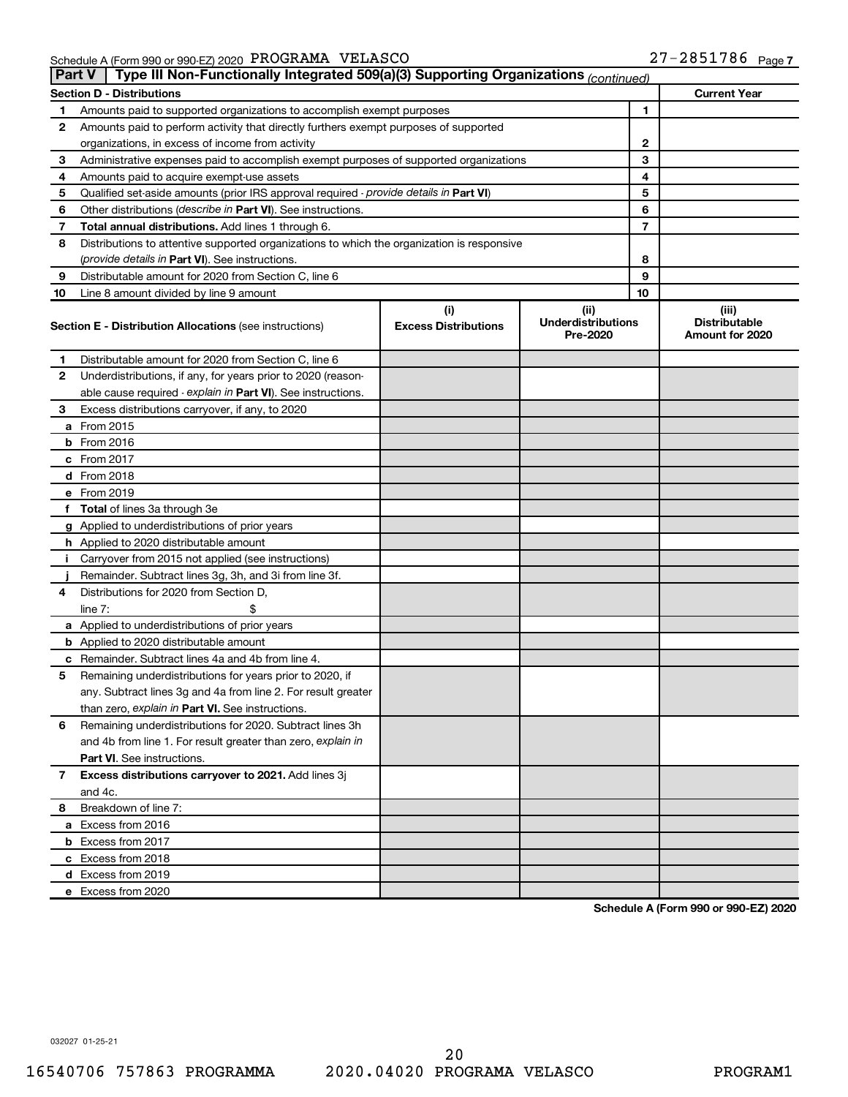Schedule A (Form 990 or 990-EZ) 2020 Page PROGRAMA VELASCO 27-2851786

| <b>Part V</b> | Type III Non-Functionally Integrated 509(a)(3) Supporting Organizations (continued)        |                                    |                                               |    |                                                  |
|---------------|--------------------------------------------------------------------------------------------|------------------------------------|-----------------------------------------------|----|--------------------------------------------------|
|               | <b>Section D - Distributions</b>                                                           |                                    |                                               |    | <b>Current Year</b>                              |
| 1             | Amounts paid to supported organizations to accomplish exempt purposes                      |                                    |                                               | 1  |                                                  |
| 2             | Amounts paid to perform activity that directly furthers exempt purposes of supported       |                                    |                                               |    |                                                  |
|               | organizations, in excess of income from activity<br>2                                      |                                    |                                               |    |                                                  |
| 3             | Administrative expenses paid to accomplish exempt purposes of supported organizations      |                                    |                                               | 3  |                                                  |
| 4             | Amounts paid to acquire exempt-use assets                                                  |                                    |                                               | 4  |                                                  |
| 5             | Qualified set-aside amounts (prior IRS approval required - provide details in Part VI)     |                                    |                                               | 5  |                                                  |
| 6             | Other distributions ( <i>describe in Part VI</i> ). See instructions.                      |                                    |                                               | 6  |                                                  |
| 7             | Total annual distributions. Add lines 1 through 6.                                         |                                    |                                               | 7  |                                                  |
| 8             | Distributions to attentive supported organizations to which the organization is responsive |                                    |                                               |    |                                                  |
|               | ( <i>provide details in Part VI</i> ). See instructions.                                   |                                    |                                               | 8  |                                                  |
| 9             | Distributable amount for 2020 from Section C, line 6                                       |                                    |                                               | 9  |                                                  |
| 10            | Line 8 amount divided by line 9 amount                                                     |                                    |                                               | 10 |                                                  |
|               | <b>Section E - Distribution Allocations (see instructions)</b>                             | (i)<br><b>Excess Distributions</b> | (ii)<br><b>Underdistributions</b><br>Pre-2020 |    | (iii)<br><b>Distributable</b><br>Amount for 2020 |
| 1             | Distributable amount for 2020 from Section C, line 6                                       |                                    |                                               |    |                                                  |
| 2             | Underdistributions, if any, for years prior to 2020 (reason-                               |                                    |                                               |    |                                                  |
|               | able cause required - explain in Part VI). See instructions.                               |                                    |                                               |    |                                                  |
| 3             | Excess distributions carryover, if any, to 2020                                            |                                    |                                               |    |                                                  |
|               | a From 2015                                                                                |                                    |                                               |    |                                                  |
|               | $b$ From 2016                                                                              |                                    |                                               |    |                                                  |
|               | c From 2017                                                                                |                                    |                                               |    |                                                  |
|               | d From 2018                                                                                |                                    |                                               |    |                                                  |
|               | e From 2019                                                                                |                                    |                                               |    |                                                  |
|               | f Total of lines 3a through 3e                                                             |                                    |                                               |    |                                                  |
|               | g Applied to underdistributions of prior years                                             |                                    |                                               |    |                                                  |
|               | <b>h</b> Applied to 2020 distributable amount                                              |                                    |                                               |    |                                                  |
|               | Carryover from 2015 not applied (see instructions)                                         |                                    |                                               |    |                                                  |
|               | Remainder. Subtract lines 3g, 3h, and 3i from line 3f.                                     |                                    |                                               |    |                                                  |
| 4             | Distributions for 2020 from Section D,                                                     |                                    |                                               |    |                                                  |
|               | line $7:$                                                                                  |                                    |                                               |    |                                                  |
|               | a Applied to underdistributions of prior years                                             |                                    |                                               |    |                                                  |
|               | <b>b</b> Applied to 2020 distributable amount                                              |                                    |                                               |    |                                                  |
|               | <b>c</b> Remainder. Subtract lines 4a and 4b from line 4.                                  |                                    |                                               |    |                                                  |
| 5             | Remaining underdistributions for years prior to 2020, if                                   |                                    |                                               |    |                                                  |
|               | any. Subtract lines 3g and 4a from line 2. For result greater                              |                                    |                                               |    |                                                  |
|               | than zero, explain in Part VI. See instructions.                                           |                                    |                                               |    |                                                  |
| 6             | Remaining underdistributions for 2020. Subtract lines 3h                                   |                                    |                                               |    |                                                  |
|               | and 4b from line 1. For result greater than zero, explain in                               |                                    |                                               |    |                                                  |
|               | <b>Part VI.</b> See instructions.                                                          |                                    |                                               |    |                                                  |
| 7             | Excess distributions carryover to 2021. Add lines 3j                                       |                                    |                                               |    |                                                  |
|               | and 4c.                                                                                    |                                    |                                               |    |                                                  |
| 8             | Breakdown of line 7:                                                                       |                                    |                                               |    |                                                  |
|               | a Excess from 2016                                                                         |                                    |                                               |    |                                                  |
|               | <b>b</b> Excess from 2017                                                                  |                                    |                                               |    |                                                  |
|               | c Excess from 2018                                                                         |                                    |                                               |    |                                                  |
|               | d Excess from 2019                                                                         |                                    |                                               |    |                                                  |
|               | e Excess from 2020                                                                         |                                    |                                               |    |                                                  |

**Schedule A (Form 990 or 990-EZ) 2020**

032027 01-25-21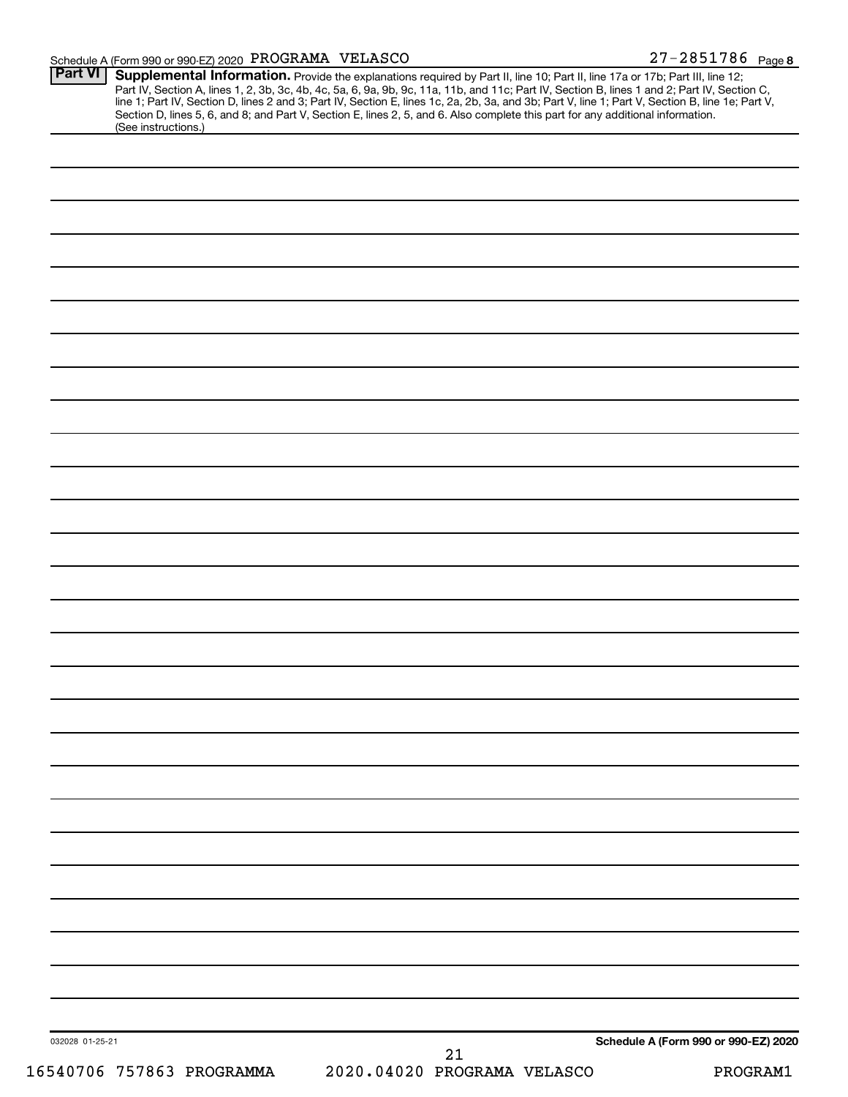### Schedule A (Form 990 or 990-EZ) 2020 Page PROGRAMA VELASCO 27-2851786

| <b>Part VI</b>            | <b>Supplemental Information.</b> Provide the explanations required by Part II, line 10; Part II, line 17a or 17b; Part III, line 12; Part IV, Section A, lines 1, 2, 3b, 3c, 4b, 4c, 5a, 6, 9a, 9b, 9c, 11a, 11b, and 11c; Part IV, |
|---------------------------|-------------------------------------------------------------------------------------------------------------------------------------------------------------------------------------------------------------------------------------|
| (See instructions.)       |                                                                                                                                                                                                                                     |
|                           |                                                                                                                                                                                                                                     |
|                           |                                                                                                                                                                                                                                     |
|                           |                                                                                                                                                                                                                                     |
|                           |                                                                                                                                                                                                                                     |
|                           |                                                                                                                                                                                                                                     |
|                           |                                                                                                                                                                                                                                     |
|                           |                                                                                                                                                                                                                                     |
|                           |                                                                                                                                                                                                                                     |
|                           |                                                                                                                                                                                                                                     |
|                           |                                                                                                                                                                                                                                     |
|                           |                                                                                                                                                                                                                                     |
|                           |                                                                                                                                                                                                                                     |
|                           |                                                                                                                                                                                                                                     |
|                           |                                                                                                                                                                                                                                     |
|                           |                                                                                                                                                                                                                                     |
|                           |                                                                                                                                                                                                                                     |
|                           |                                                                                                                                                                                                                                     |
|                           |                                                                                                                                                                                                                                     |
|                           |                                                                                                                                                                                                                                     |
|                           |                                                                                                                                                                                                                                     |
|                           |                                                                                                                                                                                                                                     |
|                           |                                                                                                                                                                                                                                     |
|                           |                                                                                                                                                                                                                                     |
|                           |                                                                                                                                                                                                                                     |
|                           |                                                                                                                                                                                                                                     |
|                           |                                                                                                                                                                                                                                     |
|                           |                                                                                                                                                                                                                                     |
|                           |                                                                                                                                                                                                                                     |
|                           |                                                                                                                                                                                                                                     |
|                           |                                                                                                                                                                                                                                     |
| 032028 01-25-21           | Schedule A (Form 990 or 990-EZ) 2020<br>21                                                                                                                                                                                          |
| 16540706 757863 PROGRAMMA | 2020.04020 PROGRAMA VELASCO<br>PROGRAM1                                                                                                                                                                                             |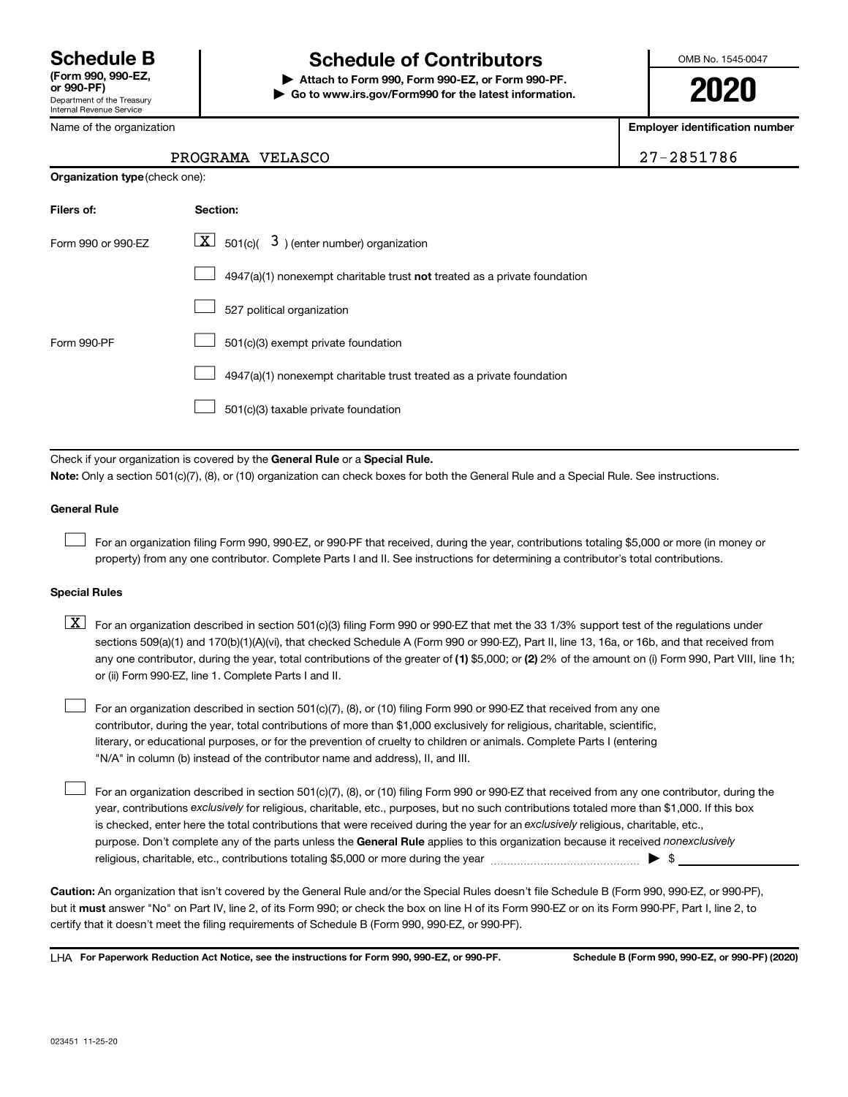Department of the Treasury Internal Revenue Service

## **Schedule B Schedule of Contributors**

**or 990-PF) | Attach to Form 990, Form 990-EZ, or Form 990-PF. | Go to www.irs.gov/Form990 for the latest information.** OMB No. 1545-0047

**2020**

**Employer identification number**

| Name of the organization |  |
|--------------------------|--|
|--------------------------|--|

**Organization type** (check one):

### PROGRAMA VELASCO 27-2851786

| Filers of:         | Section:                                                                  |
|--------------------|---------------------------------------------------------------------------|
| Form 990 or 990-FZ | $\lfloor \underline{X} \rfloor$ 501(c)( 3) (enter number) organization    |
|                    | 4947(a)(1) nonexempt charitable trust not treated as a private foundation |
|                    | 527 political organization                                                |
| Form 990-PF        | 501(c)(3) exempt private foundation                                       |
|                    | 4947(a)(1) nonexempt charitable trust treated as a private foundation     |
|                    | 501(c)(3) taxable private foundation                                      |

Check if your organization is covered by the General Rule or a Special Rule.

**Note:**  Only a section 501(c)(7), (8), or (10) organization can check boxes for both the General Rule and a Special Rule. See instructions.

### **General Rule**

 $\Box$ 

 $\Box$ 

For an organization filing Form 990, 990-EZ, or 990-PF that received, during the year, contributions totaling \$5,000 or more (in money or property) from any one contributor. Complete Parts I and II. See instructions for determining a contributor's total contributions.

### **Special Rules**

- any one contributor, during the year, total contributions of the greater of (1) \$5,000; or (2) 2% of the amount on (i) Form 990, Part VIII, line 1h;  $\boxed{\text{X}}$  For an organization described in section 501(c)(3) filing Form 990 or 990-EZ that met the 33 1/3% support test of the regulations under sections 509(a)(1) and 170(b)(1)(A)(vi), that checked Schedule A (Form 990 or 990-EZ), Part II, line 13, 16a, or 16b, and that received from or (ii) Form 990-EZ, line 1. Complete Parts I and II.
- For an organization described in section 501(c)(7), (8), or (10) filing Form 990 or 990-EZ that received from any one contributor, during the year, total contributions of more than \$1,000 exclusively for religious, charitable, scientific, literary, or educational purposes, or for the prevention of cruelty to children or animals. Complete Parts I (entering "N/A" in column (b) instead of the contributor name and address), II, and III.  $\Box$

purpose. Don't complete any of the parts unless the General Rule applies to this organization because it received nonexclusively year, contributions exclusively for religious, charitable, etc., purposes, but no such contributions totaled more than \$1,000. If this box is checked, enter here the total contributions that were received during the year for an exclusively religious, charitable, etc., For an organization described in section 501(c)(7), (8), or (10) filing Form 990 or 990-EZ that received from any one contributor, during the religious, charitable, etc., contributions totaling \$5,000 or more during the year  $~\ldots\ldots\ldots\ldots\ldots\ldots\ldots\ldots\blacktriangleright~$ \$

**Caution:**  An organization that isn't covered by the General Rule and/or the Special Rules doesn't file Schedule B (Form 990, 990-EZ, or 990-PF),  **must** but it answer "No" on Part IV, line 2, of its Form 990; or check the box on line H of its Form 990-EZ or on its Form 990-PF, Part I, line 2, to certify that it doesn't meet the filing requirements of Schedule B (Form 990, 990-EZ, or 990-PF).

**For Paperwork Reduction Act Notice, see the instructions for Form 990, 990-EZ, or 990-PF. Schedule B (Form 990, 990-EZ, or 990-PF) (2020)** LHA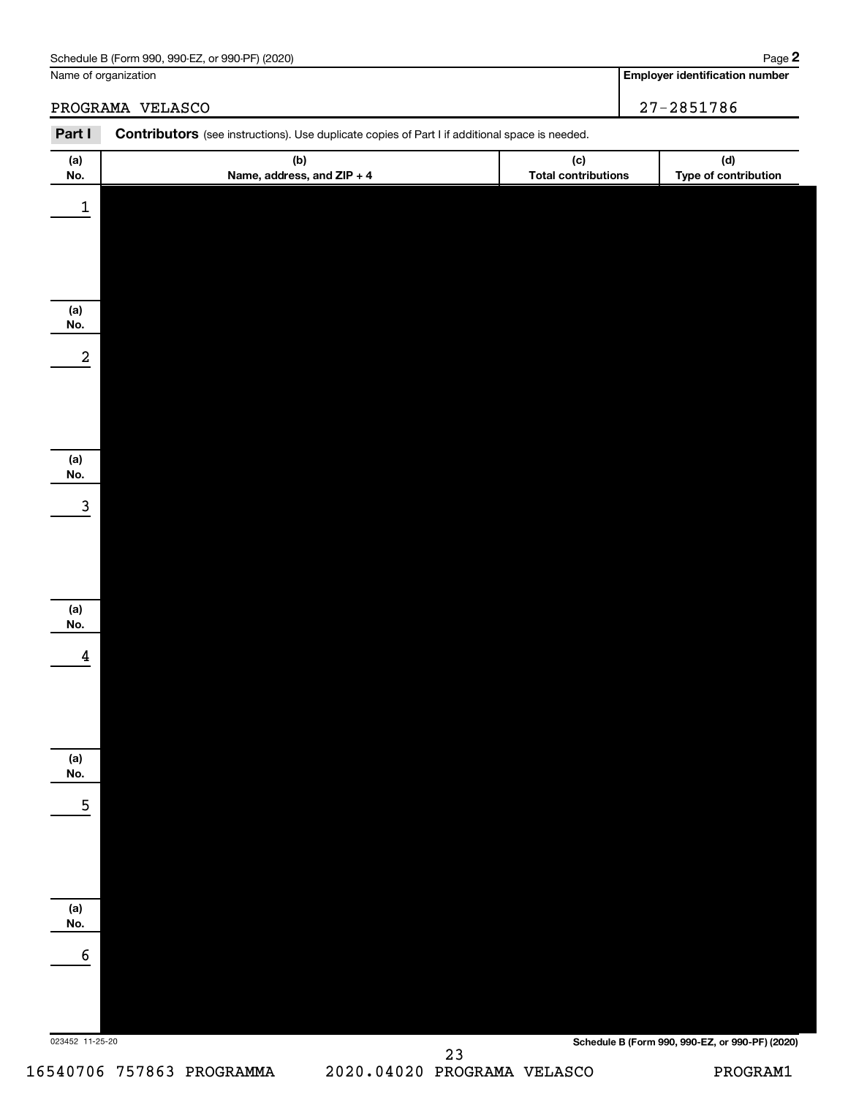| Schedule B (Form 990,<br>or 990-PF)<br>(2020)<br>990-EZ | Paɑe |
|---------------------------------------------------------|------|
|                                                         |      |

### **Employer identification number**

PROGRAMA VELASCO 27-2851786

| Part I          | <b>Contributors</b> (see instructions). Use duplicate copies of Part I if additional space is needed. |                                   |                                                 |
|-----------------|-------------------------------------------------------------------------------------------------------|-----------------------------------|-------------------------------------------------|
| (a)<br>No.      | (b)<br>Name, address, and ZIP + 4                                                                     | (c)<br><b>Total contributions</b> | (d)<br>Type of contribution                     |
| $\mathbf 1$     |                                                                                                       |                                   |                                                 |
|                 |                                                                                                       |                                   |                                                 |
|                 |                                                                                                       |                                   |                                                 |
| (a)             |                                                                                                       |                                   |                                                 |
| No.             |                                                                                                       |                                   |                                                 |
| $\overline{a}$  |                                                                                                       |                                   |                                                 |
|                 |                                                                                                       |                                   |                                                 |
|                 |                                                                                                       |                                   |                                                 |
| (a)<br>No.      |                                                                                                       |                                   |                                                 |
| 3               |                                                                                                       |                                   |                                                 |
|                 |                                                                                                       |                                   |                                                 |
|                 |                                                                                                       |                                   |                                                 |
| (a)             |                                                                                                       |                                   |                                                 |
| No.             |                                                                                                       |                                   |                                                 |
| 4               |                                                                                                       |                                   |                                                 |
|                 |                                                                                                       |                                   |                                                 |
|                 |                                                                                                       |                                   |                                                 |
| (a)<br>No.      |                                                                                                       |                                   |                                                 |
| 5               |                                                                                                       |                                   |                                                 |
|                 |                                                                                                       |                                   |                                                 |
|                 |                                                                                                       |                                   |                                                 |
| (a)             |                                                                                                       |                                   |                                                 |
| No.             |                                                                                                       |                                   |                                                 |
| 6               |                                                                                                       |                                   |                                                 |
|                 |                                                                                                       |                                   |                                                 |
| 023452 11-25-20 |                                                                                                       |                                   | Schedule B (Form 990, 990-EZ, or 990-PF) (2020) |
|                 |                                                                                                       |                                   |                                                 |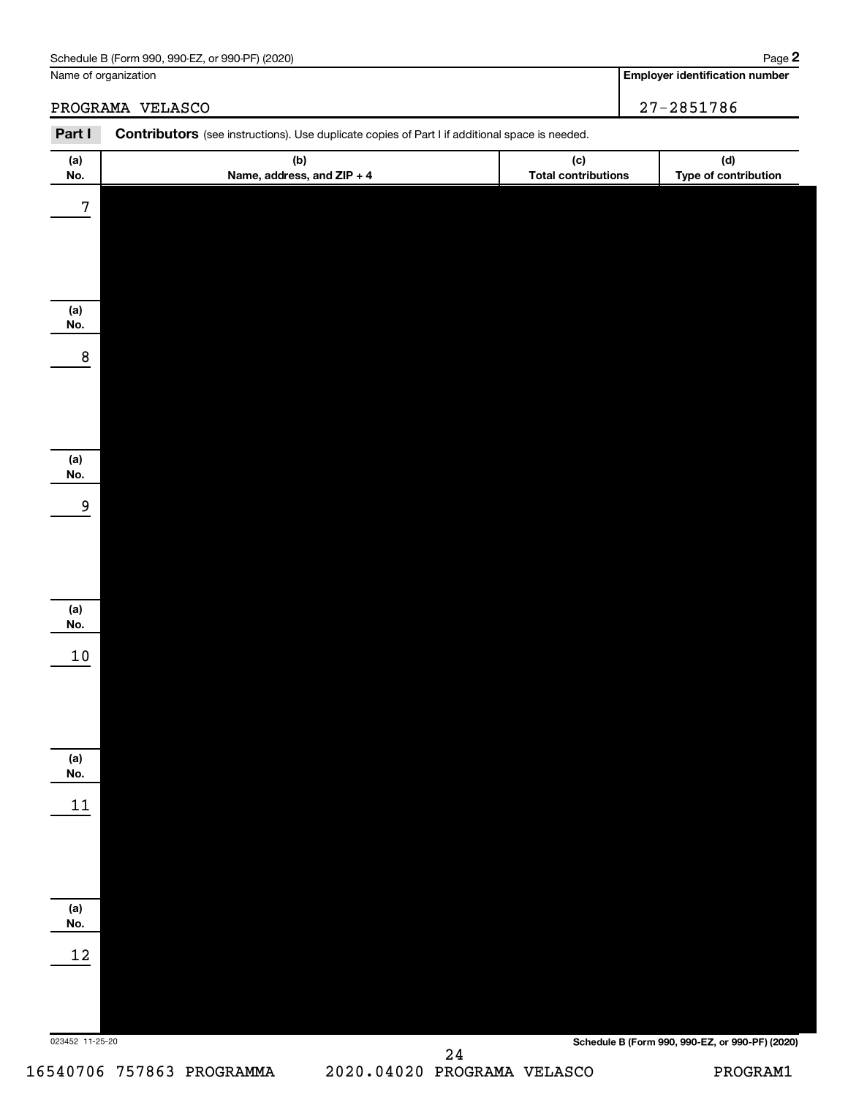| Schedule B (Form 990,<br>or 990-PF)<br>(2020)<br>990-EZ | Paɑe |
|---------------------------------------------------------|------|
|                                                         |      |

Name of organization

**Employer identification number 2**

PROGRAMA VELASCO 27-2851786

| Part I          | Contributors (see instructions). Use duplicate copies of Part I if additional space is needed. |                                   |                                                 |
|-----------------|------------------------------------------------------------------------------------------------|-----------------------------------|-------------------------------------------------|
| (a)<br>No.      | (b)<br>Name, address, and ZIP + 4                                                              | (c)<br><b>Total contributions</b> | (d)<br>Type of contribution                     |
| $\bf 7$         |                                                                                                |                                   |                                                 |
|                 |                                                                                                |                                   |                                                 |
|                 |                                                                                                |                                   |                                                 |
| (a)             |                                                                                                |                                   |                                                 |
| No.<br>$\bf 8$  |                                                                                                |                                   |                                                 |
|                 |                                                                                                |                                   |                                                 |
|                 |                                                                                                |                                   |                                                 |
|                 |                                                                                                |                                   |                                                 |
| (a)<br>No.      |                                                                                                |                                   |                                                 |
| 9               |                                                                                                |                                   |                                                 |
|                 |                                                                                                |                                   |                                                 |
|                 |                                                                                                |                                   |                                                 |
| (a)<br>No.      |                                                                                                |                                   |                                                 |
| 10              |                                                                                                |                                   |                                                 |
|                 |                                                                                                |                                   |                                                 |
|                 |                                                                                                |                                   |                                                 |
| (a)             |                                                                                                |                                   |                                                 |
| No.<br>11       |                                                                                                |                                   |                                                 |
|                 |                                                                                                |                                   |                                                 |
|                 |                                                                                                |                                   |                                                 |
|                 |                                                                                                |                                   |                                                 |
| (a)<br>No.      |                                                                                                |                                   |                                                 |
| $12\,$          |                                                                                                |                                   |                                                 |
|                 |                                                                                                |                                   |                                                 |
| 023452 11-25-20 |                                                                                                |                                   | Schedule B (Form 990, 990-EZ, or 990-PF) (2020) |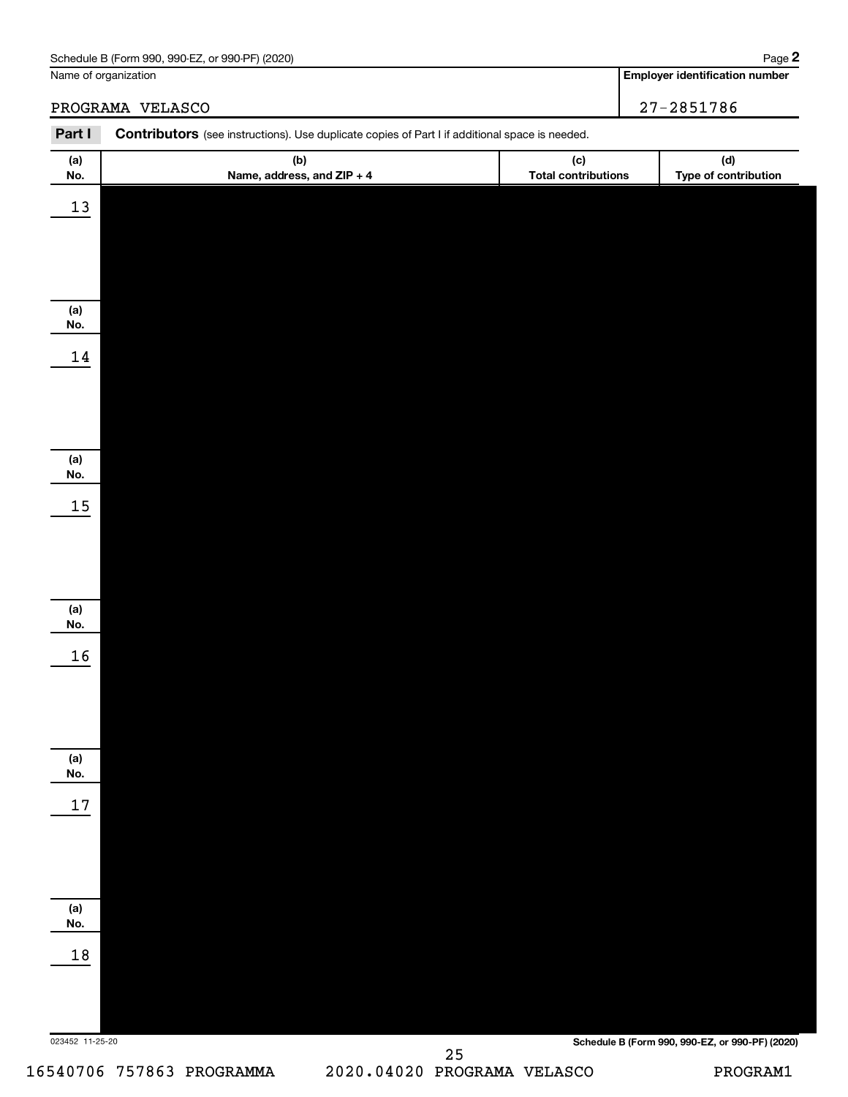| (2020)<br>Schedule<br>. or 990-PF)<br>990-EZ<br>: B (Form 990. | Paɑe |
|----------------------------------------------------------------|------|
|                                                                |      |

### **Employer identification number**

PROGRAMA VELASCO 27-2851786

| Part I          | <b>Contributors</b> (see instructions). Use duplicate copies of Part I if additional space is needed. |                                   |                                                 |
|-----------------|-------------------------------------------------------------------------------------------------------|-----------------------------------|-------------------------------------------------|
| (a)<br>No.      | (b)<br>Name, address, and ZIP + 4                                                                     | (c)<br><b>Total contributions</b> | (d)<br>Type of contribution                     |
| 13              |                                                                                                       |                                   |                                                 |
|                 |                                                                                                       |                                   |                                                 |
|                 |                                                                                                       |                                   |                                                 |
| (a)             |                                                                                                       |                                   |                                                 |
| No.             |                                                                                                       |                                   |                                                 |
| 14              |                                                                                                       |                                   |                                                 |
|                 |                                                                                                       |                                   |                                                 |
|                 |                                                                                                       |                                   |                                                 |
| (a)<br>No.      |                                                                                                       |                                   |                                                 |
| 15              |                                                                                                       |                                   |                                                 |
|                 |                                                                                                       |                                   |                                                 |
|                 |                                                                                                       |                                   |                                                 |
| (a)             |                                                                                                       |                                   |                                                 |
| No.             |                                                                                                       |                                   |                                                 |
| 16              |                                                                                                       |                                   |                                                 |
|                 |                                                                                                       |                                   |                                                 |
|                 |                                                                                                       |                                   |                                                 |
| (a)<br>No.      |                                                                                                       |                                   |                                                 |
| $17\,$          |                                                                                                       |                                   |                                                 |
|                 |                                                                                                       |                                   |                                                 |
|                 |                                                                                                       |                                   |                                                 |
| (a)             |                                                                                                       |                                   |                                                 |
| No.             |                                                                                                       |                                   |                                                 |
| 18              |                                                                                                       |                                   |                                                 |
|                 |                                                                                                       |                                   |                                                 |
| 023452 11-25-20 |                                                                                                       |                                   |                                                 |
|                 |                                                                                                       |                                   | Schedule B (Form 990, 990-EZ, or 990-PF) (2020) |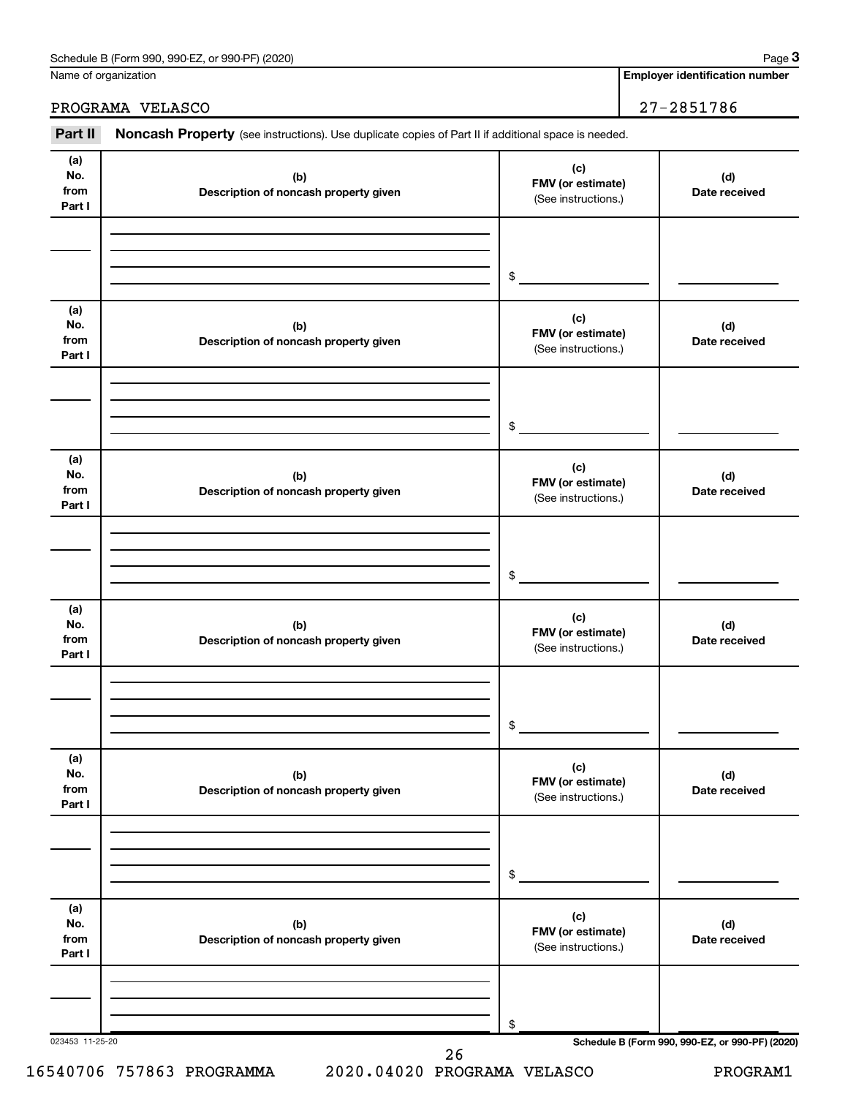| (2020)<br>or 990-PF)<br>Schedule B (Form 990,<br>990-EZ | Paɑe |
|---------------------------------------------------------|------|
|                                                         |      |

Name of organization

**Employer identification number**

PROGRAMA VELASCO 27-2851786

| (a)<br>No.<br>from<br>Part I | (b)<br>Description of noncash property given | (c)<br>FMV (or estimate)<br>(See instructions.) | (d)<br>Date received |
|------------------------------|----------------------------------------------|-------------------------------------------------|----------------------|
|                              |                                              | \$                                              |                      |
| (a)<br>No.<br>from<br>Part I | (b)<br>Description of noncash property given | (c)<br>FMV (or estimate)<br>(See instructions.) | (d)<br>Date received |
|                              |                                              | \$                                              |                      |
| (a)<br>No.<br>from<br>Part I | (b)<br>Description of noncash property given | (c)<br>FMV (or estimate)<br>(See instructions.) | (d)<br>Date received |
|                              |                                              | \$                                              |                      |
| (a)<br>No.<br>from<br>Part I | (b)<br>Description of noncash property given | (c)<br>FMV (or estimate)<br>(See instructions.) | (d)<br>Date received |
|                              |                                              | \$                                              |                      |
| (a)<br>No.<br>from<br>Part I | (b)<br>Description of noncash property given | (c)<br>FMV (or estimate)<br>(See instructions.) | (d)<br>Date received |
|                              |                                              | \$                                              |                      |
| (a)<br>No.<br>from<br>Part I | (b)<br>Description of noncash property given | (c)<br>FMV (or estimate)<br>(See instructions.) | (d)<br>Date received |
|                              |                                              | \$                                              |                      |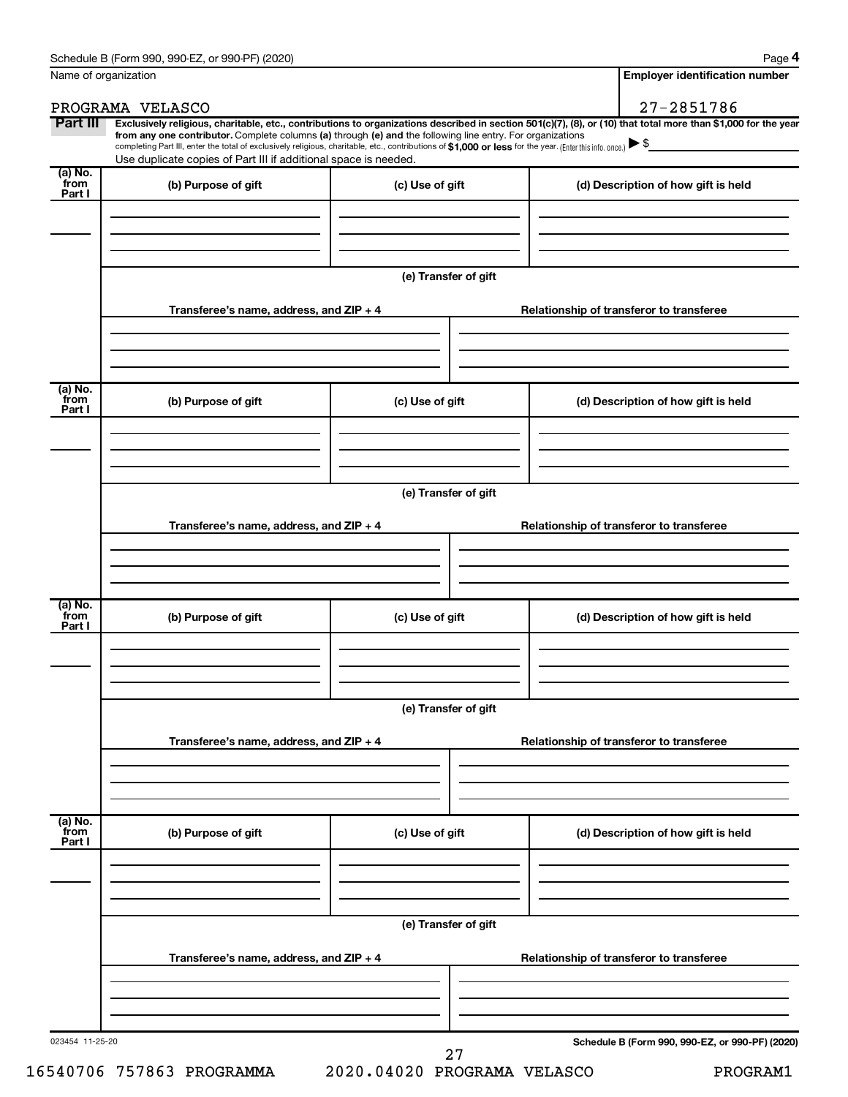|                                        | PROGRAMA VELASCO                                                                                                                                                                                                                                                                                                                                                                                                                                                                                            |                      |  | 27-2851786                               |  |
|----------------------------------------|-------------------------------------------------------------------------------------------------------------------------------------------------------------------------------------------------------------------------------------------------------------------------------------------------------------------------------------------------------------------------------------------------------------------------------------------------------------------------------------------------------------|----------------------|--|------------------------------------------|--|
| Part III                               | Exclusively religious, charitable, etc., contributions to organizations described in section 501(c)(7), (8), or (10) that total more than \$1,000 for the year<br>from any one contributor. Complete columns (a) through (e) and the following line entry. For organizations<br>completing Part III, enter the total of exclusively religious, charitable, etc., contributions of \$1,000 or less for the year. (Enter this info. once.)<br>Use duplicate copies of Part III if additional space is needed. |                      |  |                                          |  |
| $(a)$ No.<br>from<br>Part I            | (b) Purpose of gift                                                                                                                                                                                                                                                                                                                                                                                                                                                                                         | (c) Use of gift      |  | (d) Description of how gift is held      |  |
|                                        |                                                                                                                                                                                                                                                                                                                                                                                                                                                                                                             |                      |  |                                          |  |
|                                        |                                                                                                                                                                                                                                                                                                                                                                                                                                                                                                             | (e) Transfer of gift |  |                                          |  |
|                                        | Transferee's name, address, and ZIP + 4                                                                                                                                                                                                                                                                                                                                                                                                                                                                     |                      |  | Relationship of transferor to transferee |  |
| $(a)$ No.<br>from                      | (b) Purpose of gift                                                                                                                                                                                                                                                                                                                                                                                                                                                                                         | (c) Use of gift      |  | (d) Description of how gift is held      |  |
| Part I                                 |                                                                                                                                                                                                                                                                                                                                                                                                                                                                                                             |                      |  |                                          |  |
|                                        |                                                                                                                                                                                                                                                                                                                                                                                                                                                                                                             |                      |  |                                          |  |
|                                        | Transferee's name, address, and ZIP + 4                                                                                                                                                                                                                                                                                                                                                                                                                                                                     | (e) Transfer of gift |  | Relationship of transferor to transferee |  |
|                                        |                                                                                                                                                                                                                                                                                                                                                                                                                                                                                                             |                      |  |                                          |  |
|                                        |                                                                                                                                                                                                                                                                                                                                                                                                                                                                                                             |                      |  |                                          |  |
| $\overline{a}$ ) No.<br>from<br>Part I | (b) Purpose of gift                                                                                                                                                                                                                                                                                                                                                                                                                                                                                         | (c) Use of gift      |  | (d) Description of how gift is held      |  |
|                                        |                                                                                                                                                                                                                                                                                                                                                                                                                                                                                                             |                      |  |                                          |  |
|                                        | (e) Transfer of gift                                                                                                                                                                                                                                                                                                                                                                                                                                                                                        |                      |  |                                          |  |
|                                        | Transferee's name, address, and ZIP + 4                                                                                                                                                                                                                                                                                                                                                                                                                                                                     |                      |  | Relationship of transferor to transferee |  |
|                                        |                                                                                                                                                                                                                                                                                                                                                                                                                                                                                                             |                      |  |                                          |  |
| (a) No.<br>from<br>Part I              | (b) Purpose of gift                                                                                                                                                                                                                                                                                                                                                                                                                                                                                         | (c) Use of gift      |  | (d) Description of how gift is held      |  |
|                                        |                                                                                                                                                                                                                                                                                                                                                                                                                                                                                                             |                      |  |                                          |  |
|                                        | Transferee's name, address, and ZIP + 4                                                                                                                                                                                                                                                                                                                                                                                                                                                                     | (e) Transfer of gift |  | Relationship of transferor to transferee |  |
|                                        |                                                                                                                                                                                                                                                                                                                                                                                                                                                                                                             |                      |  |                                          |  |
|                                        |                                                                                                                                                                                                                                                                                                                                                                                                                                                                                                             |                      |  |                                          |  |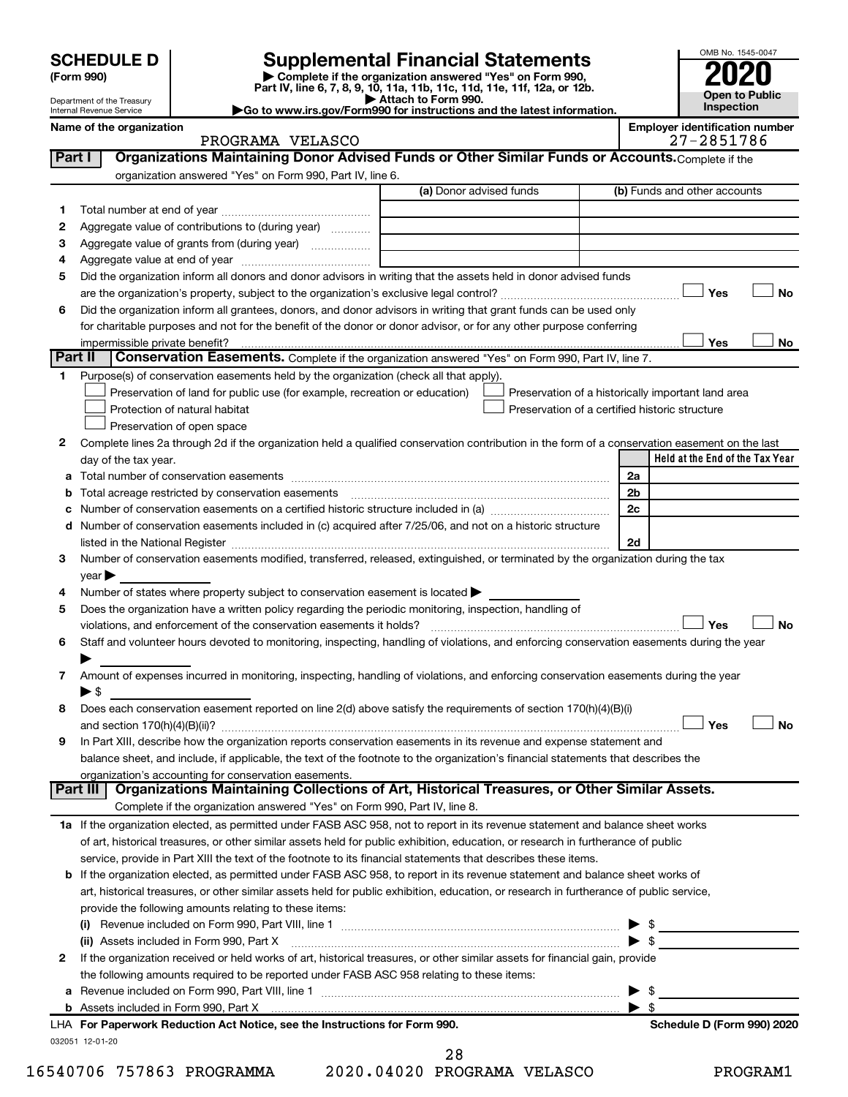| <b>SCHEDULE D</b> |  |
|-------------------|--|
|-------------------|--|

# **SCHEDULE D Supplemental Financial Statements**<br> **Form 990 2020**<br> **Part IV** line 6.7.8.9.10, 11a, 11b, 11d, 11d, 11d, 11d, 11d, 12a, 0r, 12b

**(Form 990) | Complete if the organization answered "Yes" on Form 990, Part IV, line 6, 7, 8, 9, 10, 11a, 11b, 11c, 11d, 11e, 11f, 12a, or 12b.**

**| Attach to Form 990. |Go to www.irs.gov/Form990 for instructions and the latest information.**



Department of the Treasury Internal Revenue Service

## PROGRAMA VELASCO

Name of the organization<br>**PROGRAMA** VELASCO **EMPLOYER THE SEASUAL SEASUAL SEASUAL SEASUAL SEASUAL SEASUAL SEASUAL SEASUAL SEASUAL SEASUAL** 

| Part I  | Organizations Maintaining Donor Advised Funds or Other Similar Funds or Accounts. Complete if the                                              |                         |                                                    |
|---------|------------------------------------------------------------------------------------------------------------------------------------------------|-------------------------|----------------------------------------------------|
|         | organization answered "Yes" on Form 990, Part IV, line 6.                                                                                      |                         |                                                    |
|         |                                                                                                                                                | (a) Donor advised funds | (b) Funds and other accounts                       |
| 1.      |                                                                                                                                                |                         |                                                    |
| 2       | Aggregate value of contributions to (during year)                                                                                              |                         |                                                    |
| з       |                                                                                                                                                |                         |                                                    |
| 4       |                                                                                                                                                |                         |                                                    |
| 5       | Did the organization inform all donors and donor advisors in writing that the assets held in donor advised funds                               |                         |                                                    |
|         |                                                                                                                                                |                         | Yes<br>No                                          |
| 6       | Did the organization inform all grantees, donors, and donor advisors in writing that grant funds can be used only                              |                         |                                                    |
|         | for charitable purposes and not for the benefit of the donor or donor advisor, or for any other purpose conferring                             |                         |                                                    |
|         | impermissible private benefit?                                                                                                                 |                         | Yes<br>No                                          |
| Part II | <b>Conservation Easements.</b> Complete if the organization answered "Yes" on Form 990, Part IV, line 7.                                       |                         |                                                    |
|         | Purpose(s) of conservation easements held by the organization (check all that apply).                                                          |                         |                                                    |
|         | Preservation of land for public use (for example, recreation or education)                                                                     |                         | Preservation of a historically important land area |
|         | Protection of natural habitat                                                                                                                  |                         | Preservation of a certified historic structure     |
|         | Preservation of open space                                                                                                                     |                         |                                                    |
| 2       | Complete lines 2a through 2d if the organization held a qualified conservation contribution in the form of a conservation easement on the last |                         |                                                    |
|         | day of the tax year.                                                                                                                           |                         | Held at the End of the Tax Year                    |
| а       |                                                                                                                                                |                         | 2a                                                 |
|         |                                                                                                                                                |                         | 2 <sub>b</sub>                                     |
|         |                                                                                                                                                |                         | 2c                                                 |
| d       | Number of conservation easements included in (c) acquired after 7/25/06, and not on a historic structure                                       |                         |                                                    |
|         |                                                                                                                                                |                         | 2d                                                 |
| 3       | Number of conservation easements modified, transferred, released, extinguished, or terminated by the organization during the tax               |                         |                                                    |
|         | year                                                                                                                                           |                         |                                                    |
| 4       | Number of states where property subject to conservation easement is located >                                                                  |                         |                                                    |
| 5       | Does the organization have a written policy regarding the periodic monitoring, inspection, handling of                                         |                         |                                                    |
|         | violations, and enforcement of the conservation easements it holds?                                                                            |                         | Yes<br>No                                          |
| 6       | Staff and volunteer hours devoted to monitoring, inspecting, handling of violations, and enforcing conservation easements during the year      |                         |                                                    |
|         |                                                                                                                                                |                         |                                                    |
| 7       | Amount of expenses incurred in monitoring, inspecting, handling of violations, and enforcing conservation easements during the year            |                         |                                                    |
|         | $\blacktriangleright$ \$                                                                                                                       |                         |                                                    |
| 8       | Does each conservation easement reported on line 2(d) above satisfy the requirements of section 170(h)(4)(B)(i)                                |                         |                                                    |
|         |                                                                                                                                                |                         | Yes<br>No                                          |
| 9       | In Part XIII, describe how the organization reports conservation easements in its revenue and expense statement and                            |                         |                                                    |
|         | balance sheet, and include, if applicable, the text of the footnote to the organization's financial statements that describes the              |                         |                                                    |
|         | organization's accounting for conservation easements.                                                                                          |                         |                                                    |
|         | Organizations Maintaining Collections of Art, Historical Treasures, or Other Similar Assets.<br>Part III                                       |                         |                                                    |
|         | Complete if the organization answered "Yes" on Form 990, Part IV, line 8.                                                                      |                         |                                                    |
|         | 1a If the organization elected, as permitted under FASB ASC 958, not to report in its revenue statement and balance sheet works                |                         |                                                    |
|         | of art, historical treasures, or other similar assets held for public exhibition, education, or research in furtherance of public              |                         |                                                    |
|         | service, provide in Part XIII the text of the footnote to its financial statements that describes these items.                                 |                         |                                                    |
|         | b If the organization elected, as permitted under FASB ASC 958, to report in its revenue statement and balance sheet works of                  |                         |                                                    |
|         | art, historical treasures, or other similar assets held for public exhibition, education, or research in furtherance of public service,        |                         |                                                    |
|         | provide the following amounts relating to these items:                                                                                         |                         |                                                    |
|         |                                                                                                                                                |                         | $\frac{1}{2}$<br>▶                                 |
|         | (ii) Assets included in Form 990, Part X                                                                                                       |                         | $\blacktriangleright$ \$                           |
| 2       | If the organization received or held works of art, historical treasures, or other similar assets for financial gain, provide                   |                         |                                                    |
|         | the following amounts required to be reported under FASB ASC 958 relating to these items:                                                      |                         |                                                    |
| а       |                                                                                                                                                |                         | \$                                                 |
|         |                                                                                                                                                |                         | $\blacktriangleright$ s                            |
|         | LHA For Paperwork Reduction Act Notice, see the Instructions for Form 990.                                                                     |                         | Schedule D (Form 990) 2020                         |
|         | 032051 12-01-20                                                                                                                                |                         |                                                    |

28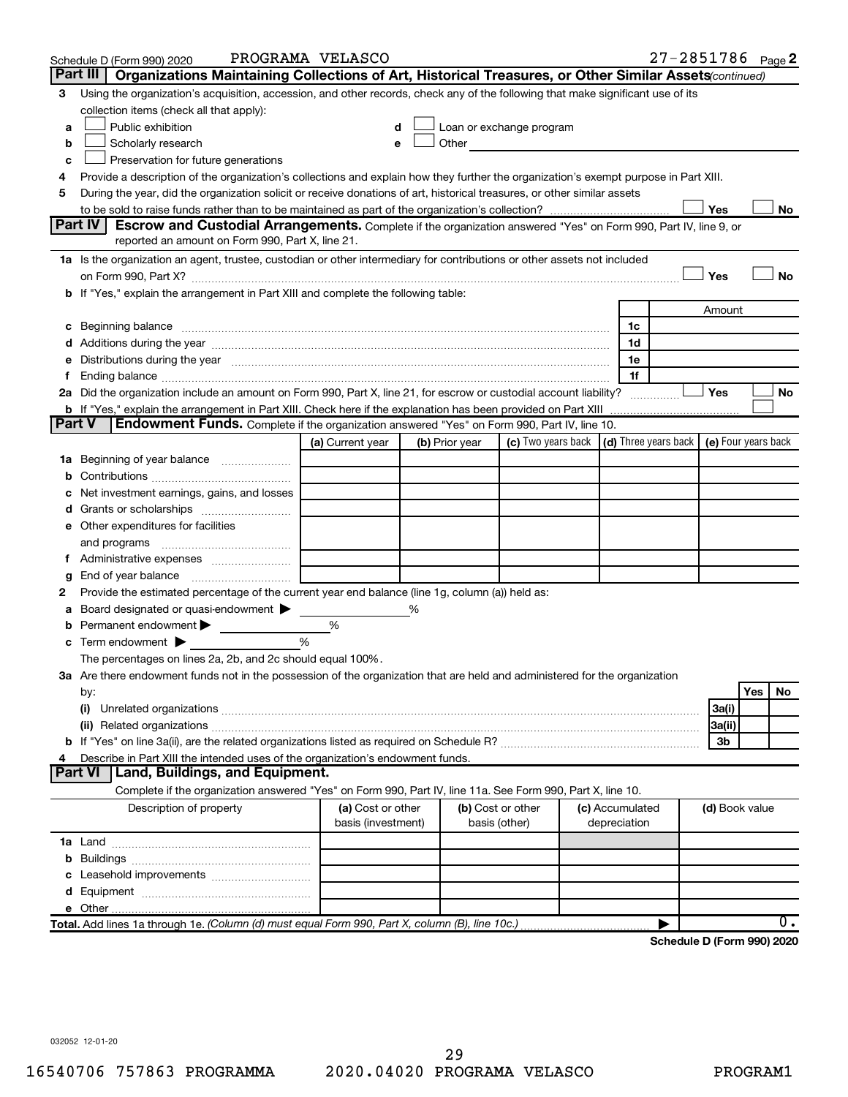|               | Schedule D (Form 990) 2020                                                                                                                                                                                                     | PROGRAMA VELASCO                        |   |                |                                                         |                                 | 27-2851786 Page 2          |                     |     |           |
|---------------|--------------------------------------------------------------------------------------------------------------------------------------------------------------------------------------------------------------------------------|-----------------------------------------|---|----------------|---------------------------------------------------------|---------------------------------|----------------------------|---------------------|-----|-----------|
|               | Part III<br>Organizations Maintaining Collections of Art, Historical Treasures, or Other Similar Assets (continued)                                                                                                            |                                         |   |                |                                                         |                                 |                            |                     |     |           |
| 3             | Using the organization's acquisition, accession, and other records, check any of the following that make significant use of its                                                                                                |                                         |   |                |                                                         |                                 |                            |                     |     |           |
|               | collection items (check all that apply):                                                                                                                                                                                       |                                         |   |                |                                                         |                                 |                            |                     |     |           |
| a             | Public exhibition                                                                                                                                                                                                              |                                         |   |                | Loan or exchange program                                |                                 |                            |                     |     |           |
| b             | Scholarly research                                                                                                                                                                                                             | e                                       |   |                | Other <b>Communication</b>                              |                                 |                            |                     |     |           |
| c             | Preservation for future generations                                                                                                                                                                                            |                                         |   |                |                                                         |                                 |                            |                     |     |           |
| 4             | Provide a description of the organization's collections and explain how they further the organization's exempt purpose in Part XIII.                                                                                           |                                         |   |                |                                                         |                                 |                            |                     |     |           |
| 5             | During the year, did the organization solicit or receive donations of art, historical treasures, or other similar assets                                                                                                       |                                         |   |                |                                                         |                                 |                            |                     |     |           |
|               |                                                                                                                                                                                                                                |                                         |   |                |                                                         |                                 |                            | Yes                 |     | No        |
|               | Part IV I<br><b>Escrow and Custodial Arrangements.</b> Complete if the organization answered "Yes" on Form 990, Part IV, line 9, or                                                                                            |                                         |   |                |                                                         |                                 |                            |                     |     |           |
|               | reported an amount on Form 990, Part X, line 21.                                                                                                                                                                               |                                         |   |                |                                                         |                                 |                            |                     |     |           |
|               | 1a Is the organization an agent, trustee, custodian or other intermediary for contributions or other assets not included                                                                                                       |                                         |   |                |                                                         |                                 |                            |                     |     |           |
|               |                                                                                                                                                                                                                                |                                         |   |                |                                                         |                                 |                            | Yes                 |     | <b>No</b> |
|               | b If "Yes," explain the arrangement in Part XIII and complete the following table:                                                                                                                                             |                                         |   |                |                                                         |                                 |                            |                     |     |           |
|               |                                                                                                                                                                                                                                |                                         |   |                |                                                         |                                 |                            | Amount              |     |           |
| с             | Beginning balance measurements and contain the contract of the contract of the contract of the contract of the                                                                                                                 |                                         |   |                |                                                         | 1c<br>1d                        |                            |                     |     |           |
| е             | Distributions during the year manufactured and an account of the year manufactured and the year manufactured and the year manufactured and the year manufactured and the year manufactured and the year manufactured and the y |                                         |   |                |                                                         | 1e                              |                            |                     |     |           |
| f.            |                                                                                                                                                                                                                                |                                         |   |                |                                                         | 1f                              |                            |                     |     |           |
|               | 2a Did the organization include an amount on Form 990, Part X, line 21, for escrow or custodial account liability?                                                                                                             |                                         |   |                |                                                         |                                 |                            | <b>Yes</b>          |     | No        |
|               | <b>b</b> If "Yes," explain the arrangement in Part XIII. Check here if the explanation has been provided on Part XIII                                                                                                          |                                         |   |                |                                                         |                                 |                            |                     |     |           |
| <b>Part V</b> | Endowment Funds. Complete if the organization answered "Yes" on Form 990, Part IV, line 10.                                                                                                                                    |                                         |   |                |                                                         |                                 |                            |                     |     |           |
|               |                                                                                                                                                                                                                                | (a) Current year                        |   | (b) Prior year | (c) Two years back $\vert$ (d) Three years back $\vert$ |                                 |                            | (e) Four years back |     |           |
|               | 1a Beginning of year balance                                                                                                                                                                                                   |                                         |   |                |                                                         |                                 |                            |                     |     |           |
| b             |                                                                                                                                                                                                                                |                                         |   |                |                                                         |                                 |                            |                     |     |           |
| с             | Net investment earnings, gains, and losses                                                                                                                                                                                     |                                         |   |                |                                                         |                                 |                            |                     |     |           |
| d             | Grants or scholarships                                                                                                                                                                                                         |                                         |   |                |                                                         |                                 |                            |                     |     |           |
|               | e Other expenditures for facilities                                                                                                                                                                                            |                                         |   |                |                                                         |                                 |                            |                     |     |           |
|               | and programs                                                                                                                                                                                                                   |                                         |   |                |                                                         |                                 |                            |                     |     |           |
|               | f Administrative expenses                                                                                                                                                                                                      |                                         |   |                |                                                         |                                 |                            |                     |     |           |
| g             |                                                                                                                                                                                                                                |                                         |   |                |                                                         |                                 |                            |                     |     |           |
| 2             | Provide the estimated percentage of the current year end balance (line 1g, column (a)) held as:                                                                                                                                |                                         |   |                |                                                         |                                 |                            |                     |     |           |
| а             | Board designated or quasi-endowment                                                                                                                                                                                            |                                         | % |                |                                                         |                                 |                            |                     |     |           |
| b             | Permanent endowment >                                                                                                                                                                                                          | %                                       |   |                |                                                         |                                 |                            |                     |     |           |
| с             | %<br>Term endowment $\blacktriangleright$                                                                                                                                                                                      |                                         |   |                |                                                         |                                 |                            |                     |     |           |
|               | The percentages on lines 2a, 2b, and 2c should equal 100%.                                                                                                                                                                     |                                         |   |                |                                                         |                                 |                            |                     |     |           |
|               | 3a Are there endowment funds not in the possession of the organization that are held and administered for the organization                                                                                                     |                                         |   |                |                                                         |                                 |                            |                     |     |           |
|               | by:                                                                                                                                                                                                                            |                                         |   |                |                                                         |                                 |                            |                     | Yes | No.       |
|               | (i)<br>Unrelated organizations [111] March 1999, March 1999, March 1999, March 1999, March 1999, March 1999, March 19                                                                                                          |                                         |   |                |                                                         |                                 |                            | 3a(i)               |     |           |
|               |                                                                                                                                                                                                                                |                                         |   |                |                                                         |                                 |                            | 3a(ii)              |     |           |
|               |                                                                                                                                                                                                                                |                                         |   |                |                                                         |                                 |                            | 3b                  |     |           |
| 4             | Describe in Part XIII the intended uses of the organization's endowment funds.                                                                                                                                                 |                                         |   |                |                                                         |                                 |                            |                     |     |           |
|               | Land, Buildings, and Equipment.<br>Part VI                                                                                                                                                                                     |                                         |   |                |                                                         |                                 |                            |                     |     |           |
|               | Complete if the organization answered "Yes" on Form 990, Part IV, line 11a. See Form 990, Part X, line 10.                                                                                                                     |                                         |   |                |                                                         |                                 |                            |                     |     |           |
|               | Description of property                                                                                                                                                                                                        | (a) Cost or other<br>basis (investment) |   |                | (b) Cost or other                                       | (c) Accumulated<br>depreciation |                            | (d) Book value      |     |           |
|               |                                                                                                                                                                                                                                |                                         |   |                | basis (other)                                           |                                 |                            |                     |     |           |
|               |                                                                                                                                                                                                                                |                                         |   |                |                                                         |                                 |                            |                     |     |           |
| b             |                                                                                                                                                                                                                                |                                         |   |                |                                                         |                                 |                            |                     |     |           |
|               | Leasehold improvements                                                                                                                                                                                                         |                                         |   |                |                                                         |                                 |                            |                     |     |           |
|               |                                                                                                                                                                                                                                |                                         |   |                |                                                         |                                 |                            |                     |     |           |
|               | Total. Add lines 1a through 1e. (Column (d) must equal Form 990, Part X, column (B), line 10c.)                                                                                                                                |                                         |   |                |                                                         |                                 |                            |                     |     | 0.        |
|               |                                                                                                                                                                                                                                |                                         |   |                |                                                         |                                 | Schedule D (Form 990) 2020 |                     |     |           |
|               |                                                                                                                                                                                                                                |                                         |   |                |                                                         |                                 |                            |                     |     |           |

032052 12-01-20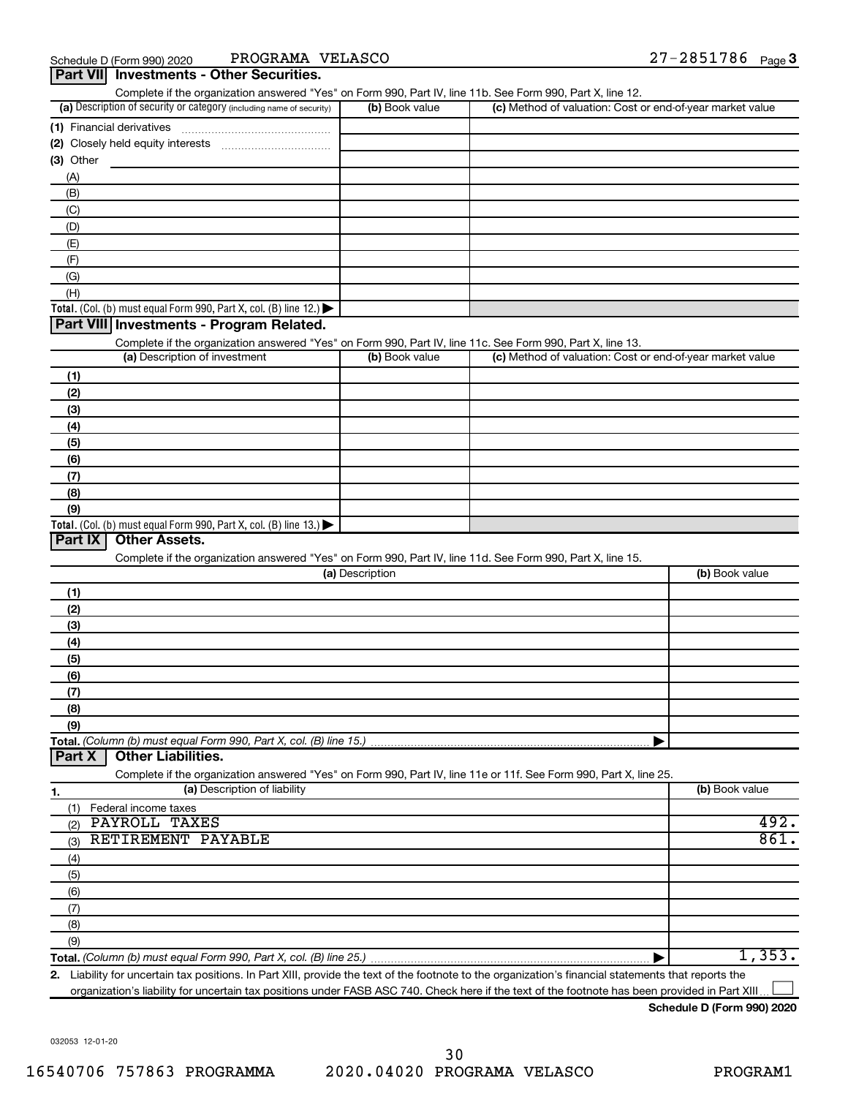| Complete if the organization answered "Yes" on Form 990, Part IV, line 11b. See Form 990, Part X, line 12.<br>(a) Description of security or category (including name of security) | (b) Book value  | (c) Method of valuation: Cost or end-of-year market value |                        |
|------------------------------------------------------------------------------------------------------------------------------------------------------------------------------------|-----------------|-----------------------------------------------------------|------------------------|
|                                                                                                                                                                                    |                 |                                                           |                        |
| (1) Financial derivatives                                                                                                                                                          |                 |                                                           |                        |
| Closely held equity interests<br>(2)                                                                                                                                               |                 |                                                           |                        |
| (3) Other                                                                                                                                                                          |                 |                                                           |                        |
| (A)                                                                                                                                                                                |                 |                                                           |                        |
| (B)                                                                                                                                                                                |                 |                                                           |                        |
| (C)                                                                                                                                                                                |                 |                                                           |                        |
| (D)                                                                                                                                                                                |                 |                                                           |                        |
| (E)                                                                                                                                                                                |                 |                                                           |                        |
| (F)                                                                                                                                                                                |                 |                                                           |                        |
| (G)                                                                                                                                                                                |                 |                                                           |                        |
| (H)                                                                                                                                                                                |                 |                                                           |                        |
| Total. (Col. (b) must equal Form 990, Part X, col. (B) line 12.) $\blacktriangleright$                                                                                             |                 |                                                           |                        |
| Part VIII Investments - Program Related.                                                                                                                                           |                 |                                                           |                        |
| Complete if the organization answered "Yes" on Form 990, Part IV, line 11c. See Form 990, Part X, line 13.                                                                         |                 |                                                           |                        |
| (a) Description of investment                                                                                                                                                      | (b) Book value  | (c) Method of valuation: Cost or end-of-year market value |                        |
| (1)                                                                                                                                                                                |                 |                                                           |                        |
| (2)                                                                                                                                                                                |                 |                                                           |                        |
| (3)                                                                                                                                                                                |                 |                                                           |                        |
| (4)                                                                                                                                                                                |                 |                                                           |                        |
| (5)                                                                                                                                                                                |                 |                                                           |                        |
| (6)                                                                                                                                                                                |                 |                                                           |                        |
|                                                                                                                                                                                    |                 |                                                           |                        |
| (7)                                                                                                                                                                                |                 |                                                           |                        |
| (8)                                                                                                                                                                                |                 |                                                           |                        |
| (9)                                                                                                                                                                                |                 |                                                           |                        |
| Total. (Col. (b) must equal Form 990, Part X, col. (B) line 13.)                                                                                                                   |                 |                                                           |                        |
| Part IX<br><b>Other Assets.</b>                                                                                                                                                    |                 |                                                           |                        |
| Complete if the organization answered "Yes" on Form 990, Part IV, line 11d. See Form 990, Part X, line 15.                                                                         |                 |                                                           |                        |
|                                                                                                                                                                                    | (a) Description |                                                           | (b) Book value         |
| (1)                                                                                                                                                                                |                 |                                                           |                        |
| (2)                                                                                                                                                                                |                 |                                                           |                        |
| (3)                                                                                                                                                                                |                 |                                                           |                        |
| (4)                                                                                                                                                                                |                 |                                                           |                        |
| (5)                                                                                                                                                                                |                 |                                                           |                        |
| (6)                                                                                                                                                                                |                 |                                                           |                        |
| (7)                                                                                                                                                                                |                 |                                                           |                        |
| (8)                                                                                                                                                                                |                 |                                                           |                        |
| (9)                                                                                                                                                                                |                 |                                                           |                        |
|                                                                                                                                                                                    |                 |                                                           |                        |
|                                                                                                                                                                                    |                 |                                                           |                        |
| <b>Other Liabilities.</b><br>Part X                                                                                                                                                |                 |                                                           |                        |
| Complete if the organization answered "Yes" on Form 990, Part IV, line 11e or 11f. See Form 990, Part X, line 25.                                                                  |                 |                                                           |                        |
| (a) Description of liability<br>1.                                                                                                                                                 |                 |                                                           | (b) Book value         |
|                                                                                                                                                                                    |                 |                                                           |                        |
| (1)<br>Federal income taxes                                                                                                                                                        |                 |                                                           |                        |
| PAYROLL TAXES<br>(2)                                                                                                                                                               |                 |                                                           |                        |
| RETIREMENT PAYABLE<br>(3)                                                                                                                                                          |                 |                                                           |                        |
| (4)                                                                                                                                                                                |                 |                                                           |                        |
| (5)                                                                                                                                                                                |                 |                                                           |                        |
| (6)                                                                                                                                                                                |                 |                                                           |                        |
| (7)                                                                                                                                                                                |                 |                                                           |                        |
| (8)                                                                                                                                                                                |                 |                                                           |                        |
| (9)                                                                                                                                                                                |                 |                                                           | 492.<br>861.<br>1,353. |

**2.** Liability for uncertain tax positions. In Part XIII, provide the text of the footnote to the organization's financial statements that reports the organization's liability for uncertain tax positions under FASB ASC 740. Check here if the text of the footnote has been provided in Part XIII  $\perp$ 

**Schedule D (Form 990) 2020**

032053 12-01-20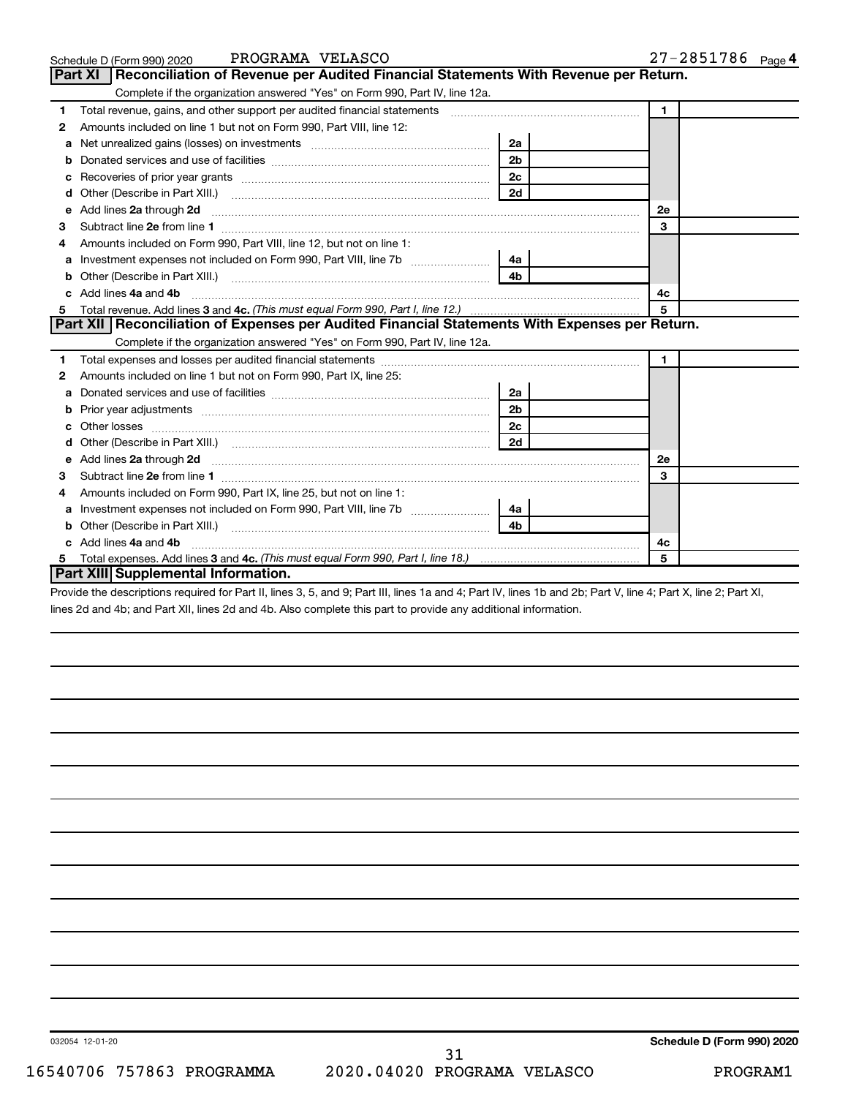|    | PROGRAMA VELASCO<br>Schedule D (Form 990) 2020                                                                                                                                                                                      |                | 27-2851786 Page 4 |
|----|-------------------------------------------------------------------------------------------------------------------------------------------------------------------------------------------------------------------------------------|----------------|-------------------|
|    | Reconciliation of Revenue per Audited Financial Statements With Revenue per Return.<br><b>Part XI</b>                                                                                                                               |                |                   |
|    | Complete if the organization answered "Yes" on Form 990, Part IV, line 12a.                                                                                                                                                         |                |                   |
| 1  | Total revenue, gains, and other support per audited financial statements [[[[[[[[[[[[[[[[[[[[[[[[[]]]]]]]]]]]                                                                                                                       |                | $\mathbf{1}$      |
| 2  | Amounts included on line 1 but not on Form 990, Part VIII, line 12:                                                                                                                                                                 |                |                   |
|    |                                                                                                                                                                                                                                     | 2a             |                   |
| b  |                                                                                                                                                                                                                                     | 2 <sub>b</sub> |                   |
| с  |                                                                                                                                                                                                                                     | 2c             |                   |
| d  |                                                                                                                                                                                                                                     | 2d             |                   |
| e  | Add lines 2a through 2d <b>[10]</b> University material contracts and the set of the set of the set of the set of the set of the set of the set of the set of the set of the set of the set of the set of the set of the set of the |                | <b>2e</b>         |
| з  |                                                                                                                                                                                                                                     |                | 3                 |
|    | Amounts included on Form 990, Part VIII, line 12, but not on line 1:                                                                                                                                                                |                |                   |
| a  | Investment expenses not included on Form 990, Part VIII, line 7b                                                                                                                                                                    | 4a             |                   |
| b  |                                                                                                                                                                                                                                     | 4 <sub>b</sub> |                   |
| c. | Add lines 4a and 4b                                                                                                                                                                                                                 |                | 4с                |
| 5  |                                                                                                                                                                                                                                     |                | 5                 |
|    | Part XII   Reconciliation of Expenses per Audited Financial Statements With Expenses per Return.                                                                                                                                    |                |                   |
|    | Complete if the organization answered "Yes" on Form 990, Part IV, line 12a.                                                                                                                                                         |                |                   |
| 1  |                                                                                                                                                                                                                                     |                | $\mathbf{1}$      |
| 2  | Amounts included on line 1 but not on Form 990, Part IX, line 25:                                                                                                                                                                   |                |                   |
| a  |                                                                                                                                                                                                                                     | 2a             |                   |
| b  |                                                                                                                                                                                                                                     | 2 <sub>b</sub> |                   |
| c  |                                                                                                                                                                                                                                     | 2c             |                   |
|    | Other (Describe in Part XIII.) (2000) (2000) (2000) (2010) (2010) (2010) (2010) (2010) (2010) (2010) (2010) (20                                                                                                                     | 2d             |                   |
| e  | Add lines 2a through 2d <b>contained a contained a contained a contained a</b> contained a contact the set of the set of the set of the set of the set of the set of the set of the set of the set of the set of the set of the set |                | <b>2e</b>         |
| 3  | Subtract line 2e from line 1                                                                                                                                                                                                        |                | 3                 |
| 4  | Amounts included on Form 990, Part IX, line 25, but not on line 1:                                                                                                                                                                  |                |                   |
| а  |                                                                                                                                                                                                                                     | 4a             |                   |
| b  |                                                                                                                                                                                                                                     | 4b             |                   |
|    | Add lines 4a and 4b                                                                                                                                                                                                                 |                | 4с                |
|    |                                                                                                                                                                                                                                     |                | 5                 |
|    | Part XIII Supplemental Information.                                                                                                                                                                                                 |                |                   |

Provide the descriptions required for Part II, lines 3, 5, and 9; Part III, lines 1a and 4; Part IV, lines 1b and 2b; Part V, line 4; Part X, line 2; Part XI, lines 2d and 4b; and Part XII, lines 2d and 4b. Also complete this part to provide any additional information.

**Schedule D (Form 990) 2020**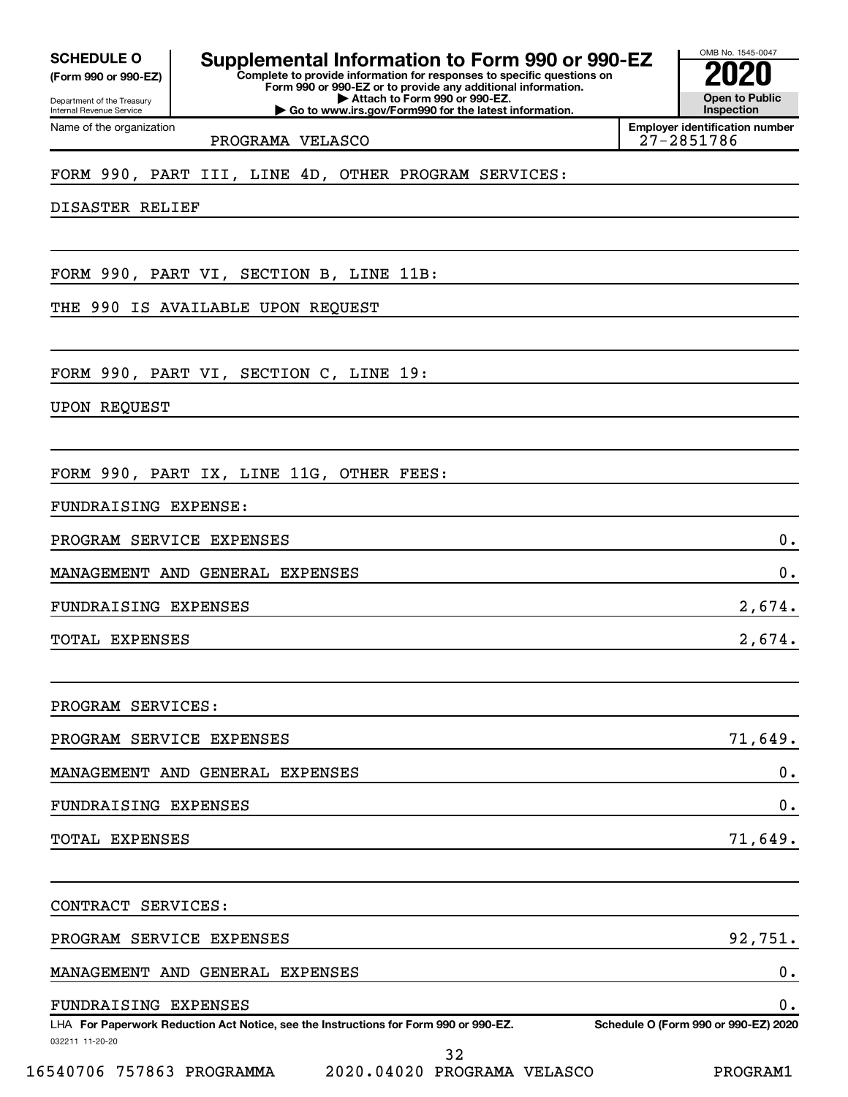**(Form 990 or 990-EZ)**

Department of the Treasury Internal Revenue Service Name of the organization

**Complete to provide information for responses to specific questions on Form 990 or 990-EZ or to provide any additional information. SCHEDULE O Supplemental Information to Form 990 or 990-EZ 2020**<br>(Form 990 or 990-EZ)

**| Attach to Form 990 or 990-EZ.**

**| Go to www.irs.gov/Form990 for the latest information.**

**Open to Public Inspection Employer identification number**

OMB No. 1545-0047

PROGRAMA VELASCO 27-2851786

FORM 990, PART III, LINE 4D, OTHER PROGRAM SERVICES:

DISASTER RELIEF

FORM 990, PART VI, SECTION B, LINE 11B:

THE 990 IS AVAILABLE UPON REQUEST

FORM 990, PART VI, SECTION C, LINE 19:

UPON REQUEST

FORM 990, PART IX, LINE 11G, OTHER FEES:

FUNDRAISING EXPENSE:

PROGRAM SERVICE EXPENSES 0.

MANAGEMENT AND GENERAL EXPENSES  $\hspace{.5cm} 0$  .

FUNDRAISING EXPENSES 2,674.

TOTAL EXPENSES 2,674.

PROGRAM SERVICES:

| PROGRAM SERVICE EXPENSES        | 71,649. |
|---------------------------------|---------|
| MANAGEMENT AND GENERAL EXPENSES |         |
| FUNDRAISING EXPENSES            |         |
| TOTAL EXPENSES                  | 71,649. |

032211 11-20-20 **For Paperwork Reduction Act Notice, see the Instructions for Form 990 or 990-EZ. Schedule O (Form 990 or 990-EZ) 2020** LHA CONTRACT SERVICES: PROGRAM SERVICE EXPENSES 92,751. MANAGEMENT AND GENERAL EXPENSES 0. FUNDRAISING EXPENSES 0.